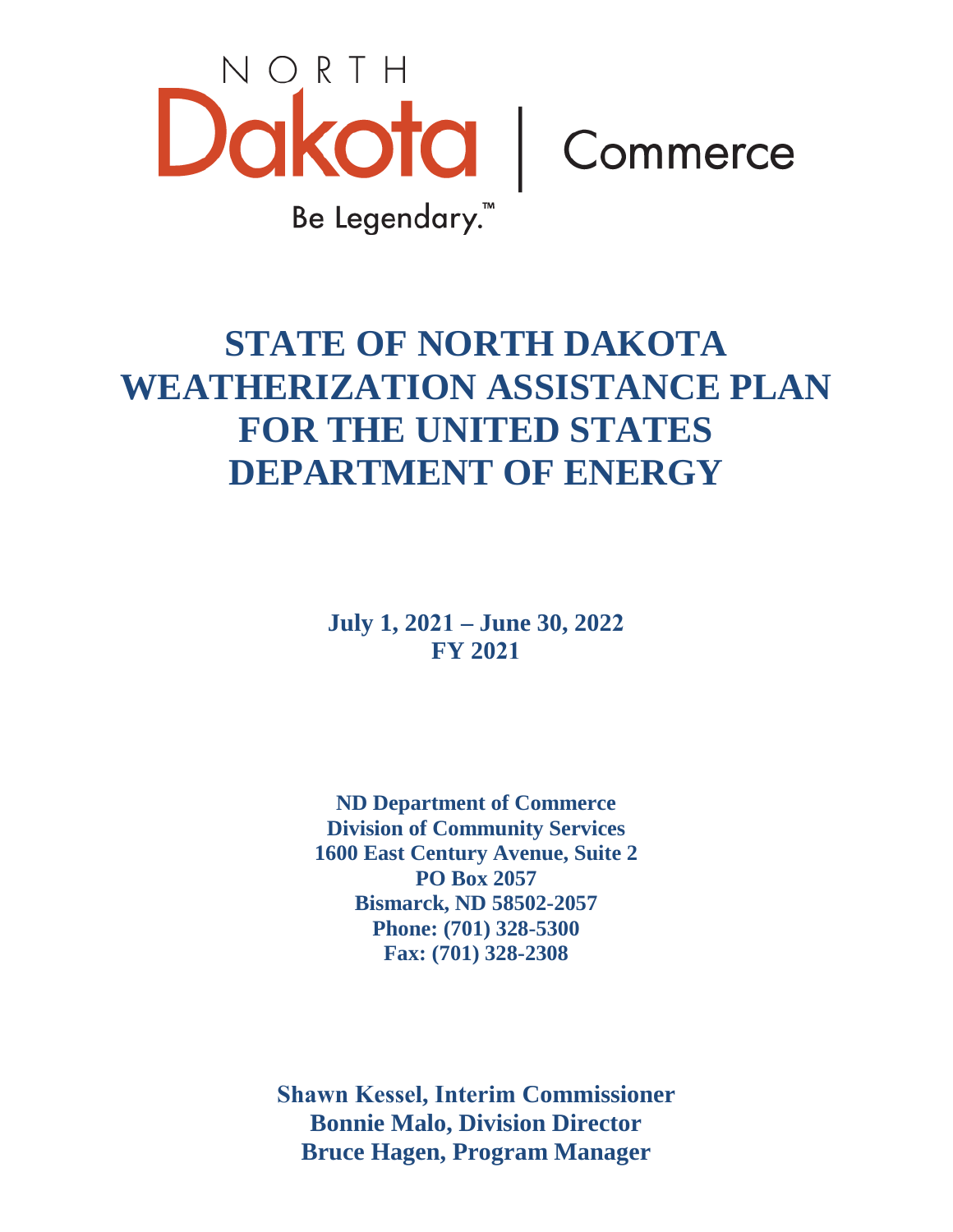

# **STATE OF NORTH DAKOTA WEATHERIZATION ASSISTANCE PLAN FOR THE UNITED STATES DEPARTMENT OF ENERGY**

**July 1, 2021 – June 30, 2022 FY 2021**

**ND Department of Commerce Division of Community Services 1600 East Century Avenue, Suite 2 PO Box 2057 Bismarck, ND 58502-2057 Phone: (701) 328-5300 Fax: (701) 328-2308** 

**Shawn Kessel, Interim Commissioner Bonnie Malo, Division Director Bruce Hagen, Program Manager**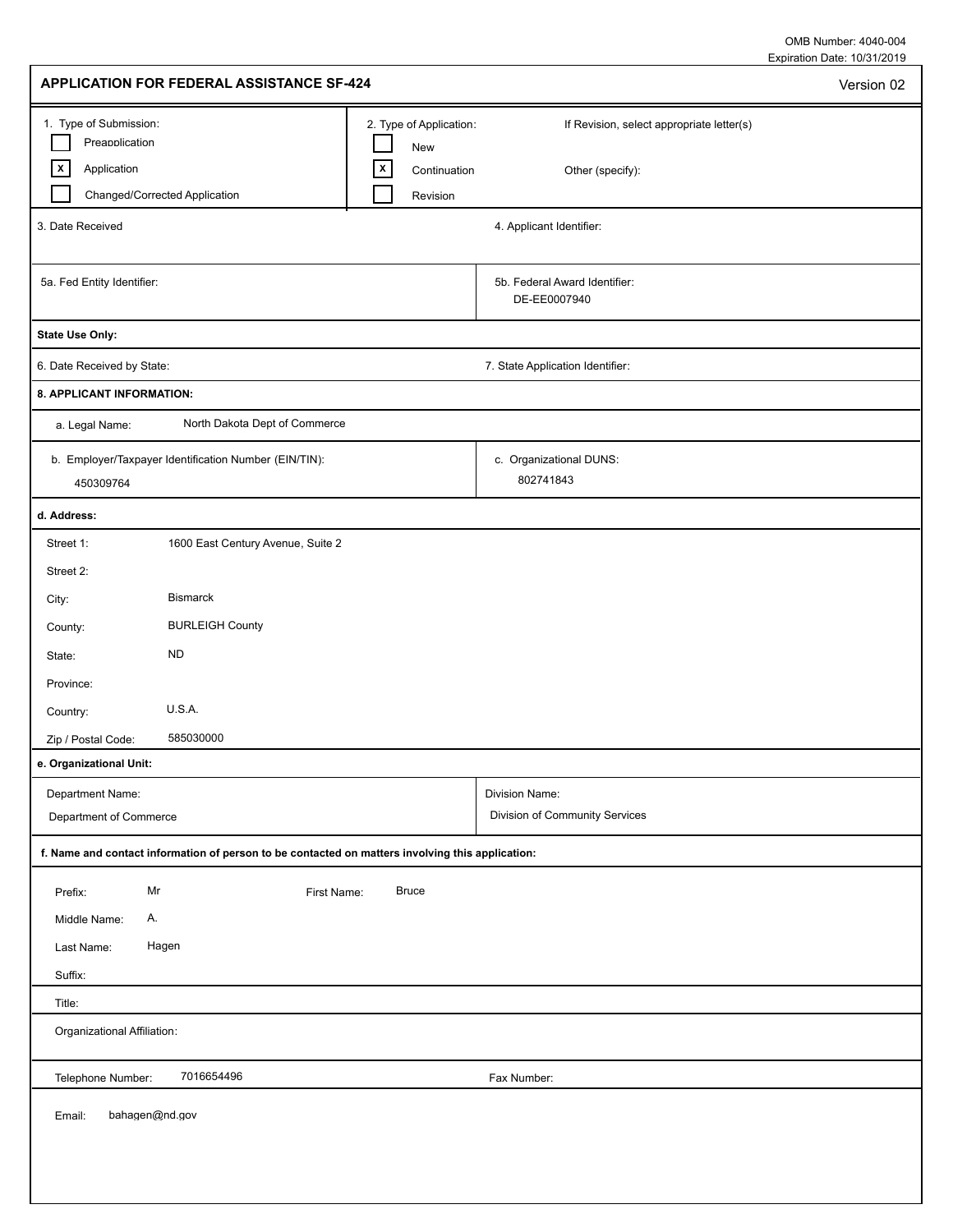Expiration Date: 10/31/2019 OMB Number: 4040-004

| <b>APPLICATION FOR FEDERAL ASSISTANCE SF-424</b>                                                                |                                                                            |                                                               | Version 02 |
|-----------------------------------------------------------------------------------------------------------------|----------------------------------------------------------------------------|---------------------------------------------------------------|------------|
| 1. Type of Submission:<br>Preapplication<br>$\lfloor x \rfloor$<br>Application<br>Changed/Corrected Application | 2. Type of Application:<br>New<br>$\mathsf{x}$<br>Continuation<br>Revision | If Revision, select appropriate letter(s)<br>Other (specify): |            |
| 3. Date Received                                                                                                |                                                                            | 4. Applicant Identifier:                                      |            |
| 5a. Fed Entity Identifier:                                                                                      |                                                                            | 5b. Federal Award Identifier:<br>DE-EE0007940                 |            |
| <b>State Use Only:</b>                                                                                          |                                                                            |                                                               |            |
| 6. Date Received by State:                                                                                      |                                                                            | 7. State Application Identifier:                              |            |
| 8. APPLICANT INFORMATION:                                                                                       |                                                                            |                                                               |            |
| North Dakota Dept of Commerce<br>a. Legal Name:                                                                 |                                                                            |                                                               |            |
| b. Employer/Taxpayer Identification Number (EIN/TIN):<br>450309764                                              |                                                                            | c. Organizational DUNS:<br>802741843                          |            |
| d. Address:                                                                                                     |                                                                            |                                                               |            |
| 1600 East Century Avenue, Suite 2<br>Street 1:<br>Street 2:                                                     |                                                                            |                                                               |            |
| <b>Bismarck</b><br>City:                                                                                        |                                                                            |                                                               |            |
| <b>BURLEIGH County</b><br>County:                                                                               |                                                                            |                                                               |            |
| <b>ND</b><br>State:                                                                                             |                                                                            |                                                               |            |
| Province:                                                                                                       |                                                                            |                                                               |            |
| U.S.A.<br>Country:                                                                                              |                                                                            |                                                               |            |
| 585030000<br>Zip / Postal Code:                                                                                 |                                                                            |                                                               |            |
| e. Organizational Unit:                                                                                         |                                                                            |                                                               |            |
| Department Name:<br>Department of Commerce                                                                      |                                                                            | Division Name:<br>Division of Community Services              |            |
| f. Name and contact information of person to be contacted on matters involving this application:                |                                                                            |                                                               |            |
| Mr<br>Prefix:<br>First Name:<br>Middle Name:<br>Α.<br>Hagen<br>Last Name:                                       | <b>Bruce</b>                                                               |                                                               |            |
| Suffix:                                                                                                         |                                                                            |                                                               |            |
| Title:                                                                                                          |                                                                            |                                                               |            |
| Organizational Affiliation:                                                                                     |                                                                            |                                                               |            |
| 7016654496<br>Telephone Number:                                                                                 |                                                                            | Fax Number:                                                   |            |
| bahagen@nd.gov<br>Email:                                                                                        |                                                                            |                                                               |            |
|                                                                                                                 |                                                                            |                                                               |            |

I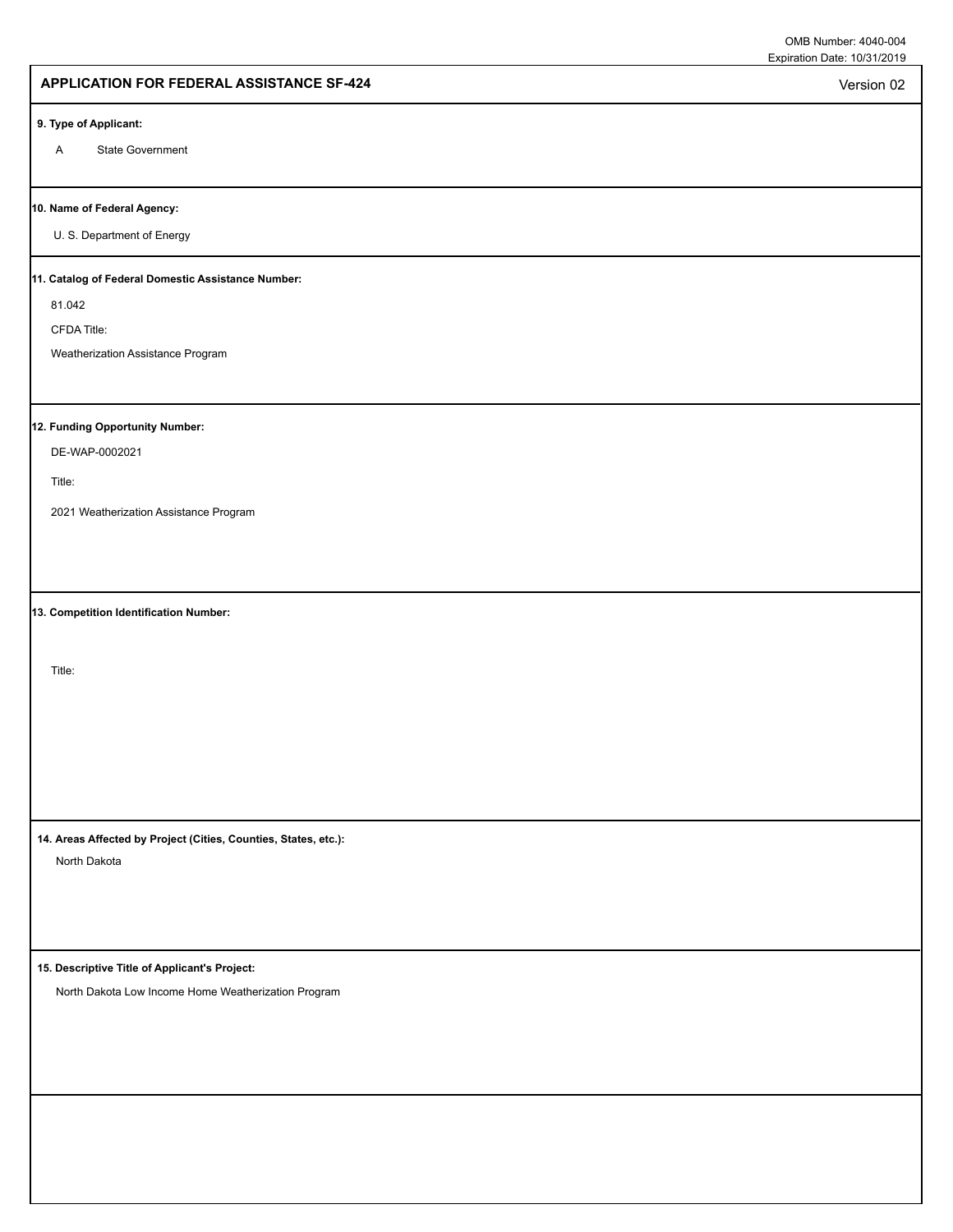Version 02

### **APPLICATION FOR FEDERAL ASSISTANCE SF-424**

#### **9. Type of Applicant:**

A State Government

#### **10. Name of Federal Agency:**

U. S. Department of Energy

#### **11. Catalog of Federal Domestic Assistance Number:**

81.042

CFDA Title:

Weatherization Assistance Program

### **12. Funding Opportunity Number:**

DE-WAP-0002021

Title:

2021 Weatherization Assistance Program

**13. Competition Identification Number:**

Title:

**14. Areas Affected by Project (Cities, Counties, States, etc.):**

North Dakota

**15. Descriptive Title of Applicant's Project:**

North Dakota Low Income Home Weatherization Program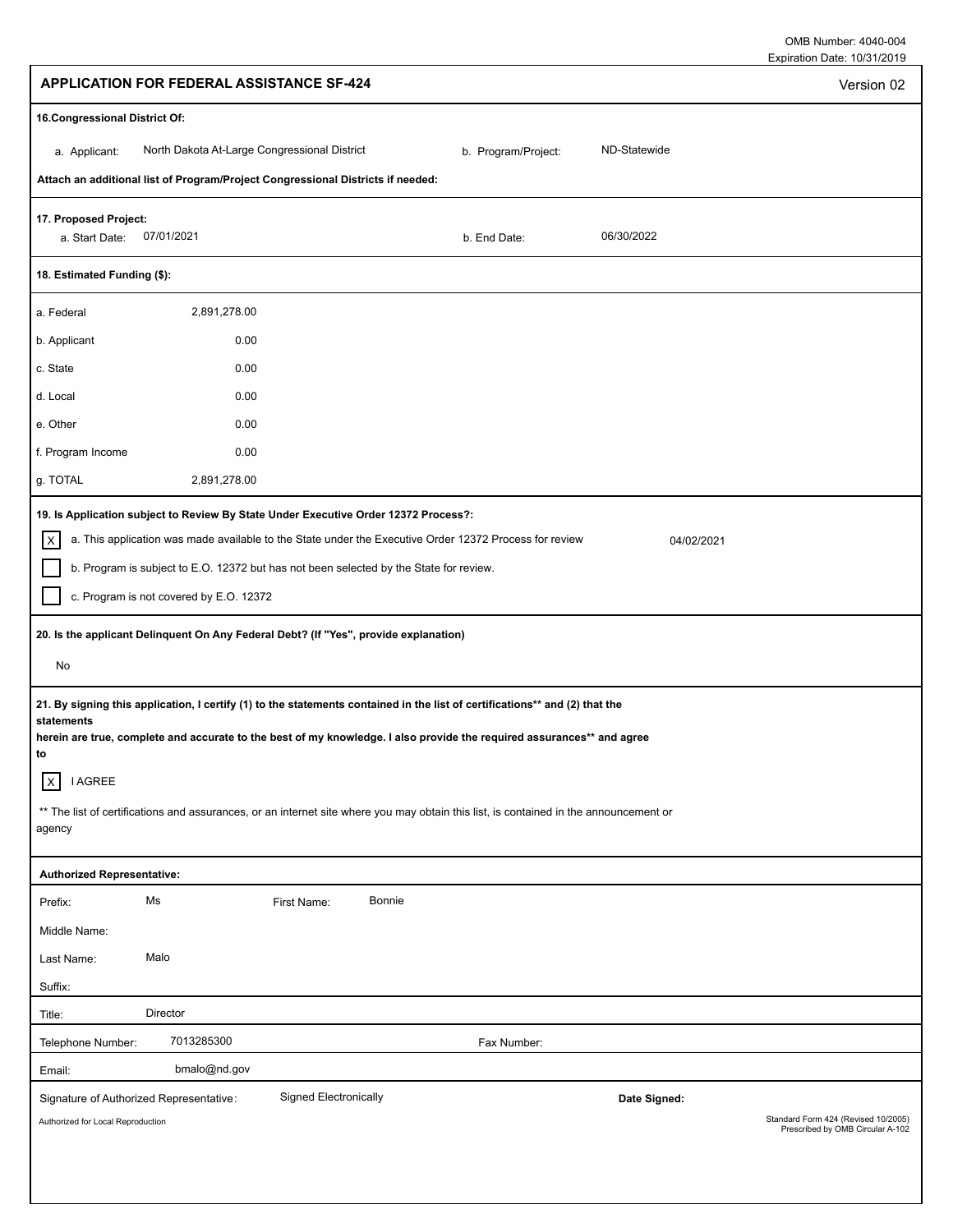| <b>APPLICATION FOR FEDERAL ASSISTANCE SF-424</b>                                                                                                                                                                                                                                                                                                                                                                                                                                                                                               | Version 02                                                              |
|------------------------------------------------------------------------------------------------------------------------------------------------------------------------------------------------------------------------------------------------------------------------------------------------------------------------------------------------------------------------------------------------------------------------------------------------------------------------------------------------------------------------------------------------|-------------------------------------------------------------------------|
| 16. Congressional District Of:                                                                                                                                                                                                                                                                                                                                                                                                                                                                                                                 |                                                                         |
| North Dakota At-Large Congressional District<br>ND-Statewide<br>b. Program/Project:<br>a. Applicant:                                                                                                                                                                                                                                                                                                                                                                                                                                           |                                                                         |
| Attach an additional list of Program/Project Congressional Districts if needed:                                                                                                                                                                                                                                                                                                                                                                                                                                                                |                                                                         |
| 17. Proposed Project:<br>07/01/2021<br>06/30/2022<br>a. Start Date:<br>b. End Date:                                                                                                                                                                                                                                                                                                                                                                                                                                                            |                                                                         |
| 18. Estimated Funding (\$):                                                                                                                                                                                                                                                                                                                                                                                                                                                                                                                    |                                                                         |
| 2,891,278.00<br>a. Federal                                                                                                                                                                                                                                                                                                                                                                                                                                                                                                                     |                                                                         |
| b. Applicant<br>0.00                                                                                                                                                                                                                                                                                                                                                                                                                                                                                                                           |                                                                         |
| 0.00<br>c. State                                                                                                                                                                                                                                                                                                                                                                                                                                                                                                                               |                                                                         |
| 0.00<br>d. Local                                                                                                                                                                                                                                                                                                                                                                                                                                                                                                                               |                                                                         |
| 0.00<br>e. Other                                                                                                                                                                                                                                                                                                                                                                                                                                                                                                                               |                                                                         |
| f. Program Income<br>0.00                                                                                                                                                                                                                                                                                                                                                                                                                                                                                                                      |                                                                         |
| g. TOTAL<br>2,891,278.00                                                                                                                                                                                                                                                                                                                                                                                                                                                                                                                       |                                                                         |
| b. Program is subject to E.O. 12372 but has not been selected by the State for review.<br>c. Program is not covered by E.O. 12372<br>20. Is the applicant Delinquent On Any Federal Debt? (If "Yes", provide explanation)<br>No<br>21. By signing this application, I certify (1) to the statements contained in the list of certifications** and (2) that the<br>statements<br>herein are true, complete and accurate to the best of my knowledge. I also provide the required assurances** and agree<br>to<br><b>I AGREE</b><br>$\mathsf{X}$ |                                                                         |
| ** The list of certifications and assurances, or an internet site where you may obtain this list, is contained in the announcement or                                                                                                                                                                                                                                                                                                                                                                                                          |                                                                         |
| agency                                                                                                                                                                                                                                                                                                                                                                                                                                                                                                                                         |                                                                         |
| <b>Authorized Representative:</b>                                                                                                                                                                                                                                                                                                                                                                                                                                                                                                              |                                                                         |
| Ms<br>Bonnie<br>First Name:<br>Prefix:                                                                                                                                                                                                                                                                                                                                                                                                                                                                                                         |                                                                         |
| Middle Name:                                                                                                                                                                                                                                                                                                                                                                                                                                                                                                                                   |                                                                         |
| Malo<br>Last Name:                                                                                                                                                                                                                                                                                                                                                                                                                                                                                                                             |                                                                         |
| Suffix:                                                                                                                                                                                                                                                                                                                                                                                                                                                                                                                                        |                                                                         |
| Director<br>Title:                                                                                                                                                                                                                                                                                                                                                                                                                                                                                                                             |                                                                         |
| 7013285300<br>Fax Number:<br>Telephone Number:                                                                                                                                                                                                                                                                                                                                                                                                                                                                                                 |                                                                         |
| bmalo@nd.gov<br>Email:<br><b>Signed Electronically</b>                                                                                                                                                                                                                                                                                                                                                                                                                                                                                         |                                                                         |
| Date Signed:<br>Signature of Authorized Representative:<br>Authorized for Local Reproduction                                                                                                                                                                                                                                                                                                                                                                                                                                                   | Standard Form 424 (Revised 10/2005)<br>Prescribed by OMB Circular A-102 |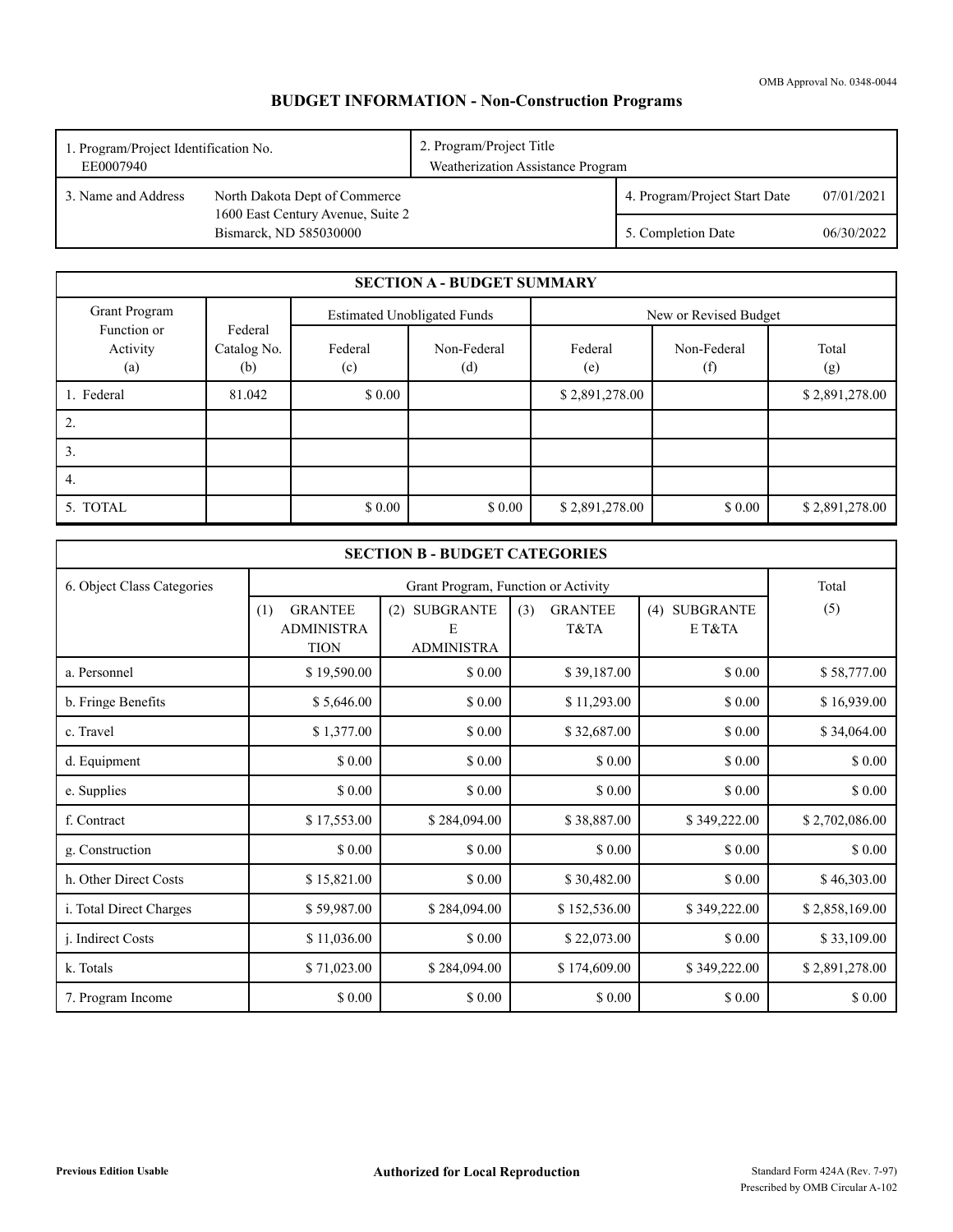## **BUDGET INFORMATION - Non-Construction Programs**

| 1. Program/Project Identification No.<br>EE0007940 |                                                             | 2. Program/Project Title<br>Weatherization Assistance Program |                               |            |
|----------------------------------------------------|-------------------------------------------------------------|---------------------------------------------------------------|-------------------------------|------------|
| 3. Name and Address                                | North Dakota Dept of Commerce                               |                                                               | 4. Program/Project Start Date | 07/01/2021 |
|                                                    | 1600 East Century Avenue, Suite 2<br>Bismarck, ND 585030000 |                                                               | 5. Completion Date            | 06/30/2022 |

|                                |                               |                | <b>SECTION A - BUDGET SUMMARY</b>  |                |                       |                |
|--------------------------------|-------------------------------|----------------|------------------------------------|----------------|-----------------------|----------------|
| Grant Program                  |                               |                | <b>Estimated Unobligated Funds</b> |                | New or Revised Budget |                |
| Function or<br>Activity<br>(a) | Federal<br>Catalog No.<br>(b) | Federal<br>(c) | Non-Federal<br>(d)                 | Federal<br>(e) | Non-Federal<br>(f)    | Total<br>(g)   |
| 1. Federal                     | 81.042                        | \$0.00         |                                    | \$2,891,278.00 |                       | \$2,891,278.00 |
| 2.                             |                               |                |                                    |                |                       |                |
| 3.                             |                               |                |                                    |                |                       |                |
| 4.                             |                               |                |                                    |                |                       |                |
| 5. TOTAL                       |                               | \$0.00         | \$0.00                             | \$2,891,278.00 | \$0.00                | \$2,891,278.00 |

| <b>SECTION B - BUDGET CATEGORIES</b> |                                                           |                                                   |                               |                         |                |  |
|--------------------------------------|-----------------------------------------------------------|---------------------------------------------------|-------------------------------|-------------------------|----------------|--|
| 6. Object Class Categories           |                                                           | Grant Program, Function or Activity               |                               |                         |                |  |
|                                      | <b>GRANTEE</b><br>(1)<br><b>ADMINISTRA</b><br><b>TION</b> | <b>SUBGRANTE</b><br>(2)<br>E<br><b>ADMINISTRA</b> | <b>GRANTEE</b><br>(3)<br>T&TA | (4) SUBGRANTE<br>E T&TA | (5)            |  |
| a. Personnel                         | \$19,590.00                                               | \$0.00                                            | \$39,187.00                   | \$ 0.00                 | \$58,777.00    |  |
| b. Fringe Benefits                   | \$5,646.00                                                | \$0.00                                            | \$11,293.00                   | \$ 0.00                 | \$16,939.00    |  |
| c. Travel                            | \$1,377.00                                                | \$0.00                                            | \$32,687.00                   | \$ 0.00                 | \$34,064.00    |  |
| d. Equipment                         | \$ 0.00                                                   | \$ 0.00                                           | \$ 0.00                       | \$ 0.00                 | \$0.00         |  |
| e. Supplies                          | \$0.00                                                    | \$0.00                                            | \$0.00                        | \$ 0.00                 | \$0.00         |  |
| f. Contract                          | \$17,553.00                                               | \$284,094.00                                      | \$38,887.00                   | \$349,222.00            | \$2,702,086.00 |  |
| g. Construction                      | \$0.00                                                    | \$0.00                                            | \$0.00                        | \$ 0.00                 | \$0.00         |  |
| h. Other Direct Costs                | \$15,821.00                                               | \$0.00                                            | \$30,482.00                   | \$0.00                  | \$46,303.00    |  |
| i. Total Direct Charges              | \$59,987.00                                               | \$284,094.00                                      | \$152,536.00                  | \$349,222.00            | \$2,858,169.00 |  |
| j. Indirect Costs                    | \$11,036.00                                               | \$ 0.00                                           | \$22,073.00                   | \$ 0.00                 | \$33,109.00    |  |
| k. Totals                            | \$71,023.00                                               | \$284,094.00                                      | \$174,609.00                  | \$349,222.00            | \$2,891,278.00 |  |
| 7. Program Income                    | \$ 0.00                                                   | \$0.00                                            | \$0.00                        | \$ 0.00                 | \$0.00         |  |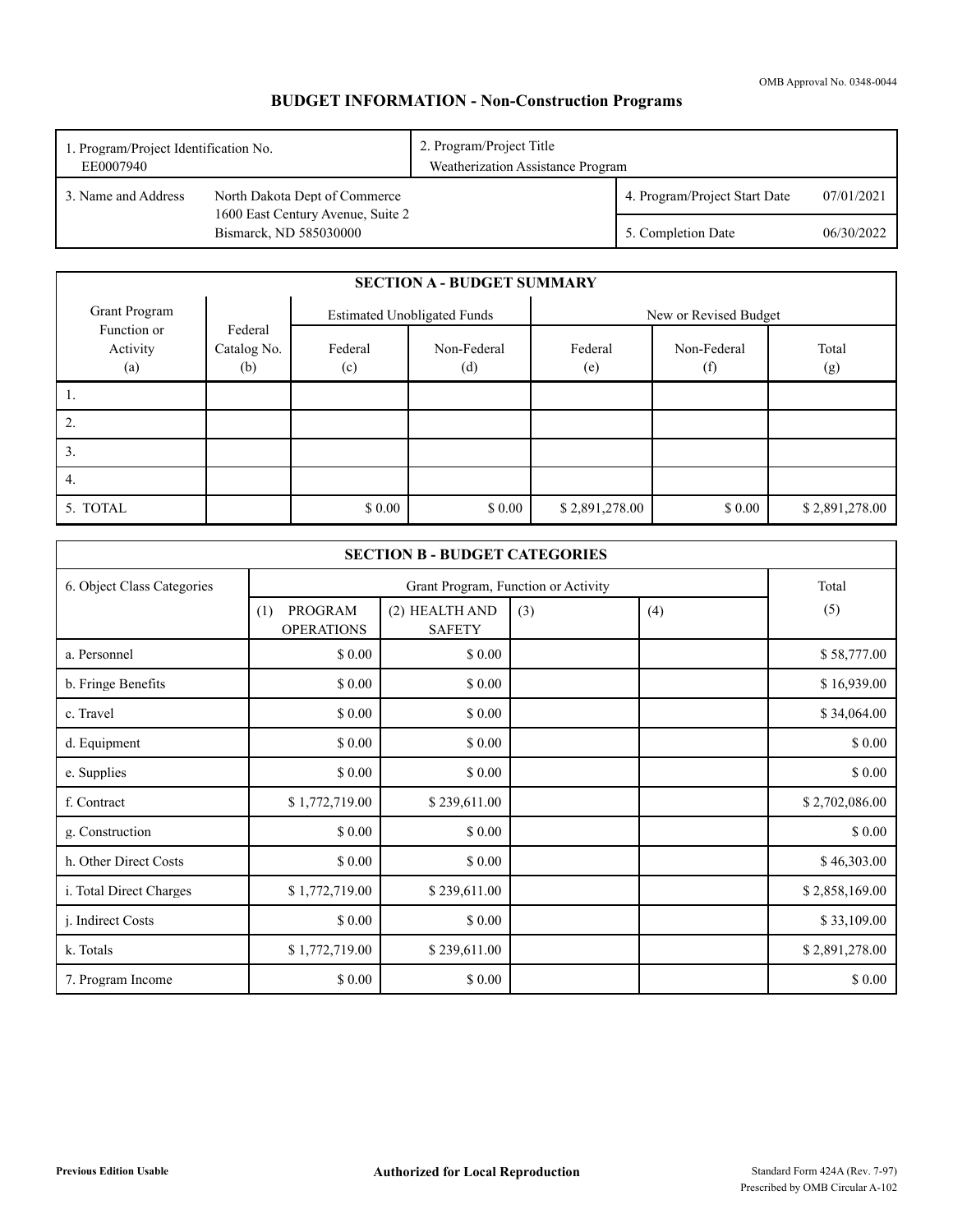## **BUDGET INFORMATION - Non-Construction Programs**

| 1. Program/Project Identification No.<br>EE0007940 |                                                             | 2. Program/Project Title<br>Weatherization Assistance Program |                               |            |
|----------------------------------------------------|-------------------------------------------------------------|---------------------------------------------------------------|-------------------------------|------------|
| 3. Name and Address                                | North Dakota Dept of Commerce                               |                                                               | 4. Program/Project Start Date | 07/01/2021 |
|                                                    | 1600 East Century Avenue, Suite 2<br>Bismarck, ND 585030000 |                                                               | 5. Completion Date            | 06/30/2022 |

|                                |                               |                                    | <b>SECTION A - BUDGET SUMMARY</b> |                       |                    |                |
|--------------------------------|-------------------------------|------------------------------------|-----------------------------------|-----------------------|--------------------|----------------|
| Grant Program                  |                               | <b>Estimated Unobligated Funds</b> |                                   | New or Revised Budget |                    |                |
| Function or<br>Activity<br>(a) | Federal<br>Catalog No.<br>(b) | Federal<br>(c)                     | Non-Federal<br>(d)                | Federal<br>(e)        | Non-Federal<br>(f) | Total<br>(g)   |
|                                |                               |                                    |                                   |                       |                    |                |
| Ζ.                             |                               |                                    |                                   |                       |                    |                |
| 3.                             |                               |                                    |                                   |                       |                    |                |
| 4.                             |                               |                                    |                                   |                       |                    |                |
| 5. TOTAL                       |                               | \$0.00                             | \$0.00                            | \$2,891,278.00        | \$0.00             | \$2,891,278.00 |

|                            |                                     | <b>SECTION B - BUDGET CATEGORIES</b>         |     |     |                |
|----------------------------|-------------------------------------|----------------------------------------------|-----|-----|----------------|
| 6. Object Class Categories |                                     | Grant Program, Function or Activity<br>Total |     |     |                |
|                            | PROGRAM<br>(1)<br><b>OPERATIONS</b> | (2) HEALTH AND<br><b>SAFETY</b>              | (3) | (4) | (5)            |
| a. Personnel               | \$0.00                              | \$0.00                                       |     |     | \$58,777.00    |
| b. Fringe Benefits         | \$0.00                              | \$0.00                                       |     |     | \$16,939.00    |
| c. Travel                  | \$0.00                              | \$0.00                                       |     |     | \$34,064.00    |
| d. Equipment               | \$ 0.00                             | \$0.00                                       |     |     | \$0.00         |
| e. Supplies                | \$ 0.00                             | \$0.00                                       |     |     | \$0.00         |
| f. Contract                | \$1,772,719.00                      | \$239,611.00                                 |     |     | \$2,702,086.00 |
| g. Construction            | \$0.00                              | \$0.00                                       |     |     | \$0.00         |
| h. Other Direct Costs      | \$ 0.00                             | \$0.00                                       |     |     | \$46,303.00    |
| i. Total Direct Charges    | \$1,772,719.00                      | \$239,611.00                                 |     |     | \$2,858,169.00 |
| j. Indirect Costs          | \$0.00                              | \$0.00                                       |     |     | \$33,109.00    |
| k. Totals                  | \$1,772,719.00                      | \$239,611.00                                 |     |     | \$2,891,278.00 |
| 7. Program Income          | \$0.00                              | \$0.00                                       |     |     | \$0.00         |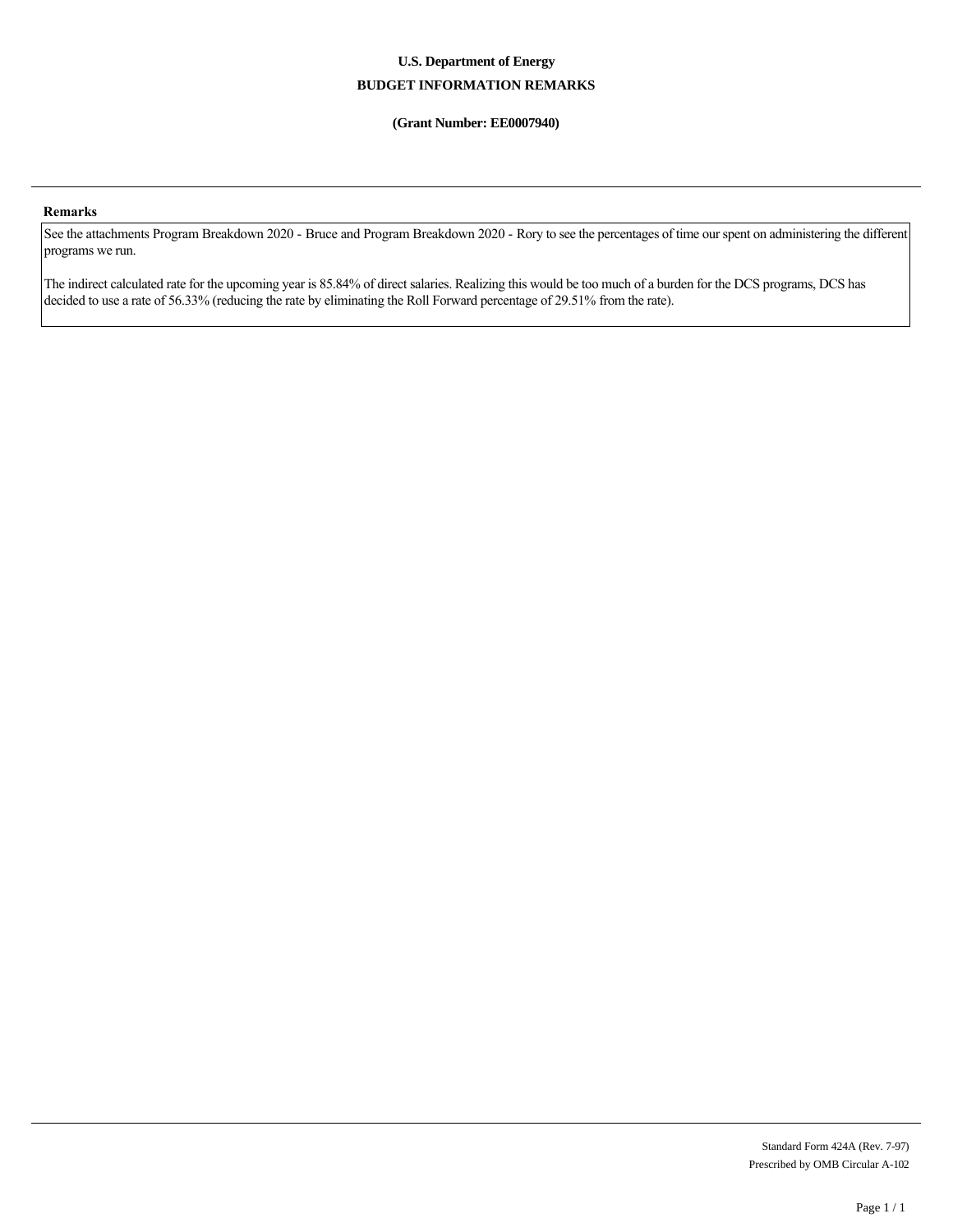### **U.S. Department of Energy BUDGET INFORMATION REMARKS**

### **(Grant Number: EE0007940)**

### **Remarks**

See the attachments Program Breakdown 2020 - Bruce and Program Breakdown 2020 - Rory to see the percentages of time our spent on administering the different programs we run.

The indirect calculated rate for the upcoming year is 85.84% of direct salaries. Realizing this would be too much of a burden for the DCS programs, DCS has decided to use a rate of 56.33% (reducing the rate by eliminating the Roll Forward percentage of 29.51% from the rate).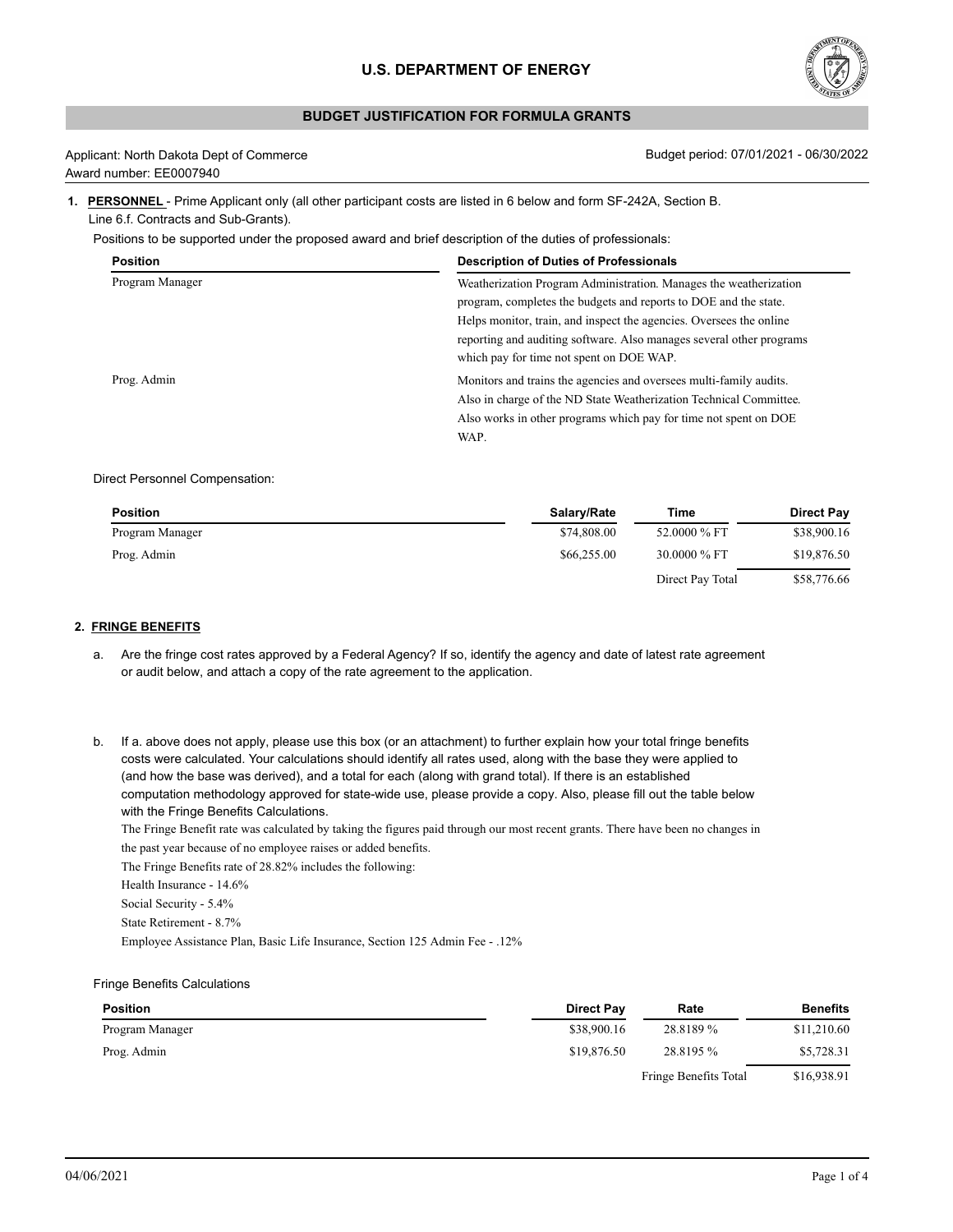

### **BUDGET JUSTIFICATION FOR FORMULA GRANTS**

| Applicant: North Dakota Dept of Commerce |
|------------------------------------------|
| Award number: EE0007940                  |

Budget period: 07/01/2021 - 06/30/2022

### **1. PERSONNEL** - Prime Applicant only (all other participant costs are listed in 6 below and form SF-242A, Section B. Line 6.f. Contracts and Sub-Grants).

Positions to be supported under the proposed award and brief description of the duties of professionals:

| <b>Position</b> | <b>Description of Duties of Professionals</b>                        |
|-----------------|----------------------------------------------------------------------|
| Program Manager | Weatherization Program Administration. Manages the weatherization    |
|                 | program, completes the budgets and reports to DOE and the state.     |
|                 | Helps monitor, train, and inspect the agencies. Oversees the online  |
|                 | reporting and auditing software. Also manages several other programs |
|                 | which pay for time not spent on DOE WAP.                             |
| Prog. Admin     | Monitors and trains the agencies and oversees multi-family audits.   |
|                 | Also in charge of the ND State Weatherization Technical Committee.   |
|                 | Also works in other programs which pay for time not spent on DOE     |
|                 | WAP.                                                                 |

### Direct Personnel Compensation:

| <b>Position</b> | Salary/Rate | Time             | <b>Direct Pay</b> |
|-----------------|-------------|------------------|-------------------|
| Program Manager | \$74,808.00 | 52.0000 % FT     | \$38,900.16       |
| Prog. Admin     | \$66,255.00 | 30,0000 % FT     | \$19,876.50       |
|                 |             | Direct Pay Total | \$58,776.66       |

### **2. FRINGE BENEFITS**

- a. Are the fringe cost rates approved by a Federal Agency? If so, identify the agency and date of latest rate agreement or audit below, and attach a copy of the rate agreement to the application.
- b. If a. above does not apply, please use this box (or an attachment) to further explain how your total fringe benefits costs were calculated. Your calculations should identify all rates used, along with the base they were applied to (and how the base was derived), and a total for each (along with grand total). If there is an established computation methodology approved for state-wide use, please provide a copy. Also, please fill out the table below with the Fringe Benefits Calculations.

The Fringe Benefit rate was calculated by taking the figures paid through our most recent grants. There have been no changes in the past year because of no employee raises or added benefits.

The Fringe Benefits rate of 28.82% includes the following:

Health Insurance - 14.6%

Social Security - 5.4%

State Retirement - 8.7%

Employee Assistance Plan, Basic Life Insurance, Section 125 Admin Fee - .12%

### Fringe Benefits Calculations

| <b>Position</b> | <b>Direct Pay</b> | Rate                  | <b>Benefits</b> |
|-----------------|-------------------|-----------------------|-----------------|
| Program Manager | \$38,900.16       | 28.8189 %             | \$11,210.60     |
| Prog. Admin     | \$19,876.50       | 28.8195 %             | \$5,728.31      |
|                 |                   | Fringe Benefits Total | \$16,938.91     |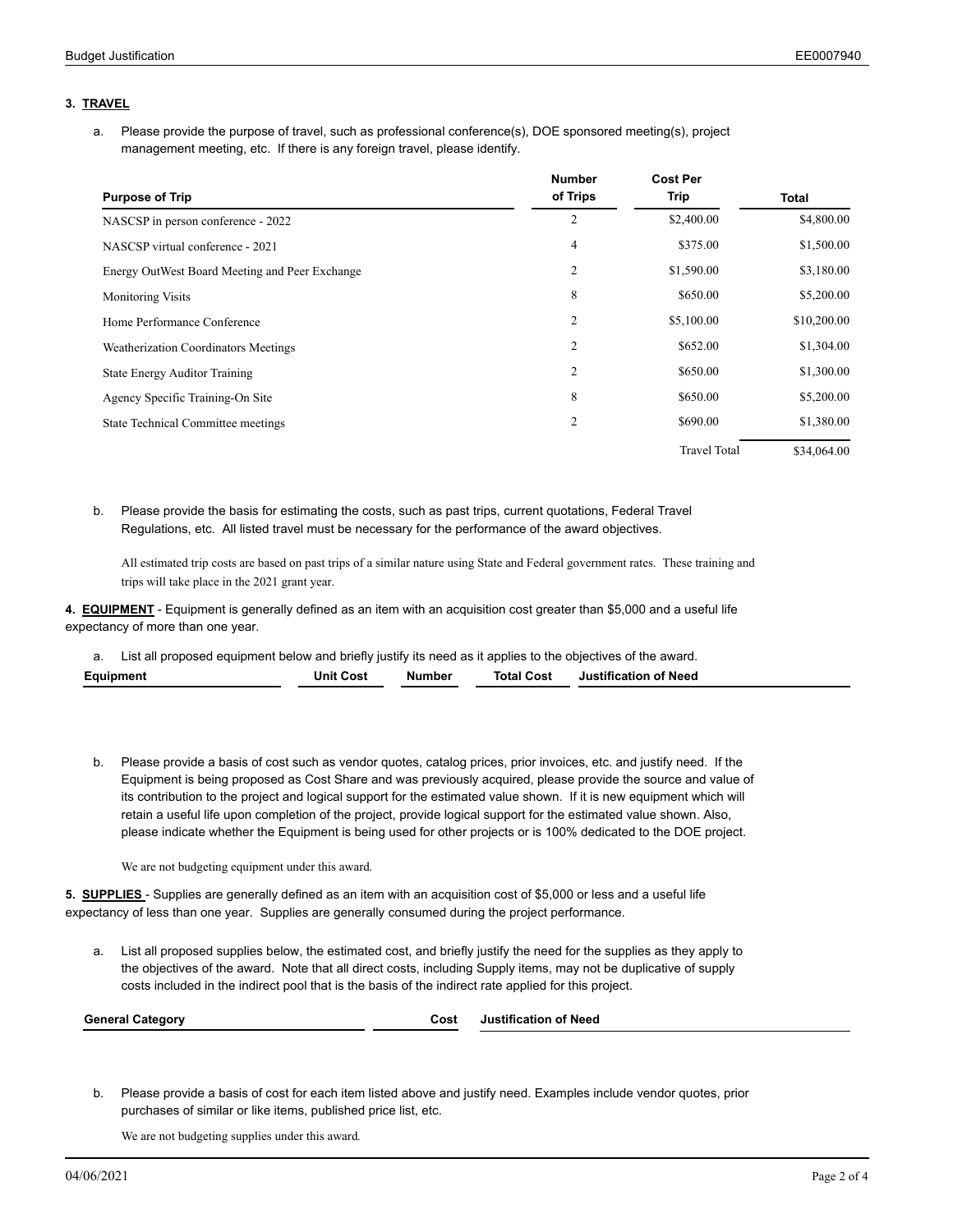### **3. TRAVEL**

Please provide the purpose of travel, such as professional conference(s), DOE sponsored meeting(s), project a. Please provide the purpose of travel, such as professional conference(s<br>management meeting, etc. If there is any foreign travel, please identify.

|                                                | <b>Number</b>  | <b>Cost Per</b>     |             |
|------------------------------------------------|----------------|---------------------|-------------|
| <b>Purpose of Trip</b>                         | of Trips       | Trip                | Total       |
| NASCSP in person conference - 2022             | 2              | \$2,400.00          | \$4,800.00  |
| NASCSP virtual conference - 2021               | $\overline{4}$ | \$375.00            | \$1,500.00  |
| Energy OutWest Board Meeting and Peer Exchange | 2              | \$1,590.00          | \$3,180.00  |
| <b>Monitoring Visits</b>                       | 8              | \$650.00            | \$5,200.00  |
| Home Performance Conference                    | $\overline{2}$ | \$5,100.00          | \$10,200.00 |
| Weatherization Coordinators Meetings           | $\overline{2}$ | \$652.00            | \$1,304.00  |
| <b>State Energy Auditor Training</b>           | $\overline{2}$ | \$650.00            | \$1,300.00  |
| Agency Specific Training-On Site               | 8              | \$650.00            | \$5,200.00  |
| State Technical Committee meetings             | $\overline{c}$ | \$690.00            | \$1,380.00  |
|                                                |                | <b>Travel Total</b> | \$34,064.00 |

Please provide the basis for estimating the costs, such as past trips, current quotations, Federal Travel b. Regulations, etc. All listed travel must be necessary for the performance of the award objectives.

All estimated trip costs are based on past trips of a similar nature using State and Federal government rates. These training and trips will take place in the 2021 grant year.

**4. EQUIPMENT** - Equipment is generally defined as an item with an acquisition cost greater than \$5,000 and a useful life expectancy of more than one year.

a. List all proposed equipment below and briefly justify its need as it applies to the objectives of the award. **Equipment Unit Cost Number Total Cost Justification of Need**

b. Please provide a basis of cost such as vendor quotes, catalog prices, prior invoices, etc. and justify need. If the Equipment is being proposed as Cost Share and was previously acquired, please provide the source and value of its contribution to the project and logical support for the estimated value shown. If it is new equipment which will retain a useful life upon completion of the project, provide logical support for the estimated value shown. Also, please indicate whether the Equipment is being used for other projects or is 100% dedicated to the DOE project.

We are not budgeting equipment under this award.

**5. SUPPLIES** - Supplies are generally defined as an item with an acquisition cost of \$5,000 or less and a useful life expectancy of less than one year. Supplies are generally consumed during the project performance.

List all proposed supplies below, the estimated cost, and briefly justify the need for the supplies as they apply to the objectives of the award. Note that all direct costs, including Supply items, may not be duplicative of supply a. List all proposed supplies below, the estimated cost, and briefly justify the need for the supplies as they<br>the objectives of the award. Note that all direct costs, including Supply items, may not be duplicative of<br>cost

| Cana<br>.<br>$1 - \alpha$ | COS.<br>. | Need<br>пезион |
|---------------------------|-----------|----------------|
|                           |           |                |

Please provide a basis of cost for each item listed above and justify need. Examples include vendor quotes, prior b. purchases of similar or like items, published price list, etc.

We are not budgeting supplies under this award.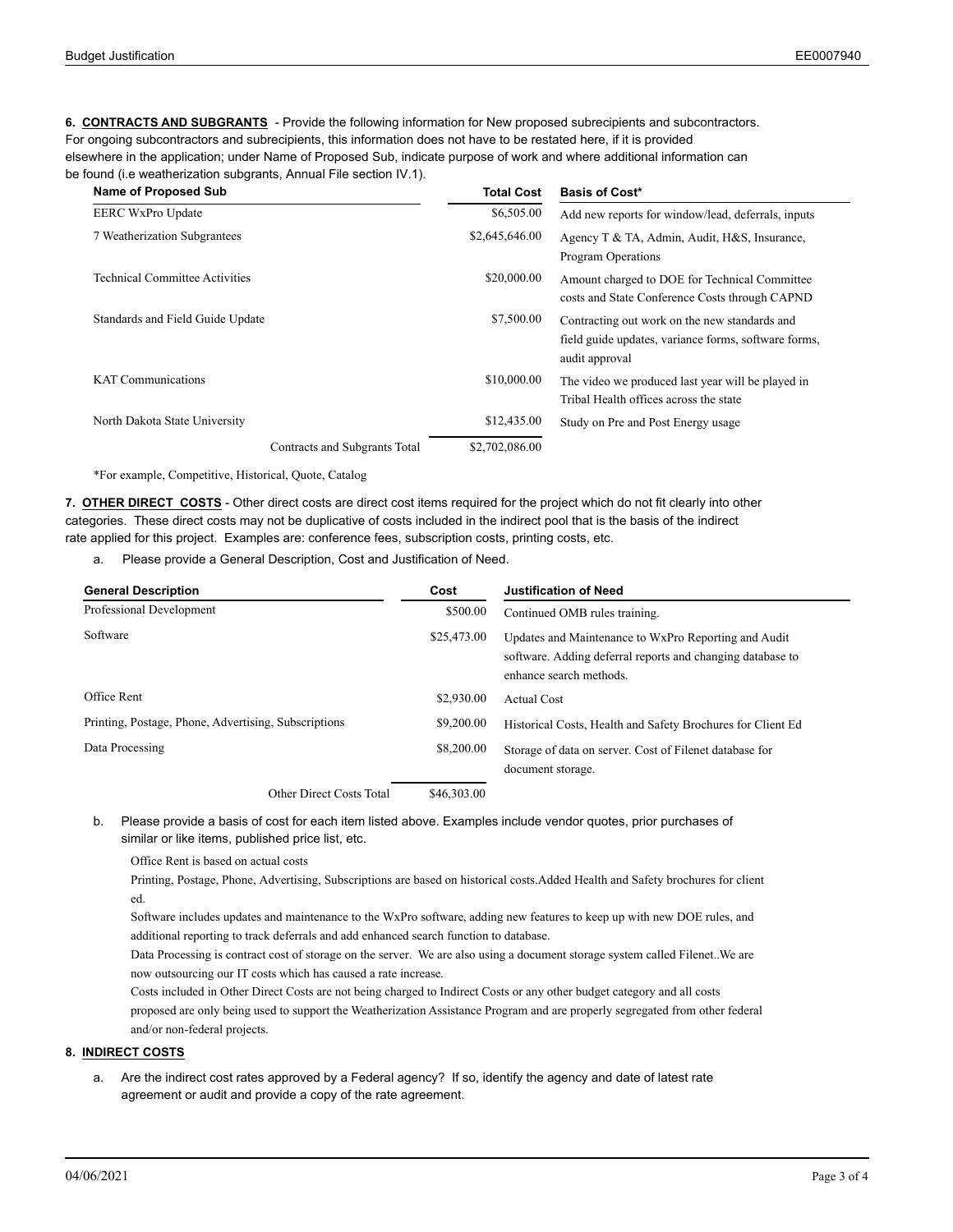**6. CONTRACTS AND SUBGRANTS** - Provide the following information for New proposed subrecipients and subcontractors. For ongoing subcontractors and subrecipients, this information does not have to be restated here, if it is provided elsewhere in the application; under Name of Proposed Sub, indicate purpose of work and where additional information can be found (i.e weatherization subgrants, Annual File section IV.1).

| <b>Name of Proposed Sub</b>           | <b>Total Cost</b> | <b>Basis of Cost*</b>                                                                                                   |
|---------------------------------------|-------------------|-------------------------------------------------------------------------------------------------------------------------|
| <b>EERC WxPro Update</b>              | \$6,505.00        | Add new reports for window/lead, deferrals, inputs                                                                      |
| 7 Weatherization Subgrantees          | \$2,645,646.00    | Agency T & TA, Admin, Audit, H&S, Insurance,<br>Program Operations                                                      |
| <b>Technical Committee Activities</b> | \$20,000.00       | Amount charged to DOE for Technical Committee<br>costs and State Conference Costs through CAPND                         |
| Standards and Field Guide Update      | \$7,500.00        | Contracting out work on the new standards and<br>field guide updates, variance forms, software forms,<br>audit approval |
| <b>KAT Communications</b>             | \$10,000.00       | The video we produced last year will be played in<br>Tribal Health offices across the state                             |
| North Dakota State University         | \$12,435.00       | Study on Pre and Post Energy usage                                                                                      |
| Contracts and Subgrants Total         | \$2,702,086.00    |                                                                                                                         |

\*For example, Competitive, Historical, Quote, Catalog

**7. OTHER DIRECT COSTS** - Other direct costs are direct cost items required for the project which do not fit clearly into other categories. These direct costs may not be duplicative of costs included in the indirect pool that is the basis of the indirect rate applied for this project. Examples are: conference fees, subscription costs, printing costs, etc.

a. Please provide a General Description, Cost and Justification of Need.

| <b>General Description</b>                           | Cost        | <b>Justification of Need</b>                                                                                                                  |
|------------------------------------------------------|-------------|-----------------------------------------------------------------------------------------------------------------------------------------------|
| Professional Development                             | \$500.00    | Continued OMB rules training.                                                                                                                 |
| Software                                             | \$25,473.00 | Updates and Maintenance to WxPro Reporting and Audit<br>software. Adding deferral reports and changing database to<br>enhance search methods. |
| Office Rent                                          | \$2,930.00  | <b>Actual Cost</b>                                                                                                                            |
| Printing, Postage, Phone, Advertising, Subscriptions | \$9,200.00  | Historical Costs, Health and Safety Brochures for Client Ed                                                                                   |
| Data Processing                                      | \$8,200.00  | Storage of data on server. Cost of Filenet database for<br>document storage.                                                                  |
| Other Direct Costs Total                             | \$46,303.00 |                                                                                                                                               |

Please provide a basis of cost for each item listed above. Examples include vendor quotes, prior purchases of b. similar or like items, published price list, etc.

Office Rent is based on actual costs

Printing, Postage, Phone, Advertising, Subscriptions are based on historical costs.Added Health and Safety brochures for client ed.

Software includes updates and maintenance to the WxPro software, adding new features to keep up with new DOE rules, and additional reporting to track deferrals and add enhanced search function to database.

Data Processing is contract cost of storage on the server. We are also using a document storage system called Filenet..We are now outsourcing our IT costs which has caused a rate increase.

Costs included in Other Direct Costs are not being charged to Indirect Costs or any other budget category and all costs proposed are only being used to support the Weatherization Assistance Program and are properly segregated from other federal and/or non-federal projects.

### **8. INDIRECT COSTS**

a. Are the indirect cost rates approved by a Federal agency? If so, identify the agency and date of latest rate agreement or audit and provide a copy of the rate agreement.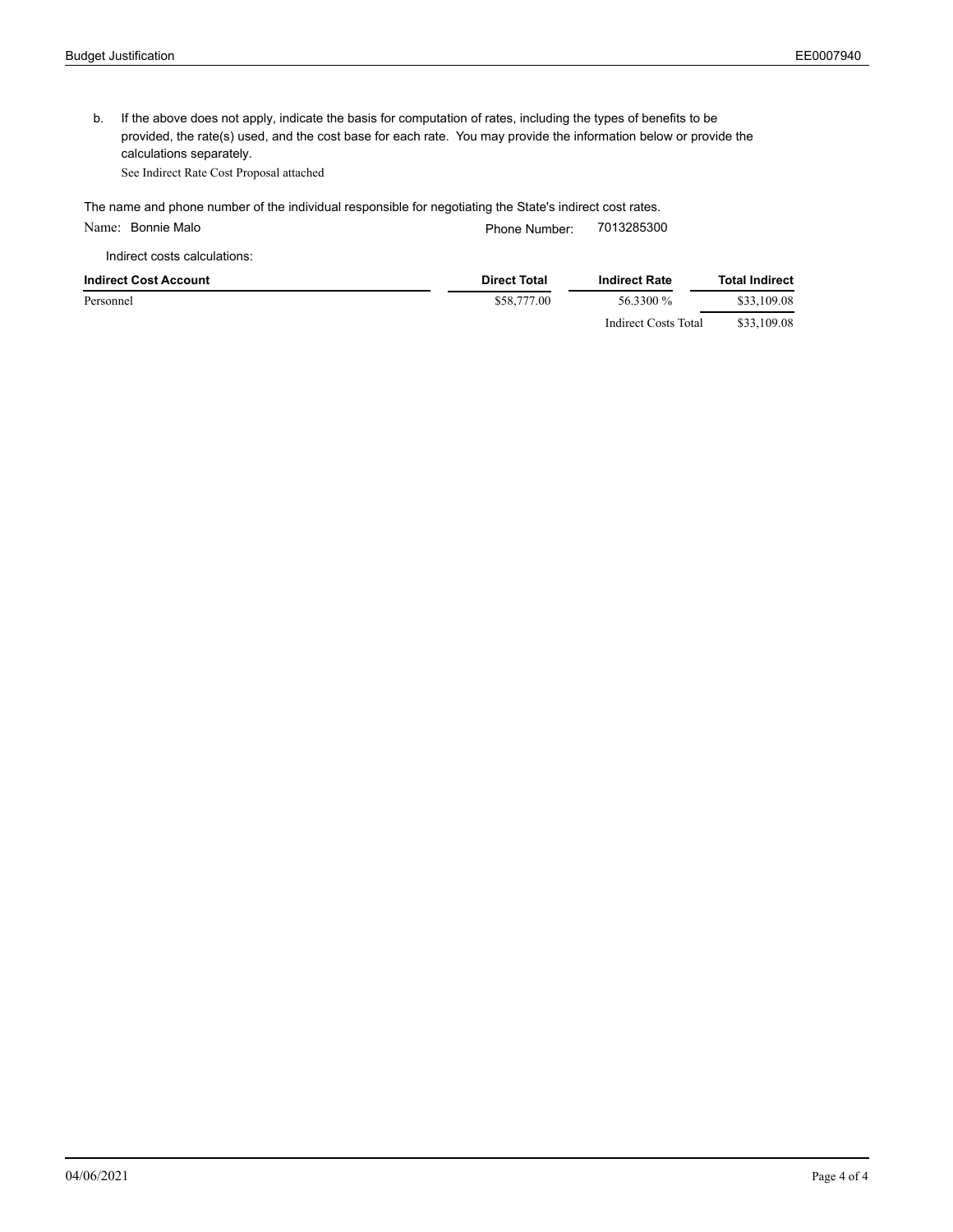b. If the above does not apply, indicate the basis for computation of rates, including the types of benefits to be provided, the rate(s) used, and the cost base for each rate. You may provide the information below or provide the calculations separately.

See Indirect Rate Cost Proposal attached

The name and phone number of the individual responsible for negotiating the State's indirect cost rates.

| Name: Bonnie Malo            | Phone Number:       | 7013285300           |                       |
|------------------------------|---------------------|----------------------|-----------------------|
| Indirect costs calculations: |                     |                      |                       |
| Indirect Cost Account        | <b>Direct Total</b> | <b>Indirect Rate</b> | <b>Total Indirect</b> |
| Personnel                    | \$58,777.00         | 56.3300 %            | \$33,109.08           |
|                              |                     | Indirect Costs Total | \$33,109.08           |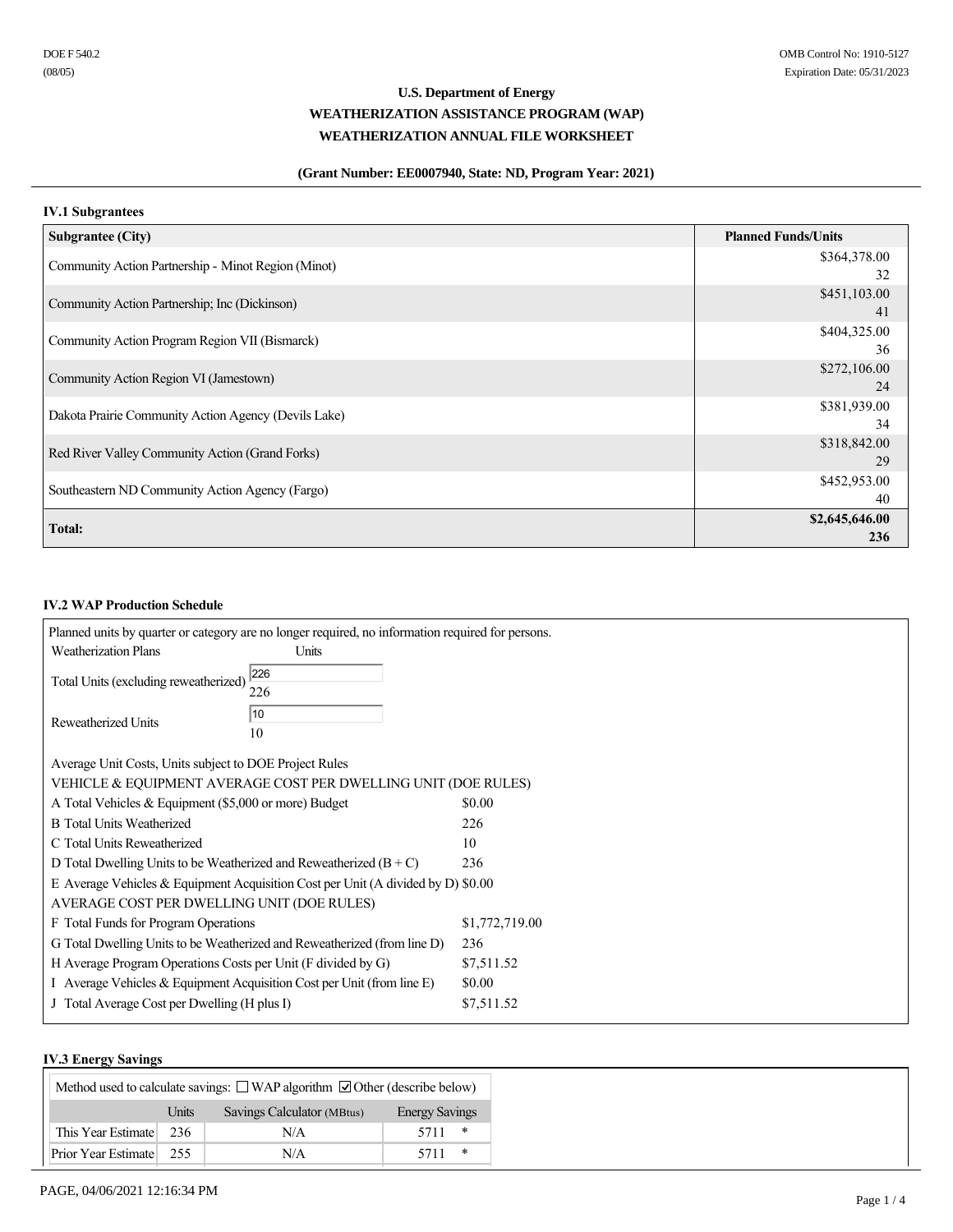### **(Grant Number: EE0007940, State: ND, Program Year: 2021)**

### **IV.1 Subgrantees**

| <b>Subgrantee (City)</b>                             | <b>Planned Funds/Units</b> |
|------------------------------------------------------|----------------------------|
| Community Action Partnership - Minot Region (Minot)  | \$364,378.00               |
|                                                      | 32                         |
| Community Action Partnership; Inc (Dickinson)        | \$451,103.00               |
|                                                      | 41                         |
| Community Action Program Region VII (Bismarck)       | \$404,325.00               |
|                                                      | 36                         |
| Community Action Region VI (Jamestown)               | \$272,106.00               |
|                                                      | 24                         |
| Dakota Prairie Community Action Agency (Devils Lake) | \$381,939.00               |
|                                                      | 34                         |
| Red River Valley Community Action (Grand Forks)      | \$318,842.00               |
|                                                      | 29                         |
| Southeastern ND Community Action Agency (Fargo)      | \$452,953.00               |
|                                                      | 40                         |
| <b>Total:</b>                                        | \$2,645,646.00             |
|                                                      | 236                        |

### **IV.2 WAP Production Schedule**

|                                                                          | Planned units by quarter or category are no longer required, no information required for persons. |                |
|--------------------------------------------------------------------------|---------------------------------------------------------------------------------------------------|----------------|
| <b>Weatherization Plans</b>                                              | Units                                                                                             |                |
|                                                                          | 226                                                                                               |                |
| Total Units (excluding reweatherized)                                    | 226                                                                                               |                |
|                                                                          | 10                                                                                                |                |
| Reweatherized Units                                                      | 10                                                                                                |                |
|                                                                          |                                                                                                   |                |
| Average Unit Costs, Units subject to DOE Project Rules                   |                                                                                                   |                |
|                                                                          | VEHICLE & EQUIPMENT AVERAGE COST PER DWELLING UNIT (DOE RULES)                                    |                |
| A Total Vehicles & Equipment (\$5,000 or more) Budget                    |                                                                                                   | \$0.00         |
| <b>B</b> Total Units Weatherized                                         |                                                                                                   | 226            |
| C Total Units Reweatherized                                              |                                                                                                   | 10             |
| D Total Dwelling Units to be Weatherized and Reweatherized $(B+C)$       |                                                                                                   | 236            |
|                                                                          | E Average Vehicles & Equipment Acquisition Cost per Unit (A divided by D) \$0.00                  |                |
| AVERAGE COST PER DWELLING UNIT (DOE RULES)                               |                                                                                                   |                |
| F Total Funds for Program Operations                                     |                                                                                                   | \$1,772,719.00 |
|                                                                          | G Total Dwelling Units to be Weatherized and Reweatherized (from line D)                          | 236            |
| H Average Program Operations Costs per Unit (F divided by G)             |                                                                                                   | \$7,511.52     |
| I Average Vehicles $&$ Equipment Acquisition Cost per Unit (from line E) |                                                                                                   | \$0.00         |
| J Total Average Cost per Dwelling (H plus I)                             |                                                                                                   | \$7,511.52     |
|                                                                          |                                                                                                   |                |

### **IV.3 Energy Savings**

| .<br>Method used to calculate savings: $\Box$ WAP algorithm $\Box$ Other (describe below) |       |                            |                       |  |
|-------------------------------------------------------------------------------------------|-------|----------------------------|-----------------------|--|
|                                                                                           | Units | Savings Calculator (MBtus) | <b>Energy Savings</b> |  |
| This Year Estimate                                                                        | 236   | N/A                        | 5711<br>∗             |  |
| Prior Year Estimate                                                                       | 255   | N/A                        | ∗<br>5711             |  |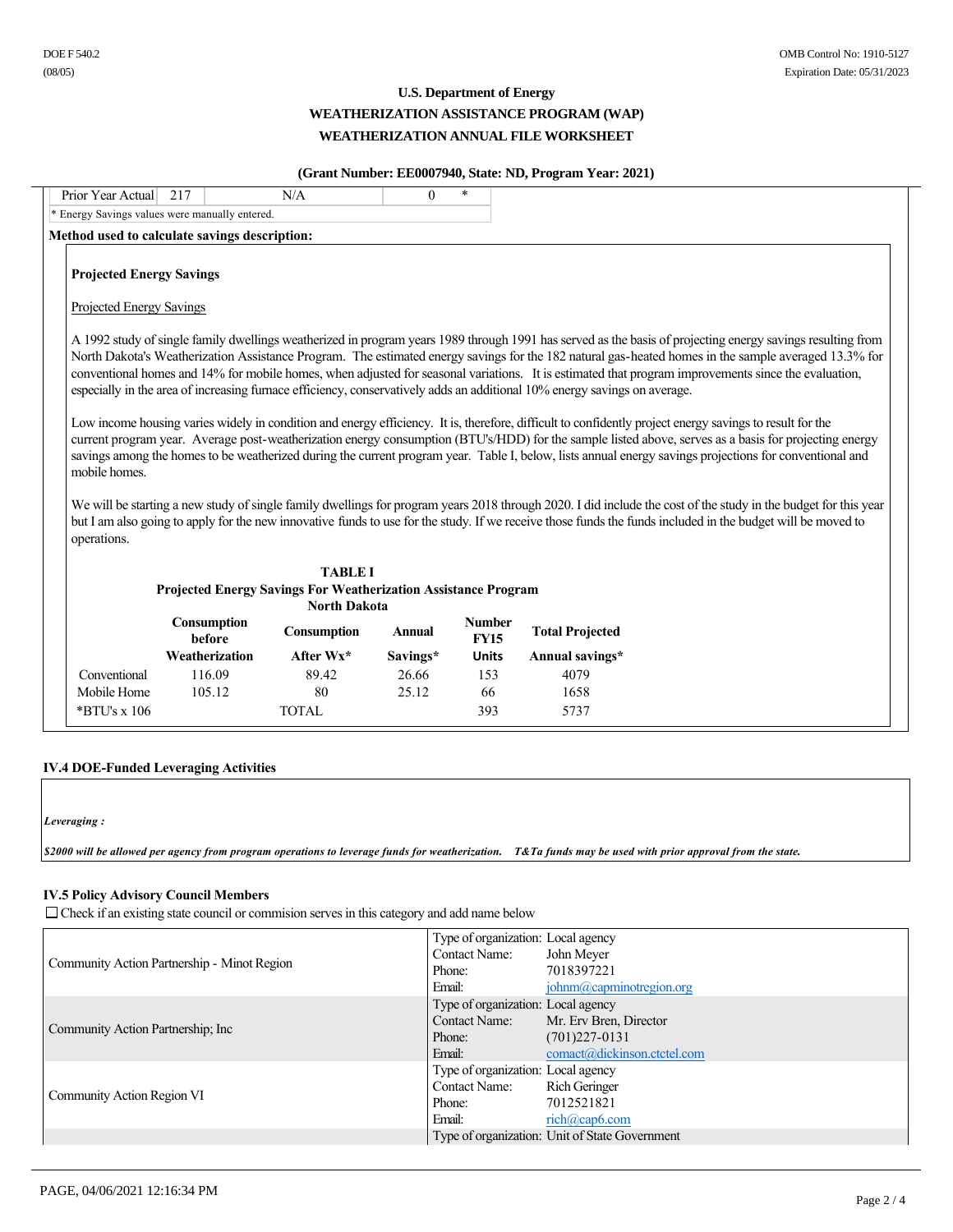### **(Grant Number: EE0007940, State: ND, Program Year: 2021)**

| Prior Year Actual                                           | 217                                                                   | N/A                 | $\Omega$      | $\ast$                       |                                                                                                                           |                                                                                                                                                                                                                                                                                                                                                                                                                                                                                                                                                                                                                                                                                                                                                                                                |  |
|-------------------------------------------------------------|-----------------------------------------------------------------------|---------------------|---------------|------------------------------|---------------------------------------------------------------------------------------------------------------------------|------------------------------------------------------------------------------------------------------------------------------------------------------------------------------------------------------------------------------------------------------------------------------------------------------------------------------------------------------------------------------------------------------------------------------------------------------------------------------------------------------------------------------------------------------------------------------------------------------------------------------------------------------------------------------------------------------------------------------------------------------------------------------------------------|--|
| * Energy Savings values were manually entered.              |                                                                       |                     |               |                              |                                                                                                                           |                                                                                                                                                                                                                                                                                                                                                                                                                                                                                                                                                                                                                                                                                                                                                                                                |  |
|                                                             | Method used to calculate savings description:                         |                     |               |                              |                                                                                                                           |                                                                                                                                                                                                                                                                                                                                                                                                                                                                                                                                                                                                                                                                                                                                                                                                |  |
| <b>Projected Energy Savings</b><br>Projected Energy Savings |                                                                       |                     |               |                              | especially in the area of increasing furnace efficiency, conservatively adds an additional 10% energy savings on average. | A 1992 study of single family dwellings weatherized in program years 1989 through 1991 has served as the basis of projecting energy sayings resulting from<br>North Dakota's Weatherization Assistance Program. The estimated energy savings for the 182 natural gas-heated homes in the sample averaged 13.3% for<br>conventional homes and 14% for mobile homes, when adjusted for seasonal variations. It is estimated that program improvements since the evaluation,<br>Low income housing varies widely in condition and energy efficiency. It is, therefore, difficult to confidently project energy savings to result for the<br>current program year. Average post-weatherization energy consumption (BTU's/HDD) for the sample listed above, serves as a basis for projecting energy |  |
| mobile homes.<br>operations.                                |                                                                       |                     |               |                              |                                                                                                                           | savings among the homes to be weatherized during the current program year. Table I, below, lists annual energy savings projections for conventional and<br>We will be starting a new study of single family dwellings for program years 2018 through 2020. I did include the cost of the study in the budget for this year<br>but I am also going to apply for the new innovative funds to use for the study. If we receive those funds the funds included in the budget will be moved to                                                                                                                                                                                                                                                                                                      |  |
|                                                             |                                                                       | <b>TABLE I</b>      |               |                              |                                                                                                                           |                                                                                                                                                                                                                                                                                                                                                                                                                                                                                                                                                                                                                                                                                                                                                                                                |  |
|                                                             | <b>Projected Energy Savings For Weatherization Assistance Program</b> | <b>North Dakota</b> |               |                              |                                                                                                                           |                                                                                                                                                                                                                                                                                                                                                                                                                                                                                                                                                                                                                                                                                                                                                                                                |  |
|                                                             | Consumption<br>before                                                 | Consumption         | <b>Annual</b> | <b>Number</b><br><b>FY15</b> | <b>Total Projected</b>                                                                                                    |                                                                                                                                                                                                                                                                                                                                                                                                                                                                                                                                                                                                                                                                                                                                                                                                |  |
|                                                             | Weatherization                                                        | After $Wx^*$        | Savings*      | <b>Units</b>                 | Annual savings*                                                                                                           |                                                                                                                                                                                                                                                                                                                                                                                                                                                                                                                                                                                                                                                                                                                                                                                                |  |
| Conventional                                                | 116.09                                                                | 89.42               | 26.66         | 153                          | 4079                                                                                                                      |                                                                                                                                                                                                                                                                                                                                                                                                                                                                                                                                                                                                                                                                                                                                                                                                |  |
| Mobile Home                                                 | 105.12                                                                | 80                  | 25.12         | 66                           | 1658                                                                                                                      |                                                                                                                                                                                                                                                                                                                                                                                                                                                                                                                                                                                                                                                                                                                                                                                                |  |
| *BTU's x 106                                                |                                                                       | <b>TOTAL</b>        |               | 393                          | 5737                                                                                                                      |                                                                                                                                                                                                                                                                                                                                                                                                                                                                                                                                                                                                                                                                                                                                                                                                |  |

### **IV.4 DOE-Funded Leveraging Activities**

*Leveraging :* 

*\$2000 will be allowed per agency from program operations to leverage funds for weatherization. T&Ta funds may be used with prior approval from the state.* 

### **IV.5 Policy Advisory Council Members**

 $\Box$  Check if an existing state council or commision serves in this category and add name below

|                                             | Type of organization: Local agency |                                                      |
|---------------------------------------------|------------------------------------|------------------------------------------------------|
| Community Action Partnership - Minot Region | <b>Contact Name:</b>               | John Meyer                                           |
|                                             | Phone:                             | 7018397221                                           |
|                                             | Email:                             | $\phi$ <sub>i</sub> ohnm $\omega$ capminotregion.org |
|                                             | Type of organization: Local agency |                                                      |
| Community Action Partnership; Inc.          | <b>Contact Name:</b>               | Mr. Erv Bren, Director                               |
|                                             | Phone:                             | $(701)227 - 0131$                                    |
|                                             | Email:                             | comact@dickinson.ctctel.com                          |
|                                             | Type of organization: Local agency |                                                      |
|                                             | <b>Contact Name:</b>               | <b>Rich Geringer</b>                                 |
| Community Action Region VI                  | Phone:                             | 7012521821                                           |
|                                             | Email:                             | $rich(a) \text{cap6}$ .com                           |
|                                             |                                    | Type of organization: Unit of State Government       |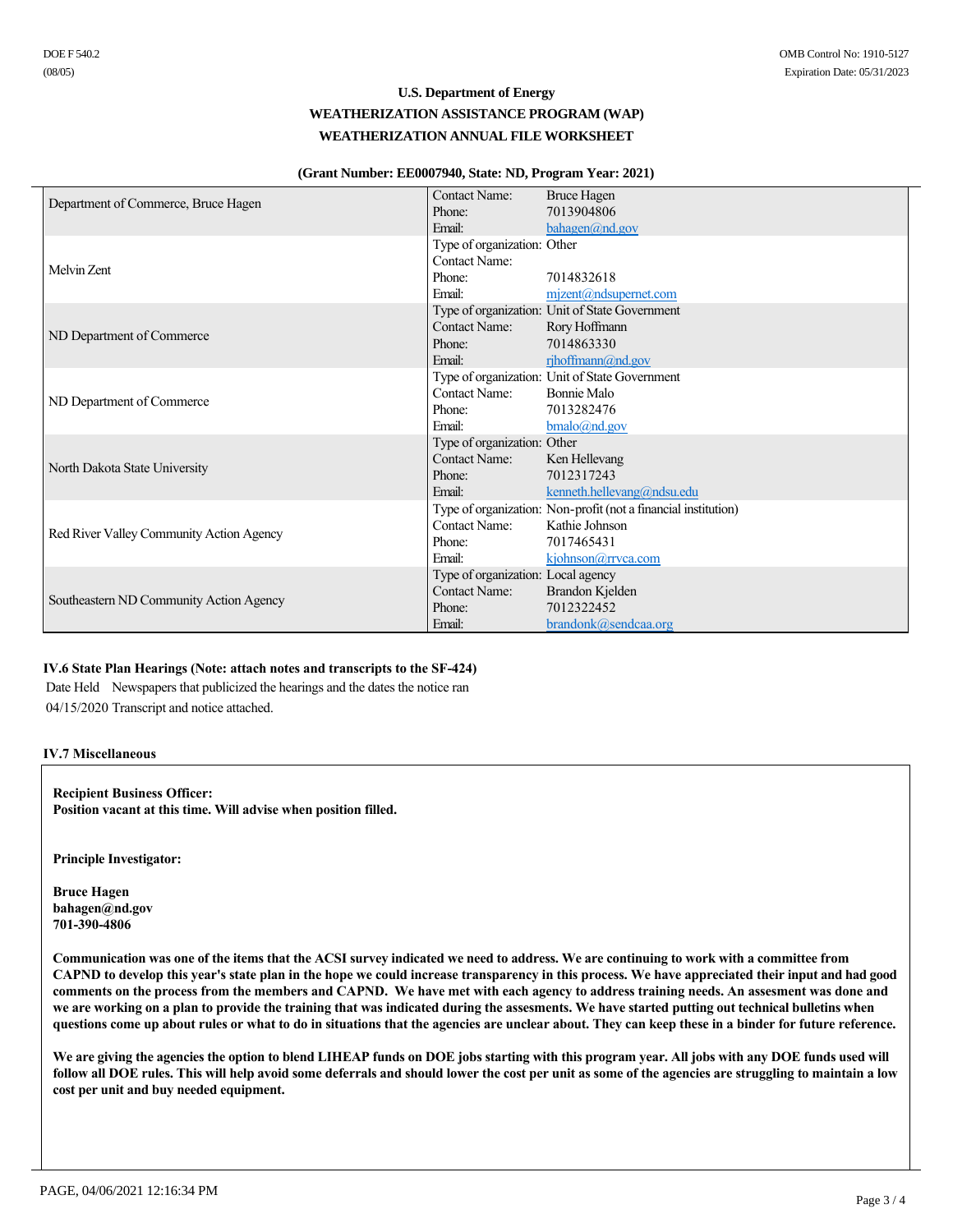#### **(Grant Number: EE0007940, State: ND, Program Year: 2021)**

| DOE F 540.2<br>(08/05)                                                                                                                                                                                                                                                                                                                                                                                                                                                                                                                                                                                                                                                                                                                        |                                                          |                                                                 | OMB Control No: 1910-5127<br>Expiration Date: 05/31/2023 |
|-----------------------------------------------------------------------------------------------------------------------------------------------------------------------------------------------------------------------------------------------------------------------------------------------------------------------------------------------------------------------------------------------------------------------------------------------------------------------------------------------------------------------------------------------------------------------------------------------------------------------------------------------------------------------------------------------------------------------------------------------|----------------------------------------------------------|-----------------------------------------------------------------|----------------------------------------------------------|
|                                                                                                                                                                                                                                                                                                                                                                                                                                                                                                                                                                                                                                                                                                                                               | <b>U.S. Department of Energy</b>                         |                                                                 |                                                          |
|                                                                                                                                                                                                                                                                                                                                                                                                                                                                                                                                                                                                                                                                                                                                               | WEATHERIZATION ASSISTANCE PROGRAM (WAP)                  |                                                                 |                                                          |
|                                                                                                                                                                                                                                                                                                                                                                                                                                                                                                                                                                                                                                                                                                                                               | WEATHERIZATION ANNUAL FILE WORKSHEET                     |                                                                 |                                                          |
|                                                                                                                                                                                                                                                                                                                                                                                                                                                                                                                                                                                                                                                                                                                                               |                                                          |                                                                 |                                                          |
|                                                                                                                                                                                                                                                                                                                                                                                                                                                                                                                                                                                                                                                                                                                                               | (Grant Number: EE0007940, State: ND, Program Year: 2021) |                                                                 |                                                          |
| Department of Commerce, Bruce Hagen                                                                                                                                                                                                                                                                                                                                                                                                                                                                                                                                                                                                                                                                                                           | Contact Name:                                            | <b>Bruce Hagen</b>                                              |                                                          |
|                                                                                                                                                                                                                                                                                                                                                                                                                                                                                                                                                                                                                                                                                                                                               | Phone:<br>Email:                                         | 7013904806<br>bahagen@nd.gov                                    |                                                          |
|                                                                                                                                                                                                                                                                                                                                                                                                                                                                                                                                                                                                                                                                                                                                               | Type of organization: Other                              |                                                                 |                                                          |
|                                                                                                                                                                                                                                                                                                                                                                                                                                                                                                                                                                                                                                                                                                                                               | Contact Name:                                            |                                                                 |                                                          |
| Melvin Zent                                                                                                                                                                                                                                                                                                                                                                                                                                                                                                                                                                                                                                                                                                                                   | Phone:                                                   | 7014832618                                                      |                                                          |
|                                                                                                                                                                                                                                                                                                                                                                                                                                                                                                                                                                                                                                                                                                                                               | Email:                                                   | $m$ izent@ndsupernet.com                                        |                                                          |
|                                                                                                                                                                                                                                                                                                                                                                                                                                                                                                                                                                                                                                                                                                                                               | Contact Name:                                            | Type of organization: Unit of State Government<br>Rory Hoffmann |                                                          |
| ND Department of Commerce                                                                                                                                                                                                                                                                                                                                                                                                                                                                                                                                                                                                                                                                                                                     | Phone:                                                   | 7014863330                                                      |                                                          |
|                                                                                                                                                                                                                                                                                                                                                                                                                                                                                                                                                                                                                                                                                                                                               | Email:                                                   | rjhoffmann@nd.gov                                               |                                                          |
|                                                                                                                                                                                                                                                                                                                                                                                                                                                                                                                                                                                                                                                                                                                                               |                                                          | Type of organization: Unit of State Government                  |                                                          |
| ND Department of Commerce                                                                                                                                                                                                                                                                                                                                                                                                                                                                                                                                                                                                                                                                                                                     | Contact Name:                                            | Bonnie Malo                                                     |                                                          |
|                                                                                                                                                                                                                                                                                                                                                                                                                                                                                                                                                                                                                                                                                                                                               | Phone:                                                   | 7013282476                                                      |                                                          |
|                                                                                                                                                                                                                                                                                                                                                                                                                                                                                                                                                                                                                                                                                                                                               | Email:<br>Type of organization: Other                    | $b$ malo@nd.gov                                                 |                                                          |
|                                                                                                                                                                                                                                                                                                                                                                                                                                                                                                                                                                                                                                                                                                                                               | Contact Name:                                            | Ken Hellevang                                                   |                                                          |
| North Dakota State University                                                                                                                                                                                                                                                                                                                                                                                                                                                                                                                                                                                                                                                                                                                 | Phone:                                                   | 7012317243                                                      |                                                          |
|                                                                                                                                                                                                                                                                                                                                                                                                                                                                                                                                                                                                                                                                                                                                               | Email:                                                   | kenneth.hellevang@ndsu.edu                                      |                                                          |
|                                                                                                                                                                                                                                                                                                                                                                                                                                                                                                                                                                                                                                                                                                                                               |                                                          | Type of organization: Non-profit (not a financial institution)  |                                                          |
| Red River Valley Community Action Agency                                                                                                                                                                                                                                                                                                                                                                                                                                                                                                                                                                                                                                                                                                      | Contact Name:<br>Phone:                                  | Kathie Johnson<br>7017465431                                    |                                                          |
|                                                                                                                                                                                                                                                                                                                                                                                                                                                                                                                                                                                                                                                                                                                                               | Email:                                                   | kjohnson@rrvca.com                                              |                                                          |
|                                                                                                                                                                                                                                                                                                                                                                                                                                                                                                                                                                                                                                                                                                                                               | Type of organization: Local agency                       |                                                                 |                                                          |
| Southeastern ND Community Action Agency                                                                                                                                                                                                                                                                                                                                                                                                                                                                                                                                                                                                                                                                                                       | Contact Name:                                            | Brandon Kjelden                                                 |                                                          |
|                                                                                                                                                                                                                                                                                                                                                                                                                                                                                                                                                                                                                                                                                                                                               | Phone:                                                   | 7012322452                                                      |                                                          |
|                                                                                                                                                                                                                                                                                                                                                                                                                                                                                                                                                                                                                                                                                                                                               | Email:                                                   | brandonk@sendcaa.org                                            |                                                          |
| IV.6 State Plan Hearings (Note: attach notes and transcripts to the SF-424)<br>Date Held Newspapers that publicized the hearings and the dates the notice ran<br>04/15/2020 Transcript and notice attached.<br><b>IV.7 Miscellaneous</b>                                                                                                                                                                                                                                                                                                                                                                                                                                                                                                      |                                                          |                                                                 |                                                          |
| <b>Recipient Business Officer:</b><br>Position vacant at this time. Will advise when position filled.                                                                                                                                                                                                                                                                                                                                                                                                                                                                                                                                                                                                                                         |                                                          |                                                                 |                                                          |
| <b>Principle Investigator:</b>                                                                                                                                                                                                                                                                                                                                                                                                                                                                                                                                                                                                                                                                                                                |                                                          |                                                                 |                                                          |
| <b>Bruce Hagen</b><br>bahagen@nd.gov<br>701-390-4806                                                                                                                                                                                                                                                                                                                                                                                                                                                                                                                                                                                                                                                                                          |                                                          |                                                                 |                                                          |
| Communication was one of the items that the ACSI survey indicated we need to address. We are continuing to work with a committee from<br>CAPND to develop this year's state plan in the hope we could increase transparency in this process. We have appreciated their input and had good<br>comments on the process from the members and CAPND. We have met with each agency to address training needs. An assesment was done and<br>we are working on a plan to provide the training that was indicated during the assesments. We have started putting out technical bulletins when<br>questions come up about rules or what to do in situations that the agencies are unclear about. They can keep these in a binder for future reference. |                                                          |                                                                 |                                                          |
| We are giving the agencies the option to blend LIHEAP funds on DOE jobs starting with this program year. All jobs with any DOE funds used will<br>follow all DOE rules. This will help avoid some deferrals and should lower the cost per unit as some of the agencies are struggling to maintain a low<br>cost per unit and buy needed equipment.                                                                                                                                                                                                                                                                                                                                                                                            |                                                          |                                                                 |                                                          |

### **IV.6 State Plan Hearings (Note: attach notes and transcripts to the SF-424)**

### **IV.7 Miscellaneous**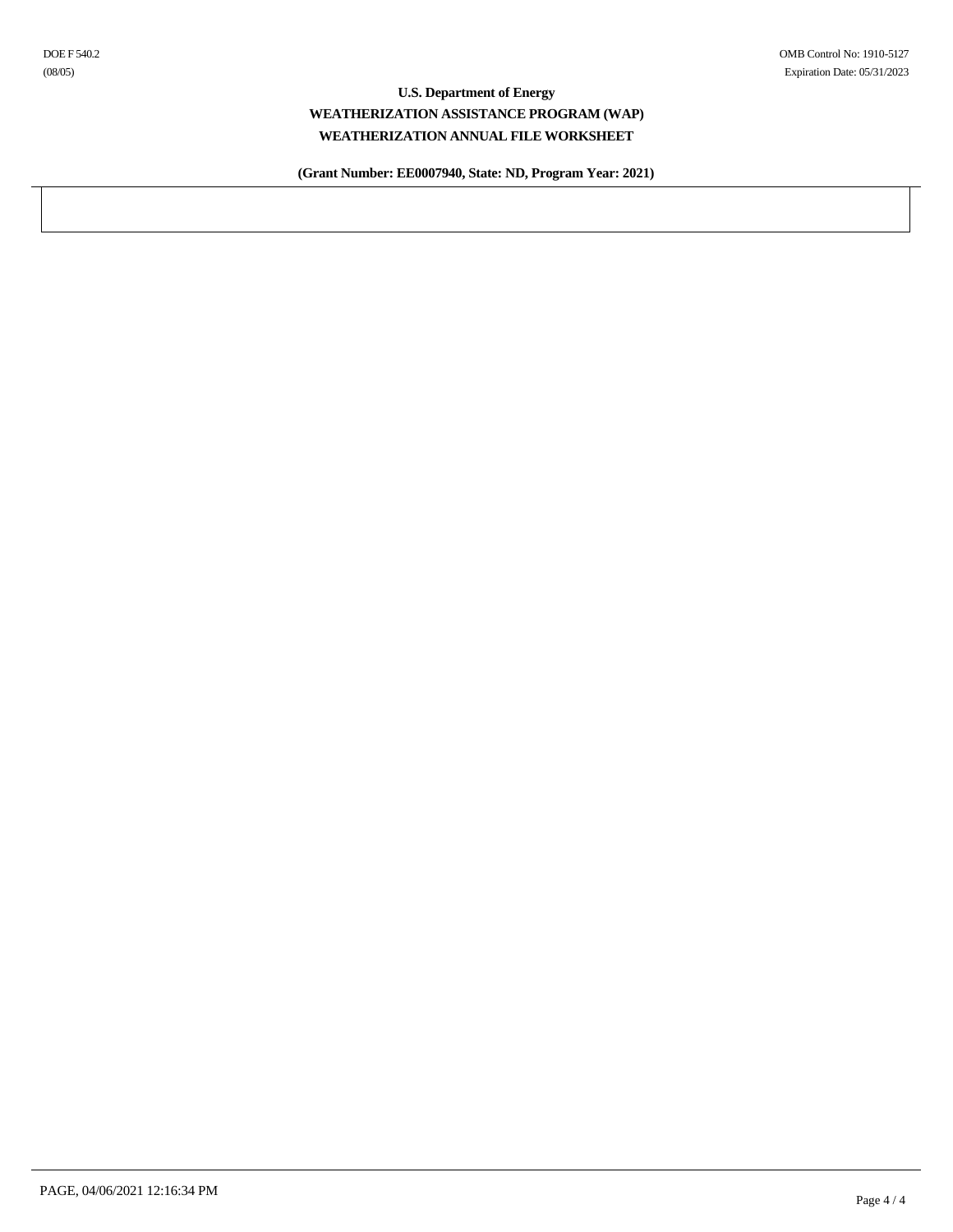**(Grant Number: EE0007940, State: ND, Program Year: 2021)**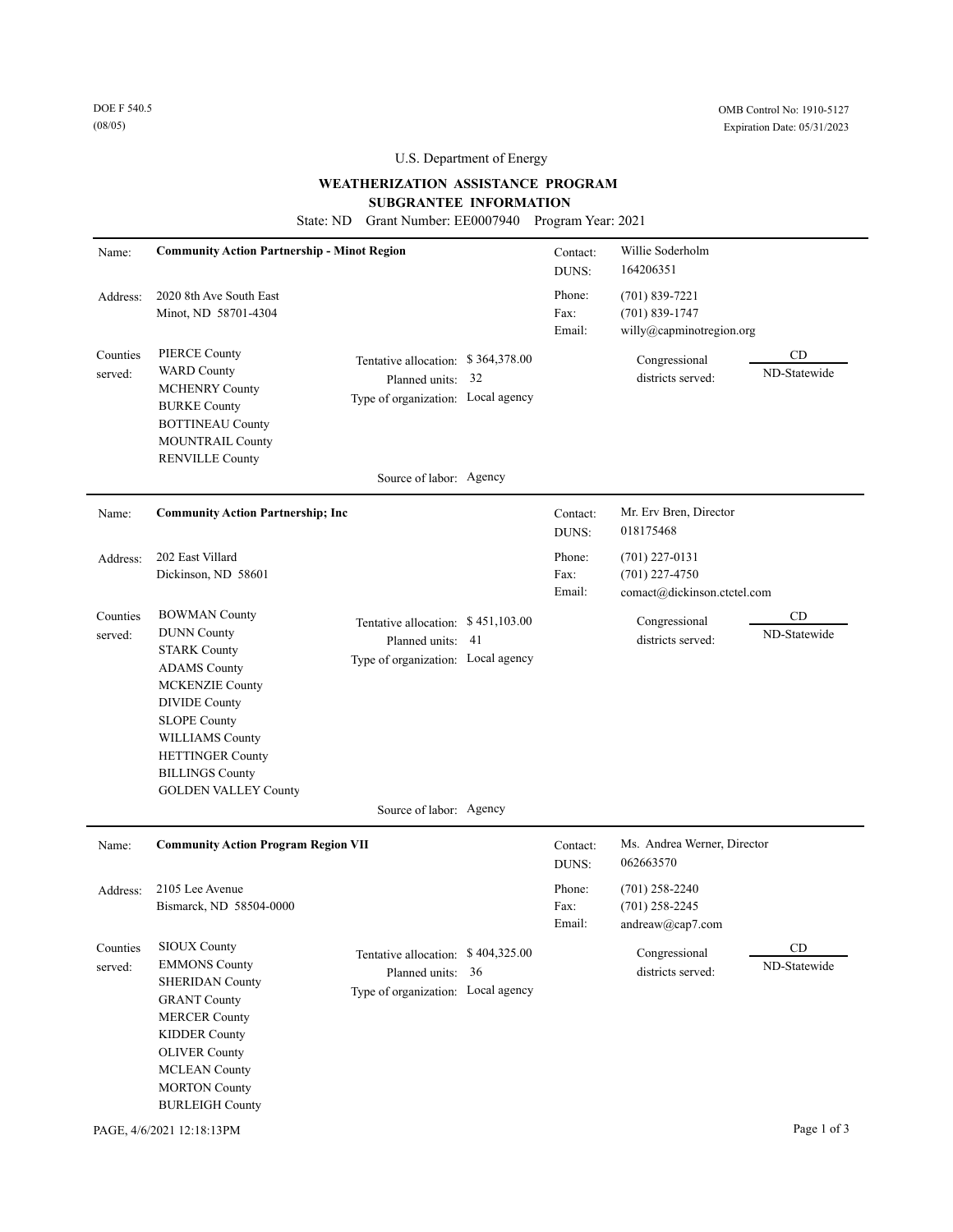### **WEATHERIZATION ASSISTANCE PROGRAM**

### **SUBGRANTEE INFORMATION**

State: ND Grant Number: EE0007940 Program Year: 2021

| Name:               | <b>Community Action Partnership - Minot Region</b>                                                                                                                                                                                                                              |                                                                                               |     | Contact:<br>DUNS:        | Willie Soderholm<br>164206351                                       |                                   |
|---------------------|---------------------------------------------------------------------------------------------------------------------------------------------------------------------------------------------------------------------------------------------------------------------------------|-----------------------------------------------------------------------------------------------|-----|--------------------------|---------------------------------------------------------------------|-----------------------------------|
| Address:            | 2020 8th Ave South East<br>Minot, ND 58701-4304                                                                                                                                                                                                                                 |                                                                                               |     | Phone:<br>Fax:<br>Email: | $(701)$ 839-7221<br>$(701) 839 - 1747$<br>willy@capminotregion.org  |                                   |
| Counties<br>served: | <b>PIERCE County</b><br><b>WARD County</b><br><b>MCHENRY County</b><br><b>BURKE County</b><br><b>BOTTINEAU County</b><br>MOUNTRAIL County<br><b>RENVILLE County</b>                                                                                                             | Tentative allocation: \$364,378.00<br>Planned units: 32<br>Type of organization: Local agency |     |                          | Congressional<br>districts served:                                  | CD<br>ND-Statewide                |
|                     |                                                                                                                                                                                                                                                                                 | Source of labor: Agency                                                                       |     |                          |                                                                     |                                   |
| Name:               | <b>Community Action Partnership; Inc</b>                                                                                                                                                                                                                                        |                                                                                               |     | Contact:<br>DUNS:        | Mr. Erv Bren, Director<br>018175468                                 |                                   |
| Address:            | 202 East Villard<br>Dickinson, ND 58601                                                                                                                                                                                                                                         |                                                                                               |     | Phone:<br>Fax:<br>Email: | $(701)$ 227-0131<br>$(701)$ 227-4750<br>comact@dickinson.ctctel.com |                                   |
| Counties<br>served: | <b>BOWMAN County</b><br><b>DUNN County</b><br><b>STARK County</b><br><b>ADAMS</b> County<br><b>MCKENZIE County</b><br><b>DIVIDE County</b><br><b>SLOPE County</b><br><b>WILLIAMS County</b><br><b>HETTINGER County</b><br><b>BILLINGS County</b><br><b>GOLDEN VALLEY County</b> | Tentative allocation: \$451,103.00<br>Planned units:<br>Type of organization: Local agency    | -41 |                          | Congressional<br>districts served:                                  | CD<br>ND-Statewide                |
|                     |                                                                                                                                                                                                                                                                                 | Source of labor: Agency                                                                       |     |                          |                                                                     |                                   |
| Name:               | <b>Community Action Program Region VII</b>                                                                                                                                                                                                                                      |                                                                                               |     | Contact:<br>DUNS:        | Ms. Andrea Werner, Director<br>062663570                            |                                   |
| Address:            | 2105 Lee Avenue<br>Bismarck, ND 58504-0000                                                                                                                                                                                                                                      |                                                                                               |     | Phone:<br>Fax:<br>Email: | $(701)$ 258-2240<br>$(701)$ 258-2245<br>andreaw@cap7.com            |                                   |
| Counties<br>served: | <b>SIOUX County</b><br><b>EMMONS County</b><br><b>SHERIDAN County</b><br><b>GRANT County</b><br><b>MERCER County</b><br><b>KIDDER County</b><br><b>OLIVER County</b><br><b>MCLEAN County</b><br><b>MORTON County</b><br><b>BURLEIGH County</b>                                  | Tentative allocation: \$404,325.00<br>Planned units: 36<br>Type of organization: Local agency |     |                          | Congressional<br>districts served:                                  | $\mathop{\rm CD}$<br>ND-Statewide |
|                     | PAGE, 4/6/2021 12:18:13PM                                                                                                                                                                                                                                                       |                                                                                               |     |                          |                                                                     | Page 1 of 3                       |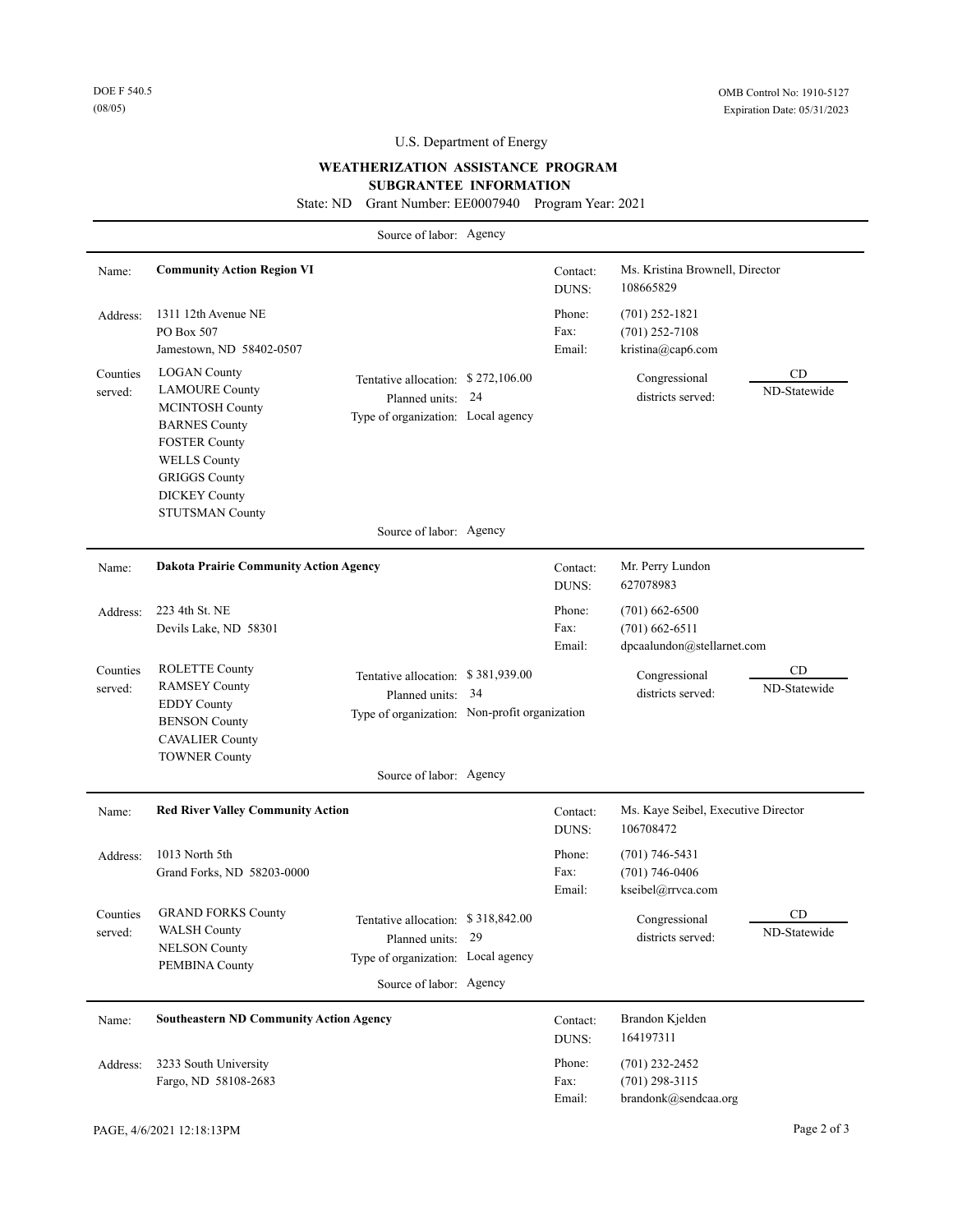### **WEATHERIZATION ASSISTANCE PROGRAM**

### **SUBGRANTEE INFORMATION**

State: ND Grant Number: EE0007940 Program Year: 2021

|                     |                                                                                                                                                                                                                         | Source of labor: Agency                                                                                                  |    |                          |                                                                    |                           |
|---------------------|-------------------------------------------------------------------------------------------------------------------------------------------------------------------------------------------------------------------------|--------------------------------------------------------------------------------------------------------------------------|----|--------------------------|--------------------------------------------------------------------|---------------------------|
| Name:               | <b>Community Action Region VI</b>                                                                                                                                                                                       |                                                                                                                          |    | Contact:<br>DUNS:        | Ms. Kristina Brownell, Director<br>108665829                       |                           |
| Address:            | 1311 12th Avenue NE<br>PO Box 507<br>Jamestown, ND 58402-0507                                                                                                                                                           |                                                                                                                          |    | Phone:<br>Fax:<br>Email: | $(701)$ 252-1821<br>$(701)$ 252-7108<br>kristina@cap6.com          |                           |
| Counties<br>served: | <b>LOGAN County</b><br><b>LAMOURE County</b><br><b>MCINTOSH County</b><br><b>BARNES County</b><br><b>FOSTER County</b><br><b>WELLS County</b><br><b>GRIGGS County</b><br><b>DICKEY County</b><br><b>STUTSMAN County</b> | Tentative allocation: \$272,106.00<br>Planned units: 24<br>Type of organization: Local agency                            |    |                          | Congressional<br>districts served:                                 | CD<br>ND-Statewide        |
|                     |                                                                                                                                                                                                                         | Source of labor: Agency                                                                                                  |    |                          |                                                                    |                           |
| Name:               | <b>Dakota Prairie Community Action Agency</b>                                                                                                                                                                           |                                                                                                                          |    | Contact:<br>DUNS:        | Mr. Perry Lundon<br>627078983                                      |                           |
| Address:            | 223 4th St. NE<br>Devils Lake, ND 58301                                                                                                                                                                                 |                                                                                                                          |    | Phone:<br>Fax:<br>Email: | $(701)$ 662-6500<br>$(701)$ 662-6511<br>dpcaalundon@stellarnet.com |                           |
| Counties<br>served: | <b>ROLETTE County</b><br><b>RAMSEY County</b><br><b>EDDY</b> County<br><b>BENSON County</b><br><b>CAVALIER County</b><br><b>TOWNER County</b>                                                                           | Tentative allocation: \$381,939.00<br>Planned units:<br>Type of organization: Non-profit organization                    | 34 |                          | Congressional<br>districts served:                                 | <b>CD</b><br>ND-Statewide |
|                     |                                                                                                                                                                                                                         | Source of labor: Agency                                                                                                  |    |                          |                                                                    |                           |
| Name:               | <b>Red River Valley Community Action</b>                                                                                                                                                                                |                                                                                                                          |    | Contact:<br>DUNS:        | Ms. Kaye Seibel, Executive Director<br>106708472                   |                           |
| Address:            | 1013 North 5th<br>Grand Forks, ND 58203-0000                                                                                                                                                                            |                                                                                                                          |    | Phone:<br>Fax:<br>Email: | $(701) 746 - 5431$<br>$(701) 746 - 0406$<br>kseibel@rrvca.com      |                           |
| Counties<br>served: | <b>GRAND FORKS County</b><br><b>WALSH County</b><br><b>NELSON County</b><br>PEMBINA County                                                                                                                              | Tentative allocation: \$318,842.00<br>Planned units: 29<br>Type of organization: Local agency<br>Source of labor: Agency |    |                          | Congressional<br>districts served:                                 | CD<br>ND-Statewide        |
| Name:               | <b>Southeastern ND Community Action Agency</b>                                                                                                                                                                          |                                                                                                                          |    | Contact:<br>DUNS:        | Brandon Kjelden<br>164197311                                       |                           |
| Address:            | 3233 South University<br>Fargo, ND 58108-2683                                                                                                                                                                           |                                                                                                                          |    | Phone:<br>Fax:<br>Email: | $(701)$ 232-2452<br>$(701)$ 298-3115<br>brandonk@sendcaa.org       |                           |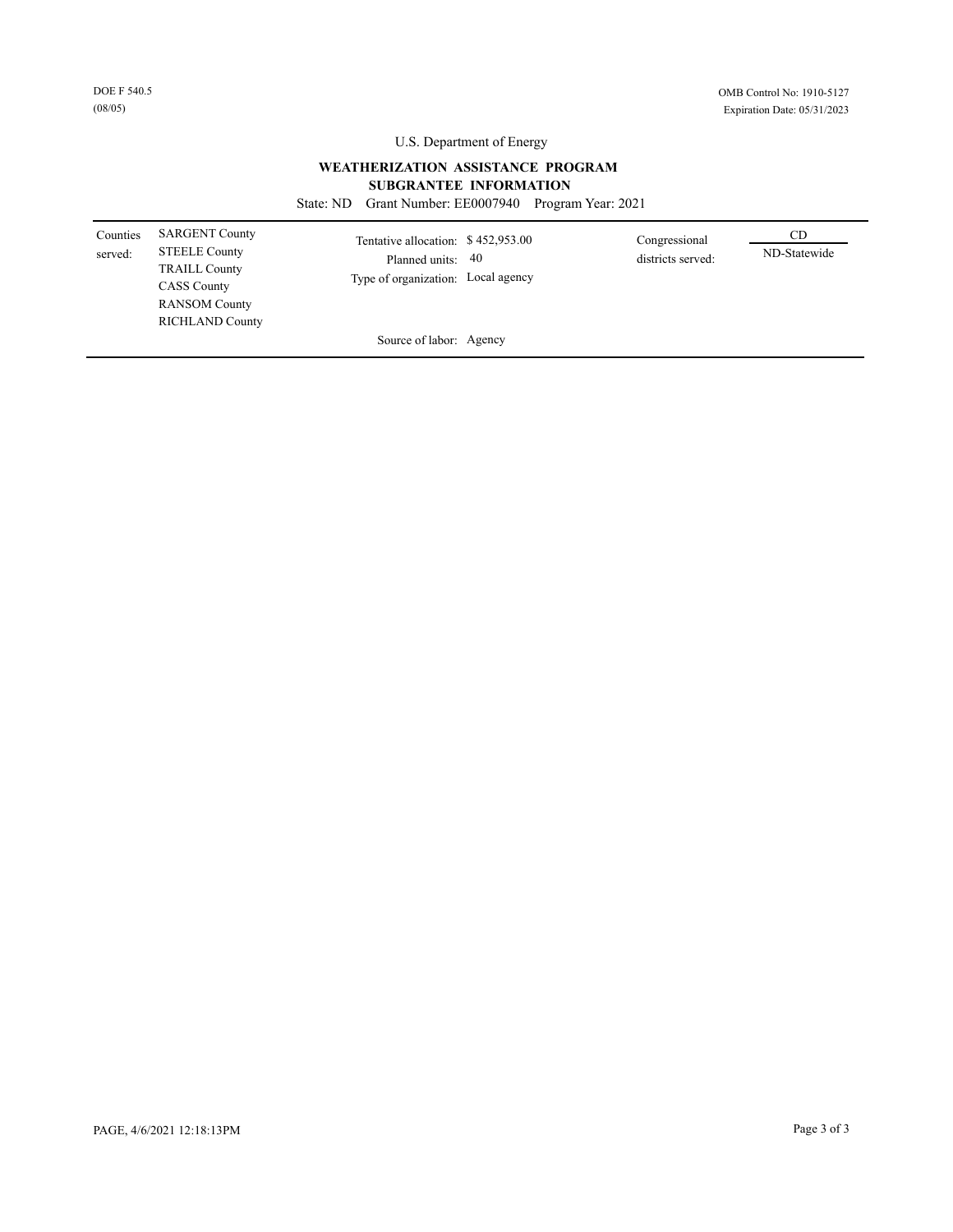### **WEATHERIZATION ASSISTANCE PROGRAM**

### **SUBGRANTEE INFORMATION**

State: ND Grant Number: EE0007940 Program Year: 2021

| Counties<br>served: | <b>SARGENT County</b><br><b>STEELE County</b><br><b>TRAILL County</b><br><b>CASS County</b><br><b>RANSOM County</b><br><b>RICHLAND County</b> | Tentative allocation: \$452,953.00<br>Planned units: 40<br>Type of organization: Local agency | Congressional<br>districts served: | CD<br>ND-Statewide |
|---------------------|-----------------------------------------------------------------------------------------------------------------------------------------------|-----------------------------------------------------------------------------------------------|------------------------------------|--------------------|
|                     |                                                                                                                                               | Source of labor: Agency                                                                       |                                    |                    |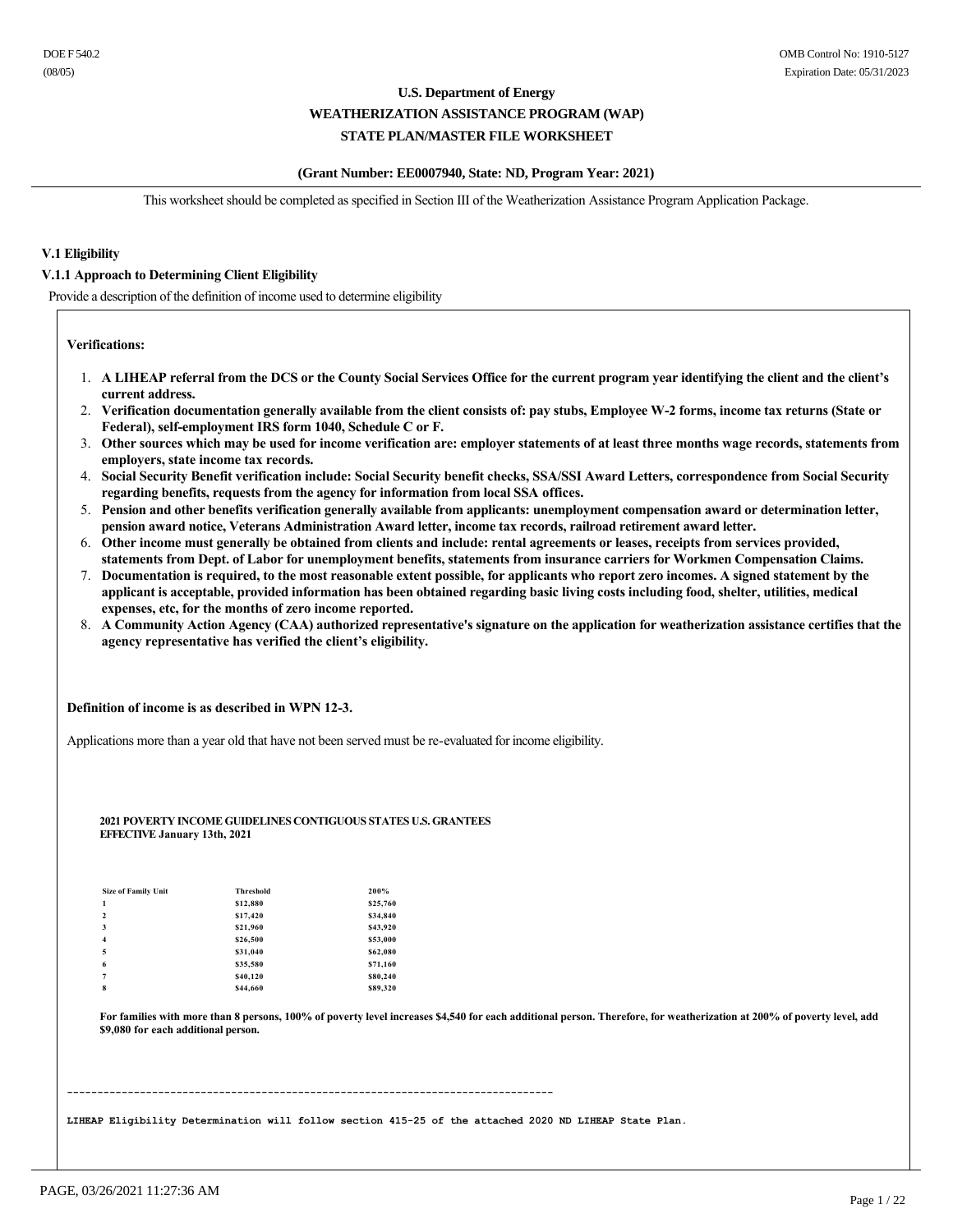### **(Grant Number: EE0007940, State: ND, Program Year: 2021)**

This worksheet should be completed as specified in Section III of the Weatherization Assistance Program Application Package.

### **V.1 Eligibility**

### **V.1.1 Approach to Determining Client Eligibility**

Provide a description of the definition of income used to determine eligibility

**Verifications:**

- 1. **A LIHEAP referral from the DCS or the County Social Services Office for the current program year identifying the client and the client's current address.**
- 2. **Verification documentation generally available from the client consists of: pay stubs, Employee W2 forms, income tax returns (State or**  Federal), self-employment IRS form 1040, Schedule C or F.
- 3. **Other sources which may be used for income verification are: employer statements of at least three months wage records, statements from employers, state income tax records.**
- 4. **Social Security Benefit verification include: Social Security benefit checks, SSA/SSI Award Letters, correspondence from Social Security regarding benefits, requests from the agency for information from local SSA offices.**
- 5. **Pension and other benefits verification generally available from applicants: unemployment compensation award or determination letter, pension award notice, Veterans Administration Award letter, income tax records, railroad retirement award letter.**
- 6. **Other income must generally be obtained from clients and include: rental agreements or leases, receipts from services provided, statements from Dept. of Labor for unemployment benefits, statements from insurance carriers for Workmen Compensation Claims.**
- 7. **Documentation is required, to the most reasonable extent possible, for applicants who report zero incomes. A signed statement by the applicant is acceptable, provided information has been obtained regarding basic living costs including food, shelter, utilities, medical expenses, etc, for the months of zero income reported.**
- 8. **A Community Action Agency (CAA) authorized representative's signature on the application for weatherization assistance certifies that the agency representative has verified the client's eligibility.**

**Definition of income is as described in WPN 123.**

Applications more than a year old that have not been served must be re-evaluated for income eligibility.

#### **2021 POVERTY INCOME GUIDELINES CONTIGUOUS STATES U.S. GRANTEES EFFECTIVE January 13th, 2021**

| <b>Size of Family Unit</b> | <b>Threshold</b> | 200%     |
|----------------------------|------------------|----------|
| 1                          | \$12,880         | \$25,760 |
| $\overline{\mathbf{c}}$    | \$17,420         | \$34,840 |
| 3                          | \$21,960         | \$43,920 |
| $\overline{4}$             | \$26,500         | \$53,000 |
| 5                          | \$31,040         | \$62,080 |
| 6                          | \$35,580         | \$71,160 |
| 7                          | \$40,120         | \$80,240 |
| 8                          | \$44,660         | \$89,320 |

**For families with more than 8 persons, 100% of poverty level increases \$4,540 for each additional person. Therefore, for weatherization at 200% of poverty level, add \$9,080 for each additional person.**

LIHEAP Eligibility Determination will follow section 415-25 of the attached 2020 ND LIHEAP State Plan.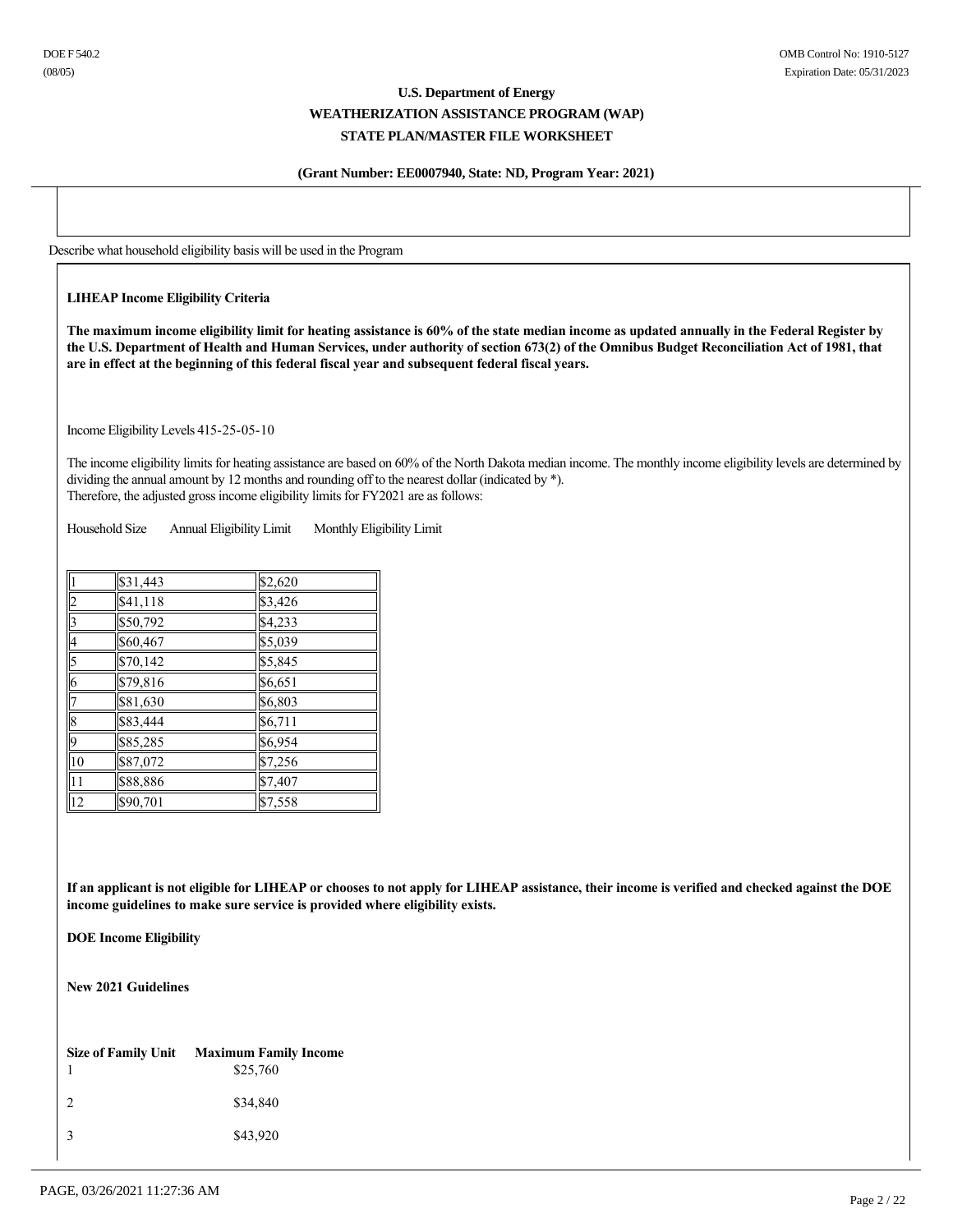### **(Grant Number: EE0007940, State: ND, Program Year: 2021)**

Describe what household eligibility basis will be used in the Program

### **LIHEAP Income Eligibility Criteria**

**The maximum income eligibility limit for heating assistance is 60% of the state median income as updated annually in the Federal Register by the U.S. Department of Health and Human Services, under authority of section 673(2) of the Omnibus Budget Reconciliation Act of 1981, that are in effect at the beginning of this federal fiscal year and subsequent federal fiscal years.**

Income Eligibility Levels 415-25-05-10

The income eligibility limits for heating assistance are based on 60% of the North Dakota median income. The monthly income eligibility levels are determined by dividing the annual amount by 12 months and rounding off to the nearest dollar (indicated by \*). Therefore, the adjusted gross income eligibility limits for FY2021 are as follows:

Household Size Annual Eligibility Limit Monthly Eligibility Limit

|                 | \$31,443 | \$2,620 |
|-----------------|----------|---------|
| $\overline{2}$  | \$41,118 | \$3,426 |
| $\overline{3}$  | \$50,792 | \$4,233 |
| $\overline{4}$  | \$60,467 | \$5,039 |
| $\overline{5}$  | \$70,142 | \$5,845 |
| $\overline{6}$  | \$79,816 | \$6,651 |
| 7               | \$81,630 | \$6,803 |
| $\overline{8}$  | \$83,444 | \$6,711 |
| $\sqrt{9}$      | \$85,285 | \$6,954 |
| $\overline{10}$ | \$87,072 | \$7,256 |
| $\overline{11}$ | \$88,886 | \$7,407 |
| $\overline{12}$ | \$90,701 | \$7,558 |

**If an applicant is not eligible for LIHEAP or chooses to not apply for LIHEAP assistance, their income is verified and checked against the DOE income guidelines to make sure service is provided where eligibility exists.**

**DOE Income Eligibility**

**New 2021 Guidelines**

|               | Size of Family Unit Maximum Family Income<br>\$25,760 |
|---------------|-------------------------------------------------------|
| $\mathcal{L}$ | \$34,840                                              |
| $\mathcal{R}$ | \$43,920                                              |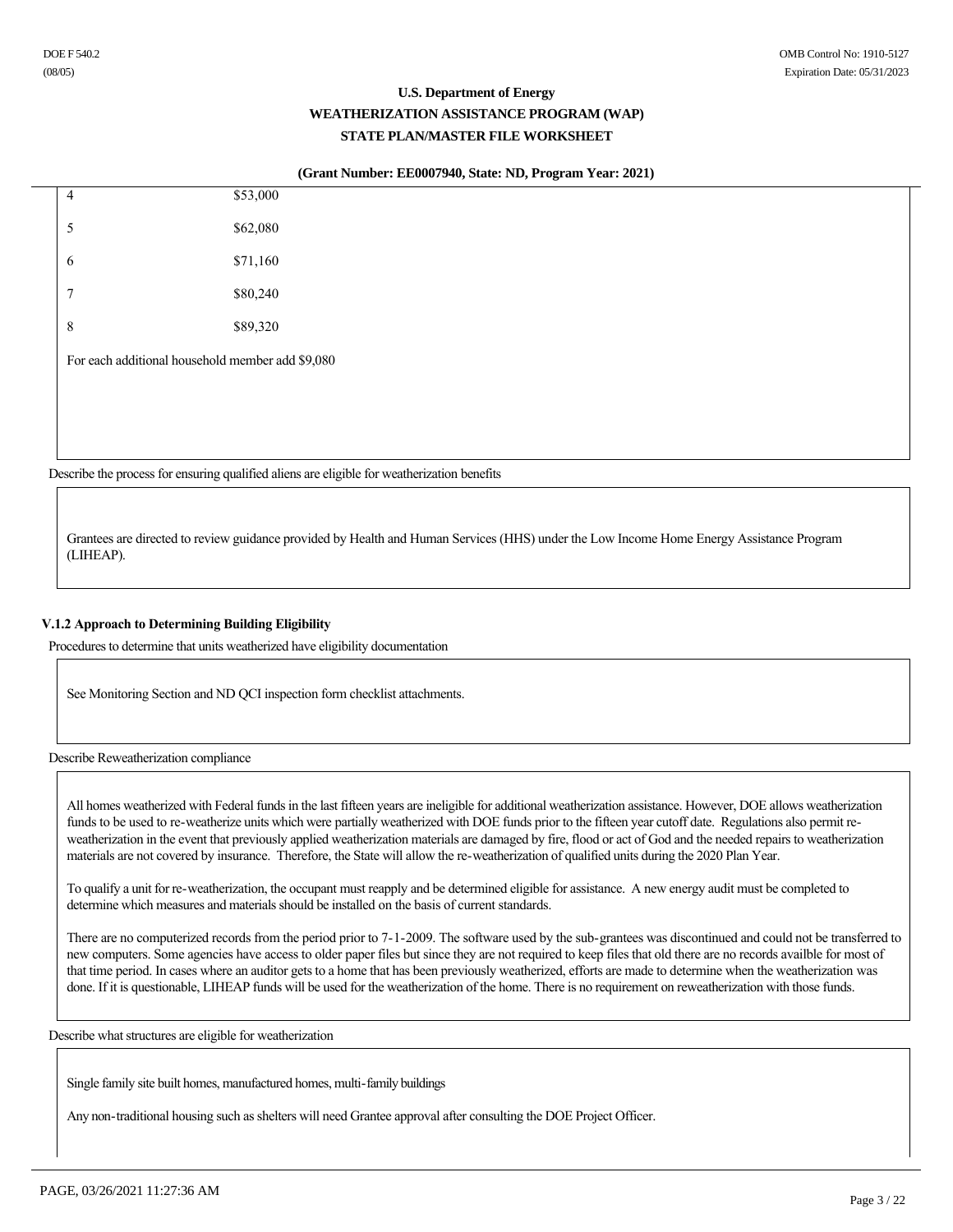### **(Grant Number: EE0007940, State: ND, Program Year: 2021)**

| 4           | \$53,000                                         |  |
|-------------|--------------------------------------------------|--|
| 5           | \$62,080                                         |  |
| 6           | \$71,160                                         |  |
| $\tau$      | \$80,240                                         |  |
| $\,$ 8 $\,$ | \$89,320                                         |  |
|             | For each additional household member add \$9,080 |  |
|             |                                                  |  |
|             |                                                  |  |
|             |                                                  |  |

Describe the process for ensuring qualified aliens are eligible for weatherization benefits

Grantees are directed to review guidance provided by Health and Human Services (HHS) under the Low Income Home Energy Assistance Program (LIHEAP).

### **V.1.2 Approach to Determining Building Eligibility**

Procedures to determine that units weatherized have eligibility documentation

See Monitoring Section and ND QCI inspection form checklist attachments.

Describe Reweatherization compliance

All homes weatherized with Federal funds in the last fifteen years are ineligible for additional weatherization assistance. However, DOE allows weatherization funds to be used to re-weatherize units which were partially weatherized with DOE funds prior to the fifteen year cutoff date. Regulations also permit reweatherization in the event that previously applied weatherization materials are damaged by fire, flood or act of God and the needed repairs to weatherization materials are not covered by insurance. Therefore, the State will allow the re-weatherization of qualified units during the 2020 Plan Year.

To qualify a unit for reweatherization, the occupant must reapply and be determined eligible for assistance. A new energy audit must be completed to determine which measures and materials should be installed on the basis of current standards.

There are no computerized records from the period prior to 7-1-2009. The software used by the sub-grantees was discontinued and could not be transferred to new computers. Some agencies have access to older paper files but since they are not required to keep files that old there are no records availble for most of that time period. In cases where an auditor gets to a home that has been previously weatherized, efforts are made to determine when the weatherization was done. If it is questionable, LIHEAP funds will be used for the weatherization of the home. There is no requirement on reweatherization with those funds.

Describe what structures are eligible for weatherization

Single family site built homes, manufactured homes, multi-family buildings

Any non-traditional housing such as shelters will need Grantee approval after consulting the DOE Project Officer.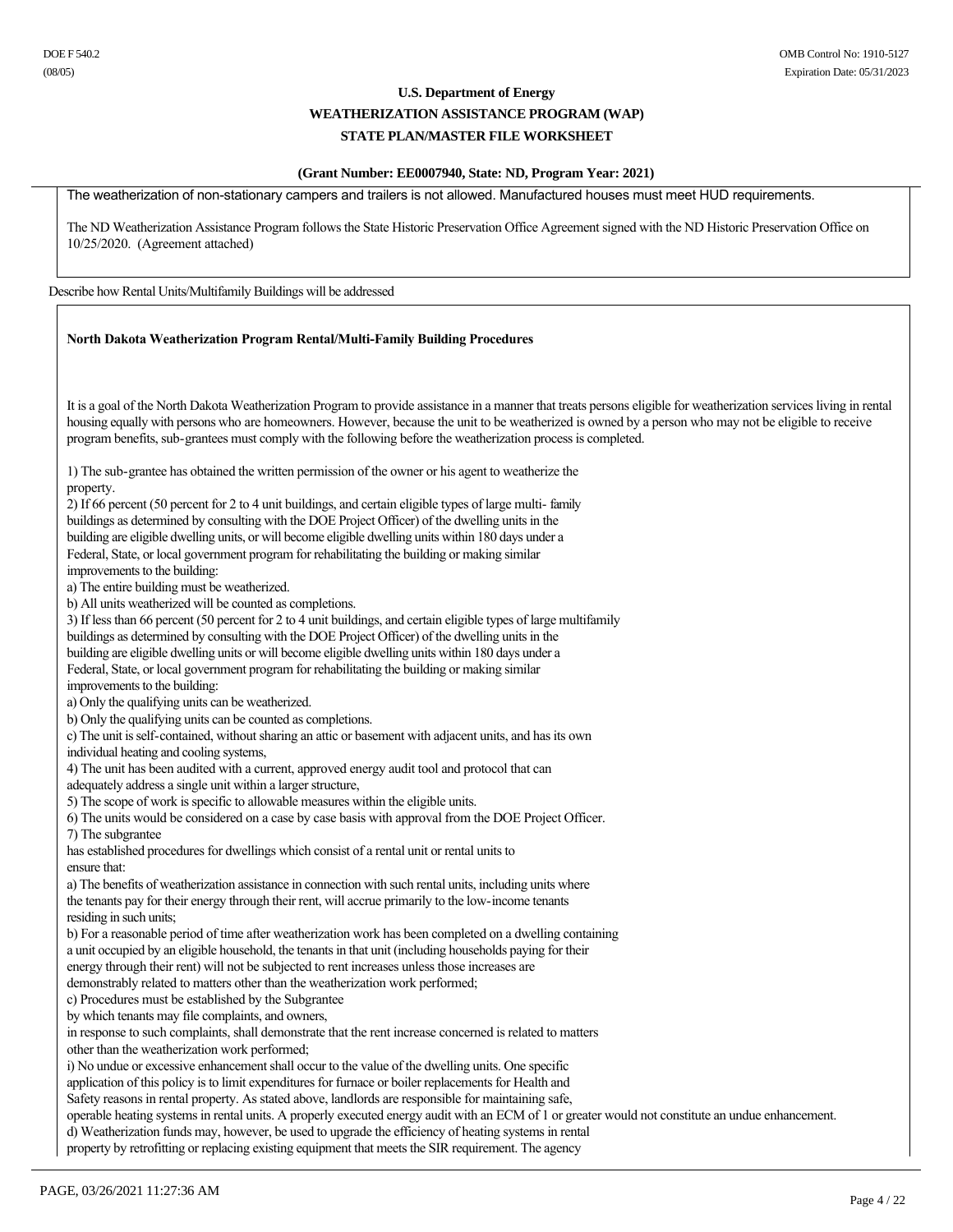### **(Grant Number: EE0007940, State: ND, Program Year: 2021)**

The weatherization of non-stationary campers and trailers is not allowed. Manufactured houses must meet HUD requirements.

The ND Weatherization Assistance Program follows the State Historic Preservation Office Agreement signed with the ND Historic Preservation Office on 10/25/2020. (Agreement attached)

#### Describe how Rental Units/Multifamily Buildings will be addressed

### **North Dakota Weatherization Program Rental/Multi-Family Building Procedures**

It is a goal of the North Dakota Weatherization Program to provide assistance in a manner that treats persons eligible for weatherization services living in rental housing equally with persons who are homeowners. However, because the unit to be weatherized is owned by a person who may not be eligible to receive program benefits, sub-grantees must comply with the following before the weatherization process is completed.

1) The sub-grantee has obtained the written permission of the owner or his agent to weatherize the property. 2) If 66 percent (50 percent for 2 to 4 unit buildings, and certain eligible types of large multi family

buildings as determined by consulting with the DOE Project Officer) of the dwelling units in the building are eligible dwelling units, or will become eligible dwelling units within 180 days under a Federal, State, or local government program for rehabilitating the building or making similar improvements to the building: a) The entire building must be weatherized. b) All units weatherized will be counted as completions. 3) If less than 66 percent (50 percent for 2 to 4 unit buildings, and certain eligible types of large multifamily buildings as determined by consulting with the DOE Project Officer) of the dwelling units in the building are eligible dwelling units or will become eligible dwelling units within 180 days under a Federal, State, or local government program for rehabilitating the building or making similar improvements to the building: a) Only the qualifying units can be weatherized. b) Only the qualifying units can be counted as completions. c) The unit is self-contained, without sharing an attic or basement with adjacent units, and has its own individual heating and cooling systems, 4) The unit has been audited with a current, approved energy audit tool and protocol that can adequately address a single unit within a larger structure, 5) The scope of work is specific to allowable measures within the eligible units. 6) The units would be considered on a case by case basis with approval from the DOE Project Officer. 7) The subgrantee has established procedures for dwellings which consist of a rental unit or rental units to ensure that: a) The benefits of weatherization assistance in connection with such rental units, including units where the tenants pay for their energy through their rent, will accrue primarily to the low-income tenants residing in such units; b) For a reasonable period of time after weatherization work has been completed on a dwelling containing a unit occupied by an eligible household, the tenants in that unit (including households paying for their energy through their rent) will not be subjected to rent increases unless those increases are demonstrably related to matters other than the weatherization work performed; c) Procedures must be established by the Subgrantee by which tenants may file complaints, and owners, in response to such complaints, shall demonstrate that the rent increase concerned is related to matters other than the weatherization work performed; i) No undue or excessive enhancement shall occur to the value of the dwelling units. One specific application of this policy is to limit expenditures for furnace or boiler replacements for Health and Safety reasons in rental property. As stated above, landlords are responsible for maintaining safe,

operable heating systems in rental units. A properly executed energy audit with an ECM of 1 or greater would not constitute an undue enhancement.

d) Weatherization funds may, however, be used to upgrade the efficiency of heating systems in rental

property by retrofitting or replacing existing equipment that meets the SIR requirement. The agency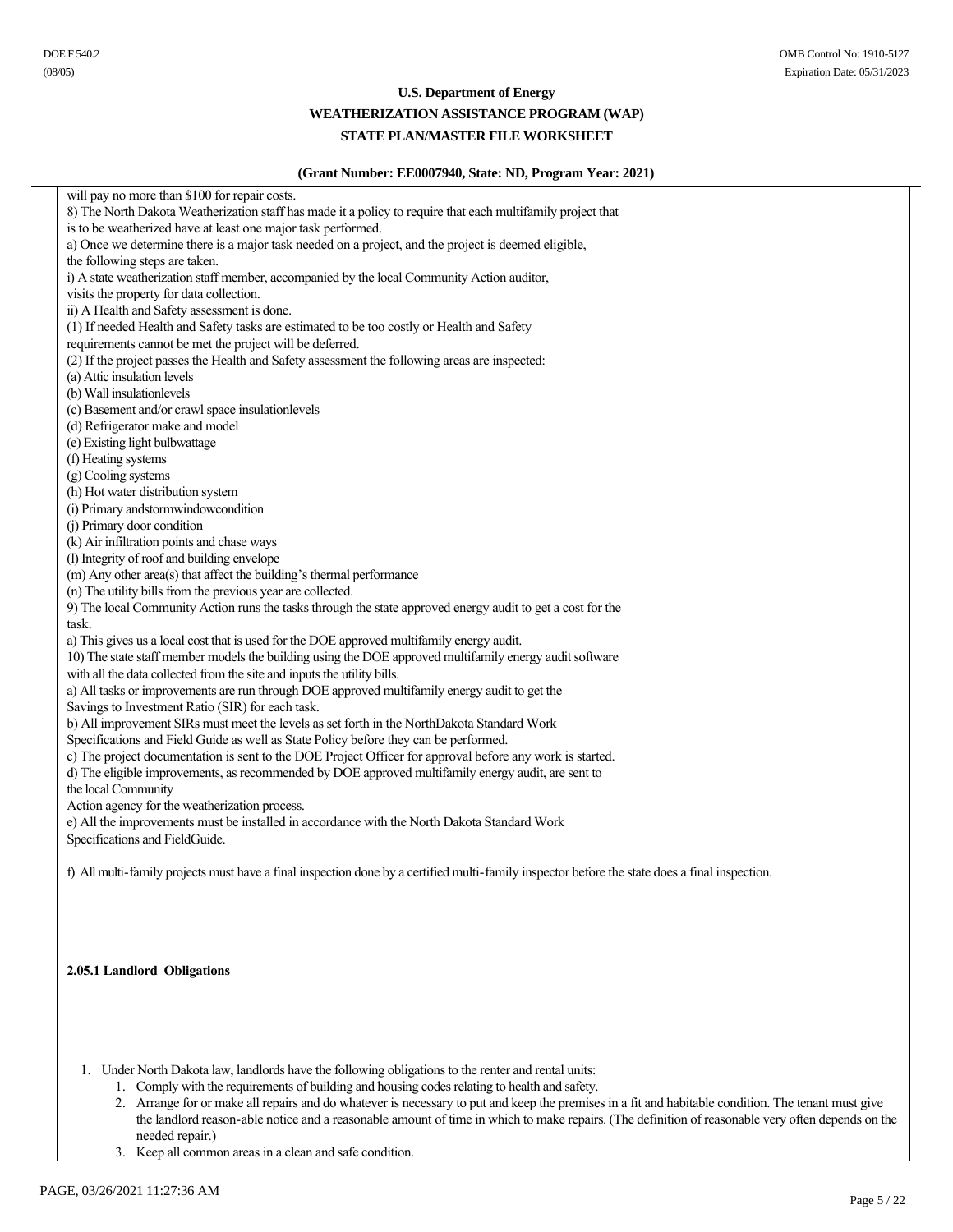### **WEATHERIZATION ASSISTANCE PROGRAM (WAP)**

### **STATE PLAN/MASTER FILE WORKSHEET**

### **(Grant Number: EE0007940, State: ND, Program Year: 2021)**

will pay no more than \$100 for repair costs. 8) The North Dakota Weatherization staff has made it a policy to require that each multifamily project that is to be weatherized have at least one major task performed. a) Once we determine there is a major task needed on a project, and the project is deemed eligible, the following steps are taken. i) A state weatherization staff member, accompanied by the local Community Action auditor, visits the property for data collection. ii) A Health and Safety assessment is done. (1) If needed Health and Safety tasks are estimated to be too costly or Health and Safety requirements cannot be met the project will be deferred. (2) If the project passes the Health and Safety assessment the following areas are inspected: (a) Attic insulation levels (b) Wall insulationlevels (c) Basement and/or crawl space insulationlevels (d) Refrigerator make and model (e) Existing light bulbwattage (f) Heating systems (g) Cooling systems (h) Hot water distribution system (i) Primary andstormwindowcondition (j) Primary door condition (k) Air infiltration points and chase ways (l) Integrity of roof and building envelope (m) Any other area(s) that affect the building's thermal performance (n) The utility bills from the previous year are collected. 9) The local Community Action runs the tasks through the state approved energy audit to get a cost for the task. a) This gives us a local cost that is used for the DOE approved multifamily energy audit. 10) The state staff member models the building using the DOE approved multifamily energy audit software with all the data collected from the site and inputs the utility bills. a) All tasks or improvements are run through DOE approved multifamily energy audit to get the Savings to Investment Ratio (SIR) for each task. b) All improvement SIRs must meet the levels as set forth in the NorthDakota Standard Work Specifications and Field Guide as well as State Policy before they can be performed. c) The project documentation is sent to the DOE Project Officer for approval before any work is started. d) The eligible improvements, as recommended by DOE approved multifamily energy audit, are sent to the local Community Action agency for the weatherization process. e) All the improvements must be installed in accordance with the North Dakota Standard Work Specifications and FieldGuide. f) All multi-family projects must have a final inspection done by a certified multi-family inspector before the state does a final inspection.

### **2.05.1 Landlord Obligations**

1. Under North Dakota law, landlords have the following obligations to the renter and rental units:

1. Comply with the requirements of building and housing codes relating to health and safety.

2. Arrange for or make all repairs and do whatever is necessary to put and keep the premises in a fit and habitable condition. The tenant must give the landlord reason-able notice and a reasonable amount of time in which to make repairs. (The definition of reasonable very often depends on the needed repair.)

3. Keep all common areas in a clean and safe condition.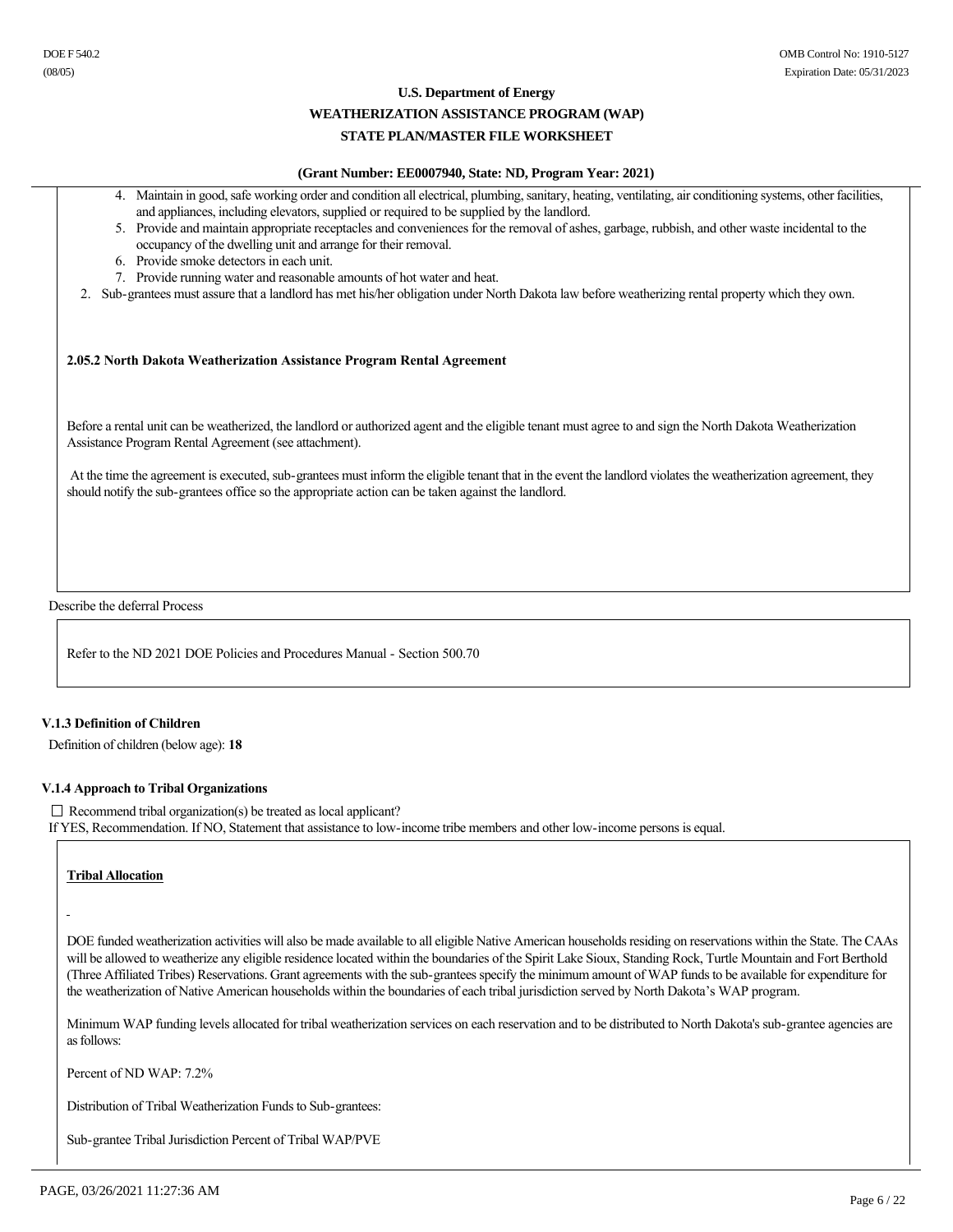#### **WEATHERIZATION ASSISTANCE PROGRAM (WAP)**

### **STATE PLAN/MASTER FILE WORKSHEET**

### **(Grant Number: EE0007940, State: ND, Program Year: 2021)**

- 4. Maintain in good, safe working order and condition all electrical, plumbing, sanitary, heating, ventilating, air conditioning systems, other facilities, and appliances, including elevators, supplied or required to be supplied by the landlord.
- 5. Provide and maintain appropriate receptacles and conveniences for the removal of ashes, garbage, rubbish, and other waste incidental to the occupancy of the dwelling unit and arrange for their removal.
- 6. Provide smoke detectors in each unit.
- 7. Provide running water and reasonable amounts of hot water and heat.
- 2. Sub-grantees must assure that a landlord has met his/her obligation under North Dakota law before weatherizing rental property which they own.

### **2.05.2 North Dakota Weatherization Assistance Program Rental Agreement**

Before a rental unit can be weatherized, the landlord or authorized agent and the eligible tenant must agree to and sign the North Dakota Weatherization Assistance Program Rental Agreement (see attachment).

At the time the agreement is executed, sub-grantees must inform the eligible tenant that in the event the landlord violates the weatherization agreement, they should notify the sub-grantees office so the appropriate action can be taken against the landlord.

Describe the deferral Process

Refer to the ND 2021 DOE Policies and Procedures Manual - Section 500.70

#### **V.1.3 Definition of Children**

Definition of children (below age): **18**

### **V.1.4 Approach to Tribal Organizations**

 $\Box$  Recommend tribal organization(s) be treated as local applicant? If YES, Recommendation. If NO, Statement that assistance to low-income tribe members and other low-income persons is equal.

**Tribal Allocation** 

DOE funded weatherization activities will also be made available to all eligible Native American households residing on reservations within the State. The CAAs will be allowed to weatherize any eligible residence located within the boundaries of the Spirit Lake Sioux, Standing Rock, Turtle Mountain and Fort Berthold (Three Affiliated Tribes) Reservations. Grant agreements with the sub-grantees specify the minimum amount of WAP funds to be available for expenditure for the weatherization of Native American households within the boundaries of each tribal jurisdiction served by North Dakota's WAP program.

Minimum WAP funding levels allocated for tribal weatherization services on each reservation and to be distributed to North Dakota's sub-grantee agencies are as follows:

Percent of ND WAP: 7.2%

Distribution of Tribal Weatherization Funds to Sub-grantees:

Sub-grantee Tribal Jurisdiction Percent of Tribal WAP/PVE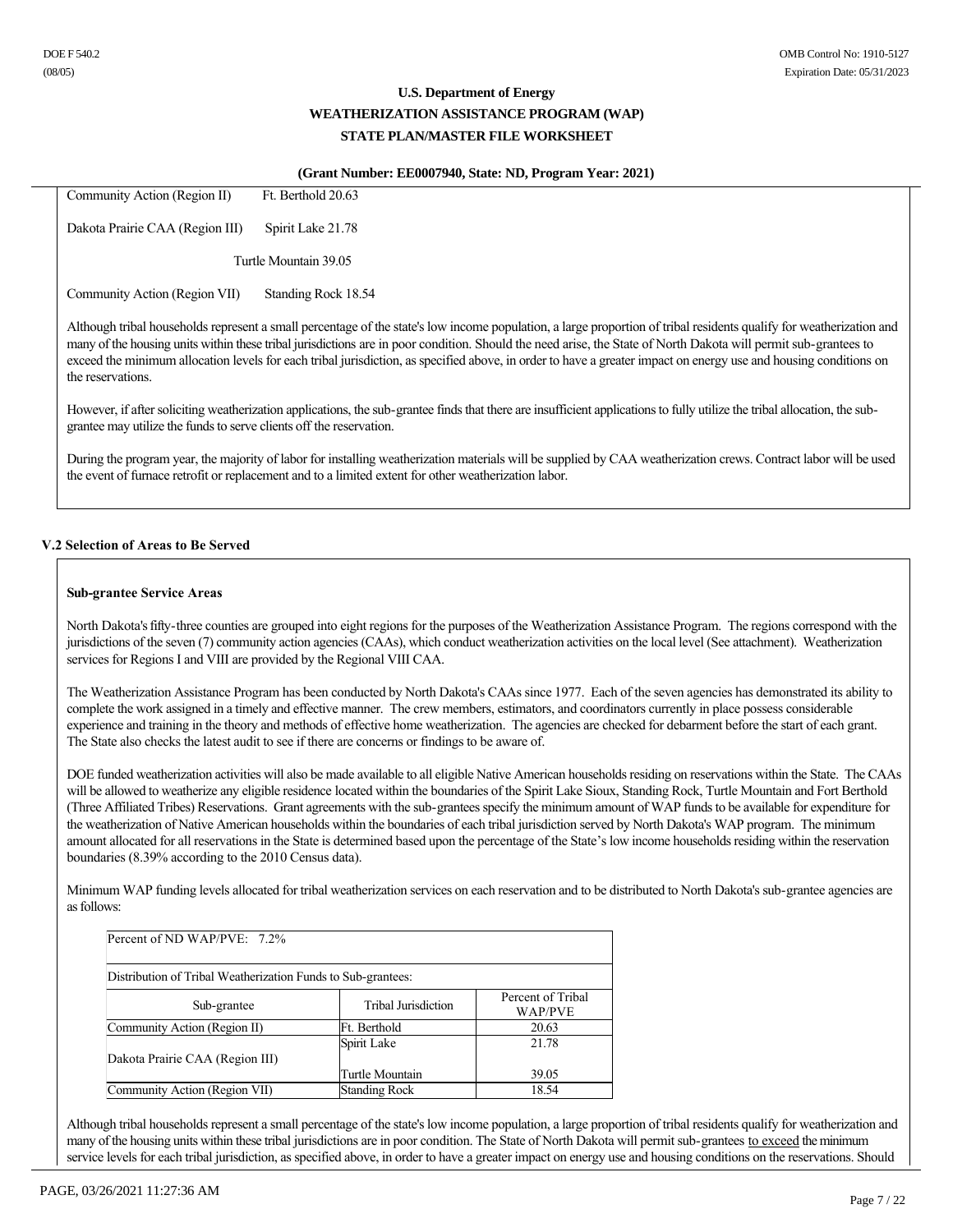#### **(Grant Number: EE0007940, State: ND, Program Year: 2021)**

| Community Action (Region II)    | Ft. Berthold 20.63                                                                                                                                                                                                                                                                                                                                                                                                                                                                                         |
|---------------------------------|------------------------------------------------------------------------------------------------------------------------------------------------------------------------------------------------------------------------------------------------------------------------------------------------------------------------------------------------------------------------------------------------------------------------------------------------------------------------------------------------------------|
| Dakota Prairie CAA (Region III) | Spirit Lake 21.78                                                                                                                                                                                                                                                                                                                                                                                                                                                                                          |
|                                 | Turtle Mountain 39.05                                                                                                                                                                                                                                                                                                                                                                                                                                                                                      |
| Community Action (Region VII)   | Standing Rock 18.54                                                                                                                                                                                                                                                                                                                                                                                                                                                                                        |
| the reservations.               | Although tribal households represent a small percentage of the state's low income population, a large proportion of tribal residents qualify for weatherization and<br>many of the housing units within these tribal jurisdictions are in poor condition. Should the need arise, the State of North Dakota will permit sub-grantees to<br>exceed the minimum allocation levels for each tribal jurisdiction, as specified above, in order to have a greater impact on energy use and housing conditions on |
|                                 | However, if after soliciting weatherization applications, the sub-grantee finds that there are insufficient applications to fully utilize the tribal allocation, the sub-                                                                                                                                                                                                                                                                                                                                  |

During the program year, the majority of labor for installing weatherization materials will be supplied by CAA weatherization crews. Contract labor will be used the event of furnace retrofit or replacement and to a limited extent for other weatherization labor.

### **V.2 Selection of Areas to Be Served**

grantee may utilize the funds to serve clients off the reservation.

### **Sub-grantee Service Areas**

North Dakota's fifty-three counties are grouped into eight regions for the purposes of the Weatherization Assistance Program. The regions correspond with the jurisdictions of the seven (7) community action agencies (CAAs), which conduct weatherization activities on the local level (See attachment). Weatherization services for Regions I and VIII are provided by the Regional VIII CAA.

The Weatherization Assistance Program has been conducted by North Dakota's CAAs since 1977. Each of the seven agencies has demonstrated its ability to complete the work assigned in a timely and effective manner. The crew members, estimators, and coordinators currently in place possess considerable experience and training in the theory and methods of effective home weatherization. The agencies are checked for debarment before the start of each grant. The State also checks the latest audit to see if there are concerns or findings to be aware of.

DOE funded weatherization activities will also be made available to all eligible Native American households residing on reservations within the State. The CAAs will be allowed to weatherize any eligible residence located within the boundaries of the Spirit Lake Sioux, Standing Rock, Turtle Mountain and Fort Berthold (Three Affiliated Tribes) Reservations. Grant agreements with the sub-grantees specify the minimum amount of WAP funds to be available for expenditure for the weatherization of Native American households within the boundaries of each tribal jurisdiction served by North Dakota's WAP program. The minimum amount allocated for all reservations in the State is determined based upon the percentage of the State's low income households residing within the reservation boundaries (8.39% according to the 2010 Census data).

Minimum WAP funding levels allocated for tribal weatherization services on each reservation and to be distributed to North Dakota's sub-grantee agencies are as follows:

| Percent of ND WAP/PVE: $7.2\%$                               |                      |                              |  |  |
|--------------------------------------------------------------|----------------------|------------------------------|--|--|
| Distribution of Tribal Weatherization Funds to Sub-grantees: |                      |                              |  |  |
| Sub-grantee                                                  | Tribal Jurisdiction  | Percent of Tribal<br>WAP/PVE |  |  |
| Community Action (Region II)                                 | Ft. Berthold         | 20.63                        |  |  |
| Dakota Prairie CAA (Region III)                              | Spirit Lake          | 21.78                        |  |  |
|                                                              | Turtle Mountain      | 39.05                        |  |  |
| Community Action (Region VII)                                | <b>Standing Rock</b> | 18.54                        |  |  |

Although tribal households represent a small percentage of the state's low income population, a large proportion of tribal residents qualify for weatherization and many of the housing units within these tribal jurisdictions are in poor condition. The State of North Dakota will permit sub-grantees to exceed the minimum service levels for each tribal jurisdiction, as specified above, in order to have a greater impact on energy use and housing conditions on the reservations. Should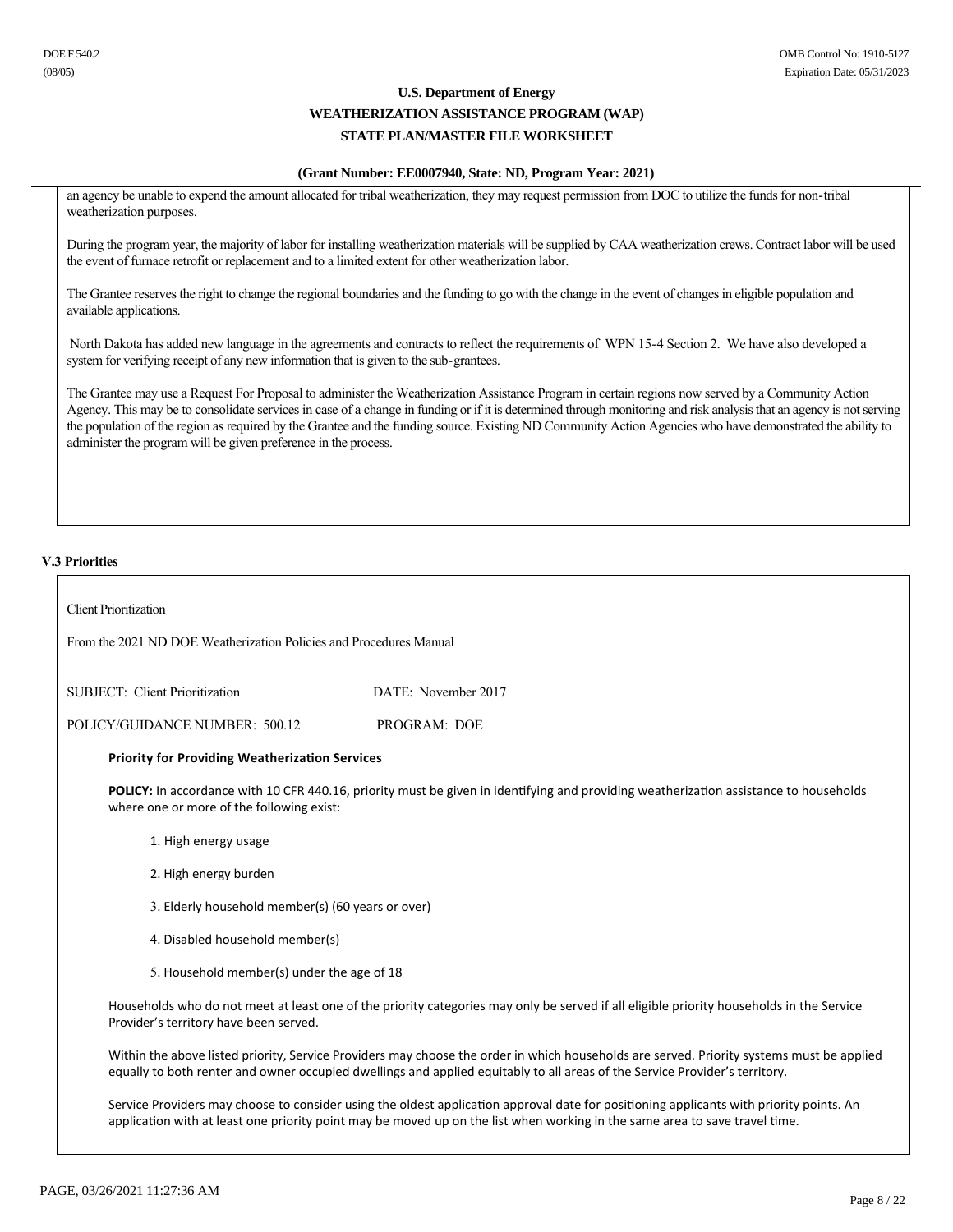### **(Grant Number: EE0007940, State: ND, Program Year: 2021)**

an agency be unable to expend the amount allocated for tribal weatherization, they may request permission from DOC to utilize the funds for non-tribal weatherization purposes.

During the program year, the majority of labor for installing weatherization materials will be supplied by CAA weatherization crews. Contract labor will be used the event of furnace retrofit or replacement and to a limited extent for other weatherization labor.

The Grantee reserves the right to change the regional boundaries and the funding to go with the change in the event of changes in eligible population and available applications.

North Dakota has added new language in the agreements and contracts to reflect the requirements of WPN 15-4 Section 2. We have also developed a system for verifying receipt of any new information that is given to the sub-grantees.

The Grantee may use a Request For Proposal to administer the Weatherization Assistance Program in certain regions now served by a Community Action Agency. This may be to consolidate services in case of a change in funding or if it is determined through monitoring and risk analysis that an agency is not serving the population of the region as required by the Grantee and the funding source. Existing ND Community Action Agencies who have demonstrated the ability to administer the program will be given preference in the process.

### **V.3 Priorities**

| <b>Client Prioritization</b>                                       |                                                                                                                                                                                                                                                                          |  |  |  |
|--------------------------------------------------------------------|--------------------------------------------------------------------------------------------------------------------------------------------------------------------------------------------------------------------------------------------------------------------------|--|--|--|
| From the 2021 ND DOE Weatherization Policies and Procedures Manual |                                                                                                                                                                                                                                                                          |  |  |  |
| SUBJECT: Client Prioritization                                     | DATE: November 2017                                                                                                                                                                                                                                                      |  |  |  |
| POLICY/GUIDANCE NUMBER: 500.12                                     | PROGRAM: DOE                                                                                                                                                                                                                                                             |  |  |  |
| <b>Priority for Providing Weatherization Services</b>              |                                                                                                                                                                                                                                                                          |  |  |  |
| where one or more of the following exist:                          | POLICY: In accordance with 10 CFR 440.16, priority must be given in identifying and providing weatherization assistance to households                                                                                                                                    |  |  |  |
| 1. High energy usage                                               |                                                                                                                                                                                                                                                                          |  |  |  |
| 2. High energy burden                                              |                                                                                                                                                                                                                                                                          |  |  |  |
| 3. Elderly household member(s) (60 years or over)                  |                                                                                                                                                                                                                                                                          |  |  |  |
| 4. Disabled household member(s)                                    |                                                                                                                                                                                                                                                                          |  |  |  |
| 5. Household member(s) under the age of 18                         |                                                                                                                                                                                                                                                                          |  |  |  |
| Provider's territory have been served.                             | Households who do not meet at least one of the priority categories may only be served if all eligible priority households in the Service                                                                                                                                 |  |  |  |
|                                                                    | Within the above listed priority, Service Providers may choose the order in which households are served. Priority systems must be applied<br>equally to both renter and owner occupied dwellings and applied equitably to all areas of the Service Provider's territory. |  |  |  |
|                                                                    | Service Providers may choose to consider using the oldest application approval date for positioning applicants with priority points. An<br>application with at least one priority point may be moved up on the list when working in the same area to save travel time.   |  |  |  |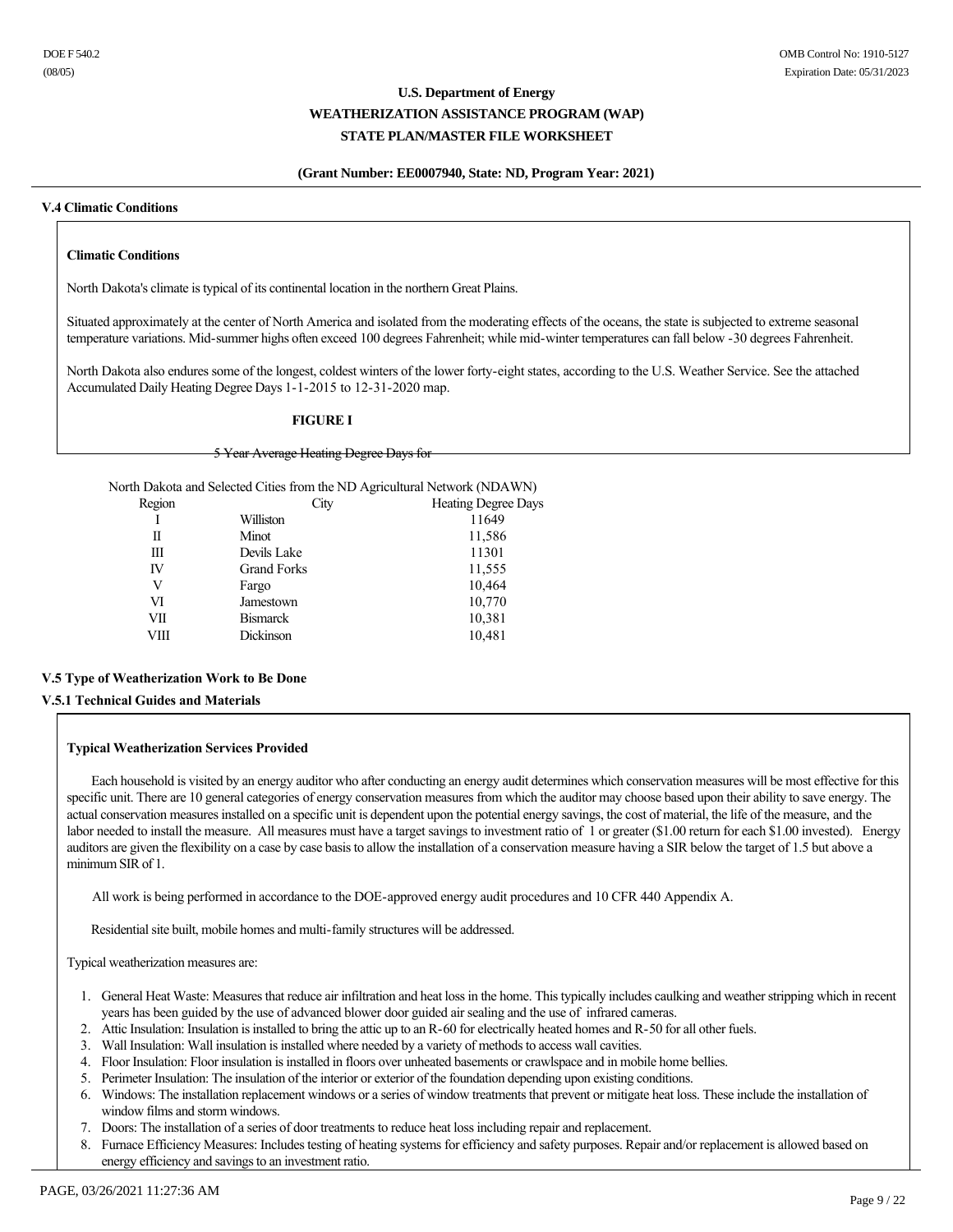### **(Grant Number: EE0007940, State: ND, Program Year: 2021)**

#### **V.4 Climatic Conditions**

### **Climatic Conditions**

North Dakota's climate is typical of its continental location in the northern Great Plains.

Situated approximately at the center of North America and isolated from the moderating effects of the oceans, the state is subjected to extreme seasonal temperature variations. Mid-summer highs often exceed 100 degrees Fahrenheit; while mid-winter temperatures can fall below -30 degrees Fahrenheit.

North Dakota also endures some of the longest, coldest winters of the lower fortyeight states, according to the U.S. Weather Service. See the attached Accumulated Daily Heating Degree Days 1-1-2015 to 12-31-2020 map.

### **FIGURE I**

#### 5 Year Average Heating Degree Days for

North Dakota and Selected Cities from the ND Agricultural Network (NDAWN)

| Region | City               | <b>Heating Degree Days</b> |
|--------|--------------------|----------------------------|
|        | Williston          | 11649                      |
| П      | Minot              | 11,586                     |
| Ш      | Devils Lake        | 11301                      |
| IV     | <b>Grand Forks</b> | 11,555                     |
| V      | Fargo              | 10,464                     |
| VI     | Jamestown          | 10,770                     |
| VІІ    | <b>Bismarck</b>    | 10,381                     |
| VШ     | Dickinson          | 10,481                     |
|        |                    |                            |

### **V.5 Type of Weatherization Work to Be Done**

### **V.5.1 Technical Guides and Materials**

### **Typical Weatherization Services Provided**

 Each household is visited by an energy auditor who after conducting an energy audit determines which conservation measures will be most effective for this specific unit. There are 10 general categories of energy conservation measures from which the auditor may choose based upon their ability to save energy. The actual conservation measures installed on a specific unit is dependent upon the potential energy savings, the cost of material, the life of the measure, and the labor needed to install the measure. All measures must have a target savings to investment ratio of 1 or greater (\$1.00 return for each \$1.00 invested). Energy auditors are given the flexibility on a case by case basis to allow the installation of a conservation measure having a SIR below the target of 1.5 but above a minimum SIR of 1.

All work is being performed in accordance to the DOE-approved energy audit procedures and 10 CFR 440 Appendix A.

Residential site built, mobile homes and multi-family structures will be addressed.

Typical weatherization measures are:

- 1. General Heat Waste: Measures that reduce air infiltration and heat loss in the home. This typically includes caulking and weather stripping which in recent years has been guided by the use of advanced blower door guided air sealing and the use of infrared cameras.
- 2. Attic Insulation: Insulation is installed to bring the attic up to an R-60 for electrically heated homes and R-50 for all other fuels.
- 3. Wall Insulation: Wall insulation is installed where needed by a variety of methods to access wall cavities.
- 4. Floor Insulation: Floor insulation is installed in floors over unheated basements or crawlspace and in mobile home bellies.
- 5. Perimeter Insulation: The insulation of the interior or exterior of the foundation depending upon existing conditions.
- 6. Windows: The installation replacement windows or a series of window treatments that prevent or mitigate heat loss. These include the installation of window films and storm windows.
- 7. Doors: The installation of a series of door treatments to reduce heat loss including repair and replacement.
- 8. Furnace Efficiency Measures: Includes testing of heating systems for efficiency and safety purposes. Repair and/or replacement is allowed based on energy efficiency and savings to an investment ratio.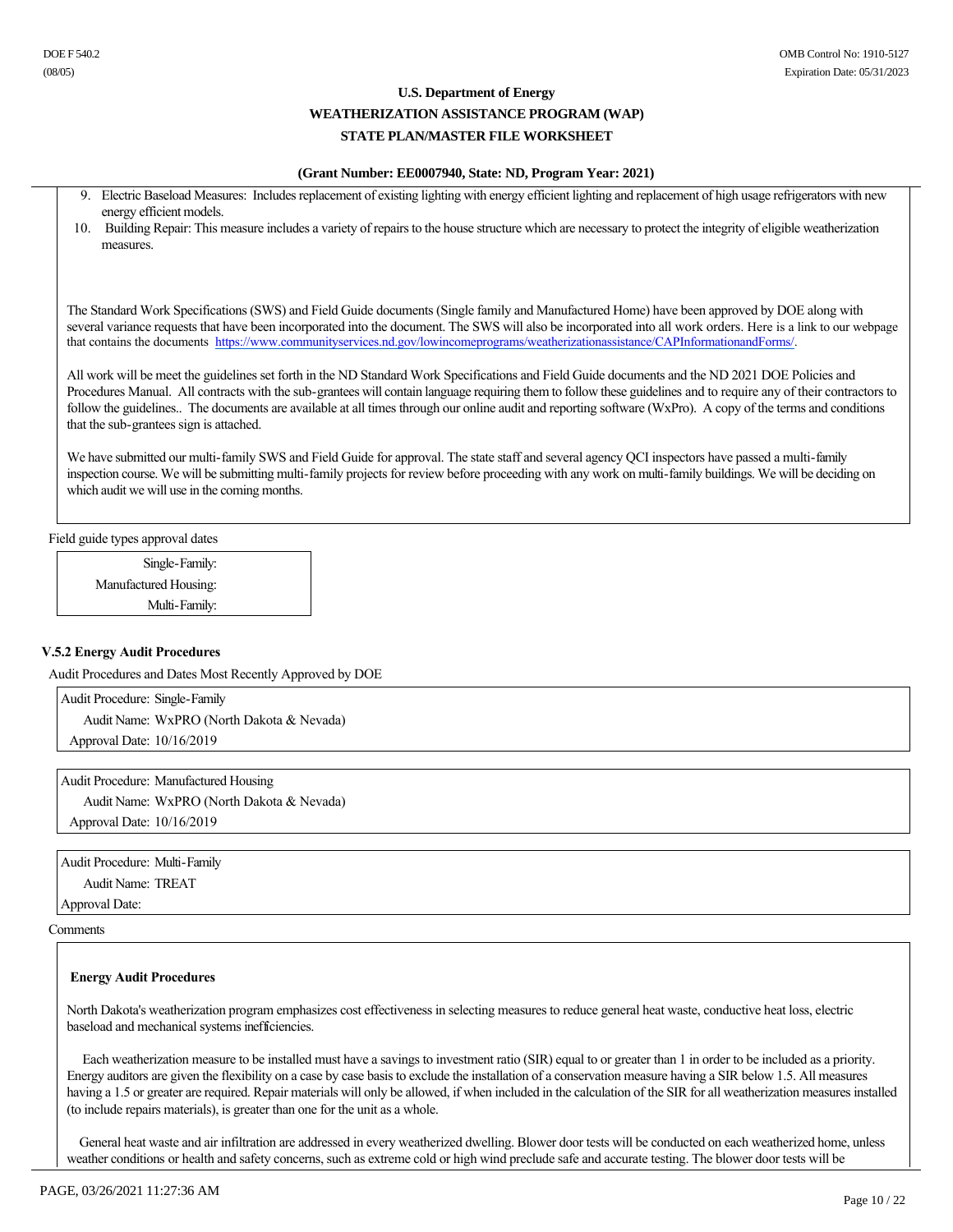### **(Grant Number: EE0007940, State: ND, Program Year: 2021)**

|     | 9. Electric Baseload Measures: Includes replacement of existing lighting with energy efficient lighting and replacement of high usage refrigerators with new |
|-----|--------------------------------------------------------------------------------------------------------------------------------------------------------------|
|     | energy efficient models.                                                                                                                                     |
| 10. | Building Repair: This measure includes a variety of repairs to the house structure which are necessary to protect the integrity of eligible weatherization   |
|     | measures.                                                                                                                                                    |
|     |                                                                                                                                                              |
|     |                                                                                                                                                              |
|     |                                                                                                                                                              |
|     | The Standard Work Specifications (SWS) and Field Guide documents (Single family and Manufactured Home) have been approved by DOE along with                  |

several variance requests that have been incorporated into the document. The SWS will also be incorporated into all work orders. Here is a link to our webpage that contains the documents https://www.communityservices.nd.gov/lowincomeprograms/weatherizationassistance/CAPInformationandForms/.

All work will be meet the guidelines set forth in the ND Standard Work Specifications and Field Guide documents and the ND 2021 DOE Policies and Procedures Manual. All contracts with the sub-grantees will contain language requiring them to follow these guidelines and to require any of their contractors to follow the guidelines.. The documents are available at all times through our online audit and reporting software (WxPro). A copy of the terms and conditions that the sub-grantees sign is attached.

We have submitted our multi-family SWS and Field Guide for approval. The state staff and several agency QCI inspectors have passed a multi-family inspection course. We will be submitting multi-family projects for review before proceeding with any work on multi-family buildings. We will be deciding on which audit we will use in the coming months.

Field guide types approval dates

Single-Family: Manufactured Housing: Multi-Family:

### **V.5.2 Energy Audit Procedures**

Audit Procedures and Dates Most Recently Approved by DOE

Audit Procedure: Single-Family Audit Name: WxPRO (North Dakota & Nevada) Approval Date: 10/16/2019

Audit Procedure: Manufactured Housing Audit Name: WxPRO (North Dakota & Nevada) Approval Date: 10/16/2019

Audit Procedure: Multi-Family Audit Name: TREAT

Approval Date:

Comments

### **Energy Audit Procedures**

North Dakota's weatherization program emphasizes cost effectiveness in selecting measures to reduce general heat waste, conductive heat loss, electric baseload and mechanical systems inefficiencies.

 Each weatherization measure to be installed must have a savings to investment ratio (SIR) equal to or greater than 1 in order to be included as a priority. Energy auditors are given the flexibility on a case by case basis to exclude the installation of a conservation measure having a SIR below 1.5. All measures having a 1.5 or greater are required. Repair materials will only be allowed, if when included in the calculation of the SIR for all weatherization measures installed (to include repairs materials), is greater than one for the unit as a whole.

 General heat waste and air infiltration are addressed in every weatherized dwelling. Blower door tests will be conducted on each weatherized home, unless weather conditions or health and safety concerns, such as extreme cold or high wind preclude safe and accurate testing. The blower door tests will be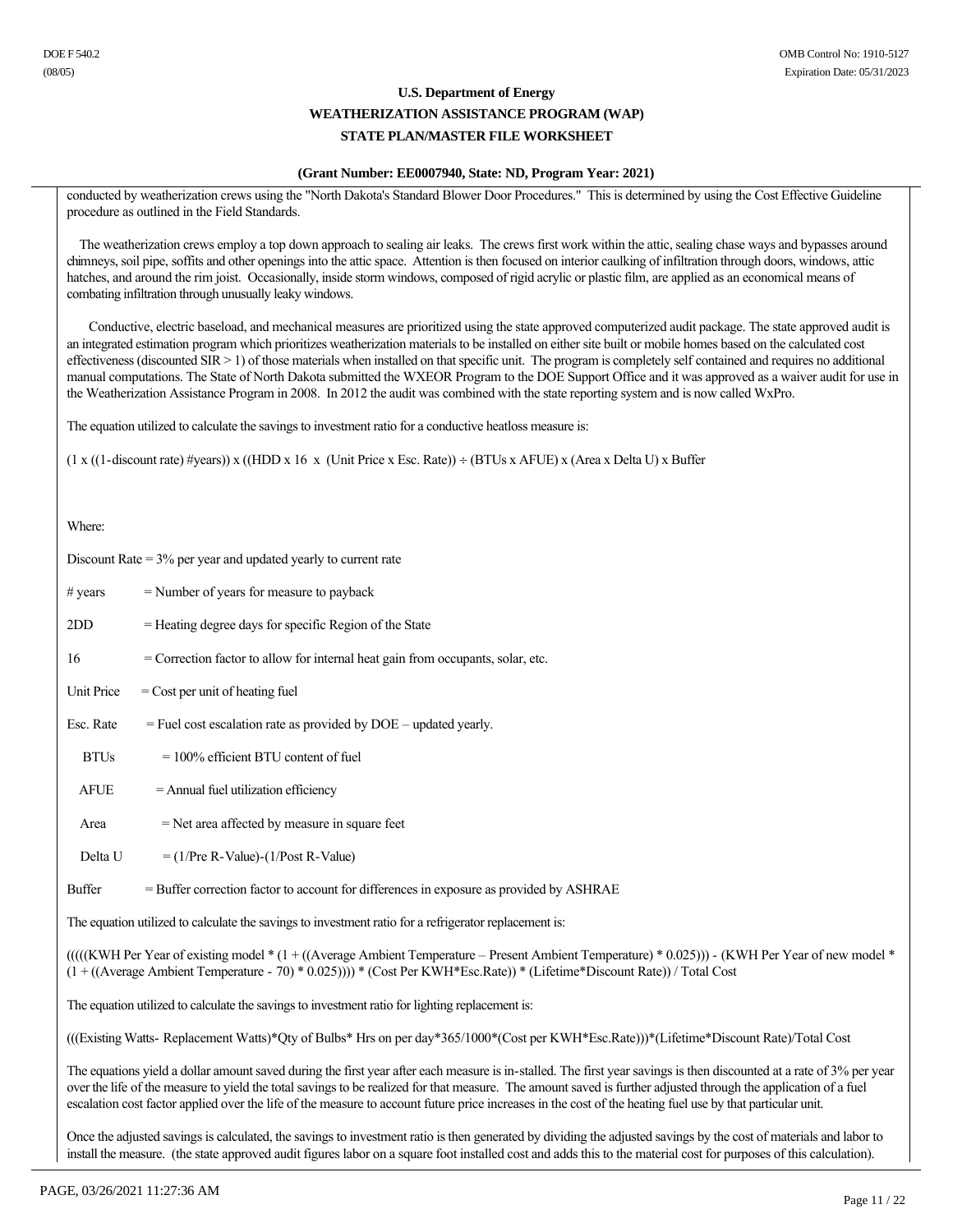### **(Grant Number: EE0007940, State: ND, Program Year: 2021)**

conducted by weatherization crews using the "North Dakota's Standard Blower Door Procedures." This is determined by using the Cost Effective Guideline procedure as outlined in the Field Standards.

 The weatherization crews employ a top down approach to sealing air leaks. The crews first work within the attic, sealing chase ways and bypasses around chimneys, soil pipe, soffits and other openings into the attic space. Attention is then focused on interior caulking of infiltration through doors, windows, attic hatches, and around the rim joist. Occasionally, inside storm windows, composed of rigid acrylic or plastic film, are applied as an economical means of combating infiltration through unusually leaky windows.

 Conductive, electric baseload, and mechanical measures are prioritized using the state approved computerized audit package. The state approved audit is an integrated estimation program which prioritizes weatherization materials to be installed on either site built or mobile homes based on the calculated cost effectiveness (discounted SIR > 1) of those materials when installed on that specific unit. The program is completely self contained and requires no additional manual computations. The State of North Dakota submitted the WXEOR Program to the DOE Support Office and it was approved as a waiver audit for use in the Weatherization Assistance Program in 2008. In 2012 the audit was combined with the state reporting system and is now called WxPro.

The equation utilized to calculate the savings to investment ratio for a conductive heatloss measure is:

 $(1 x ((1-discount rate) \# years)) x ((HDD x 16 x (Unit Price x Esc Rate)) \div (BTUs x A FUE) x (Area x Delta U) x Buffer$ 

Where:

| Discount Rate $=$ 3% per year and updated yearly to current rate                                                                                                                                                                                                                                                                                                                                                                                                                                      |                                                                                         |  |  |
|-------------------------------------------------------------------------------------------------------------------------------------------------------------------------------------------------------------------------------------------------------------------------------------------------------------------------------------------------------------------------------------------------------------------------------------------------------------------------------------------------------|-----------------------------------------------------------------------------------------|--|--|
| $# \, years$                                                                                                                                                                                                                                                                                                                                                                                                                                                                                          | $=$ Number of years for measure to payback                                              |  |  |
| 2DD                                                                                                                                                                                                                                                                                                                                                                                                                                                                                                   | = Heating degree days for specific Region of the State                                  |  |  |
| 16                                                                                                                                                                                                                                                                                                                                                                                                                                                                                                    | = Correction factor to allow for internal heat gain from occupants, solar, etc.         |  |  |
| Unit Price                                                                                                                                                                                                                                                                                                                                                                                                                                                                                            | $=$ Cost per unit of heating fuel                                                       |  |  |
| Esc. Rate                                                                                                                                                                                                                                                                                                                                                                                                                                                                                             | $=$ Fuel cost escalation rate as provided by DOE $-$ updated yearly.                    |  |  |
| <b>BTUs</b>                                                                                                                                                                                                                                                                                                                                                                                                                                                                                           | $= 100\%$ efficient BTU content of fuel                                                 |  |  |
| <b>AFUE</b>                                                                                                                                                                                                                                                                                                                                                                                                                                                                                           | = Annual fuel utilization efficiency                                                    |  |  |
| Area                                                                                                                                                                                                                                                                                                                                                                                                                                                                                                  | $=$ Net area affected by measure in square feet                                         |  |  |
| Delta U                                                                                                                                                                                                                                                                                                                                                                                                                                                                                               | $= (1/Pre R-Value) - (1/Post R-Value)$                                                  |  |  |
| <b>Buffer</b>                                                                                                                                                                                                                                                                                                                                                                                                                                                                                         | = Buffer correction factor to account for differences in exposure as provided by ASHRAE |  |  |
| The equation utilized to calculate the savings to investment ratio for a refrigerator replacement is:                                                                                                                                                                                                                                                                                                                                                                                                 |                                                                                         |  |  |
| $(((KWH Per Year of existing model * (1 + ((Average Ambient Temperature - Present Ambient Temperature) * 0.025))) - (KWH Per Year of new model *$<br>$(1 + ((Average Ambient Temperature - 70) * 0.025)))$ * (Cost Per KWH*Esc.Rate)) * (Lifetime*Discount Rate)) / Total Cost                                                                                                                                                                                                                        |                                                                                         |  |  |
| The equation utilized to calculate the savings to investment ratio for lighting replacement is:                                                                                                                                                                                                                                                                                                                                                                                                       |                                                                                         |  |  |
| (((Existing Watts- Replacement Watts)*Qty of Bulbs* Hrs on per day*365/1000*(Cost per KWH*Esc.Rate)))*(Lifetime*Discount Rate)/Total Cost                                                                                                                                                                                                                                                                                                                                                             |                                                                                         |  |  |
| The equations yield a dollar amount saved during the first year after each measure is in-stalled. The first year savings is then discounted at a rate of 3% per year<br>over the life of the measure to yield the total savings to be realized for that measure. The amount saved is further adjusted through the application of a fuel<br>escalation cost factor applied over the life of the measure to account future price increases in the cost of the heating fuel use by that particular unit. |                                                                                         |  |  |

Once the adjusted savings is calculated, the savings to investment ratio is then generated by dividing the adjusted savings by the cost of materials and labor to install the measure. (the state approved audit figures labor on a square foot installed cost and adds this to the material cost for purposes of this calculation).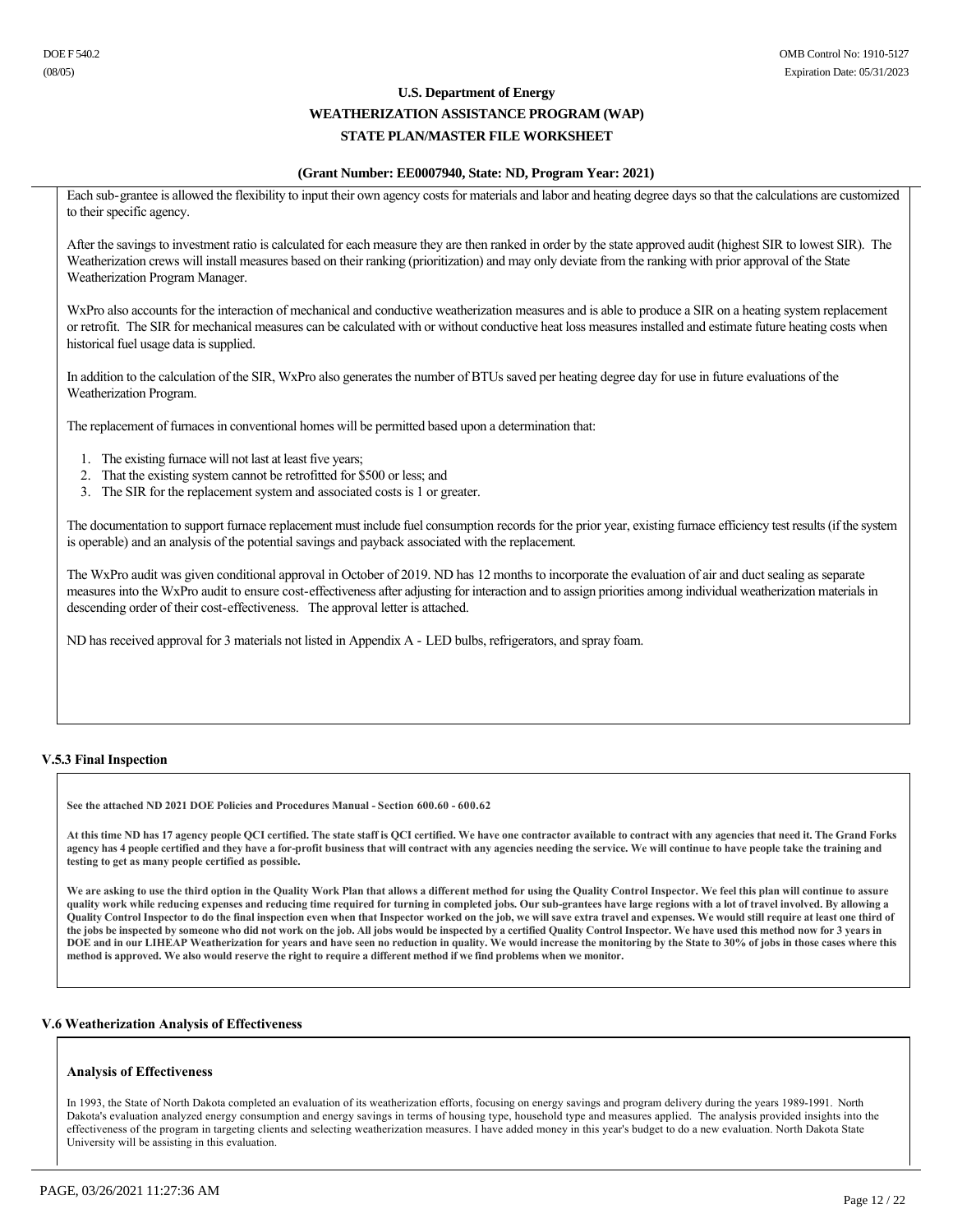### **(Grant Number: EE0007940, State: ND, Program Year: 2021)**

Each sub-grantee is allowed the flexibility to input their own agency costs for materials and labor and heating degree days so that the calculations are customized to their specific agency.

After the savings to investment ratio is calculated for each measure they are then ranked in order by the state approved audit (highest SIR to lowest SIR). The Weatherization crews will install measures based on their ranking (prioritization) and may only deviate from the ranking with prior approval of the State Weatherization Program Manager.

WxPro also accounts for the interaction of mechanical and conductive weatherization measures and is able to produce a SIR on a heating system replacement or retrofit. The SIR for mechanical measures can be calculated with or without conductive heat loss measures installed and estimate future heating costs when historical fuel usage data is supplied.

In addition to the calculation of the SIR, WxPro also generates the number of BTUs saved per heating degree day for use in future evaluations of the Weatherization Program.

The replacement of furnaces in conventional homes will be permitted based upon a determination that:

- 1. The existing furnace will not last at least five years;
- 2. That the existing system cannot be retrofitted for \$500 or less; and
- 3. The SIR for the replacement system and associated costs is 1 or greater.

The documentation to support furnace replacement must include fuel consumption records for the prior year, existing furnace efficiency test results (if the system is operable) and an analysis of the potential savings and payback associated with the replacement.

The WxPro audit was given conditional approval in October of 2019. ND has 12 months to incorporate the evaluation of air and duct sealing as separate measures into the WxPro audit to ensure cost-effectiveness after adjusting for interaction and to assign priorities among individual weatherization materials in descending order of their cost-effectiveness. The approval letter is attached.

ND has received approval for 3 materials not listed in Appendix A - LED bulbs, refrigerators, and spray foam.

### **V.5.3 Final Inspection**

**See the attached ND 2021 DOE Policies and Procedures Manual Section 600.60 600.62**

**At this time ND has 17 agency people QCI certified. The state staff is QCI certified. We have one contractor available to contract with any agencies that need it. The Grand Forks**  agency has 4 people certified and they have a for-profit business that will contract with any agencies needing the service. We will continue to have people take the training and **testing to get as many people certified as possible.**

We are asking to use the third option in the Quality Work Plan that allows a different method for using the Quality Control Inspector. We feel this plan will continue to assure quality work while reducing expenses and reducing time required for turning in completed jobs. Our sub-grantees have large regions with a lot of travel involved. By allowing a **Quality Control Inspector to do the final inspection even when that Inspector worked on the job, we will save extra travel and expenses. We would still require at least one third of the jobs be inspected by someone who did not work on the job. All jobs would be inspected by a certified Quality Control Inspector. We have used this method now for 3 years in DOE and in our LIHEAP Weatherization for years and have seen no reduction in quality. We would increase the monitoring by the State to 30% of jobs in those cases where this method is approved. We also would reserve the right to require a different method if we find problems when we monitor.** 

### **V.6 Weatherization Analysis of Effectiveness**

### **Analysis of Effectiveness**

In 1993, the State of North Dakota completed an evaluation of its weatherization efforts, focusing on energy savings and program delivery during the years 19891991. North Dakota's evaluation analyzed energy consumption and energy savings in terms of housing type, household type and measures applied. The analysis provided insights into the effectiveness of the program in targeting clients and selecting weatherization measures. I have added money in this year's budget to do a new evaluation. North Dakota State University will be assisting in this evaluation.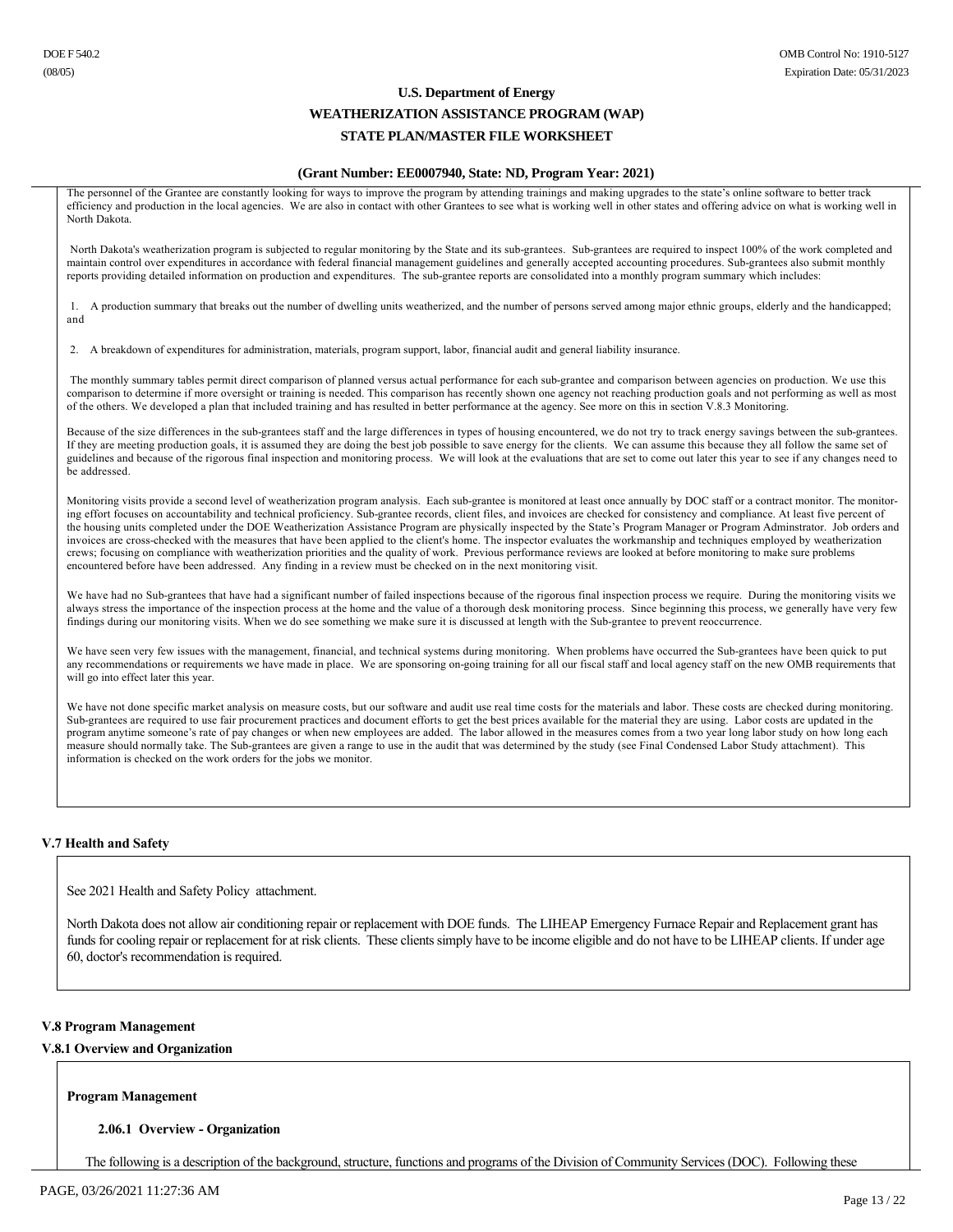### **(Grant Number: EE0007940, State: ND, Program Year: 2021)**

The personnel of the Grantee are constantly looking for ways to improve the program by attending trainings and making upgrades to the state's online software to better track efficiency and production in the local agencies. We are also in contact with other Grantees to see what is working well in other states and offering advice on what is working well in North Dakota.

North Dakota's weatherization program is subjected to regular monitoring by the State and its sub-grantees. Sub-grantees are required to inspect 100% of the work completed and maintain control over expenditures in accordance with federal financial management guidelines and generally accepted accounting procedures. Subgrantees also submit monthly reports providing detailed information on production and expenditures. The subgrantee reports are consolidated into a monthly program summary which includes:

1. A production summary that breaks out the number of dwelling units weatherized, and the number of persons served among major ethnic groups, elderly and the handicapped; and

2. A breakdown of expenditures for administration, materials, program support, labor, financial audit and general liability insurance.

The monthly summary tables permit direct comparison of planned versus actual performance for each sub-grantee and comparison between agencies on production. We use this comparison to determine if more oversight or training is needed. This comparison has recently shown one agency not reaching production goals and not performing as well as most of the others. We developed a plan that included training and has resulted in better performance at the agency. See more on this in section V.8.3 Monitoring.

Because of the size differences in the sub-grantees staff and the large differences in types of housing encountered, we do not try to track energy savings between the sub-grantees. If they are meeting production goals, it is assumed they are doing the best job possible to save energy for the clients. We can assume this because they all follow the same set of guidelines and because of the rigorous final inspection and monitoring process. We will look at the evaluations that are set to come out later this year to see if any changes need to be addressed.

Monitoring visits provide a second level of weatherization program analysis. Each sub-grantee is monitored at least once annually by DOC staff or a contract monitor. The monitoring effort focuses on accountability and technical proficiency. Subgrantee records, client files, and invoices are checked for consistency and compliance. At least five percent of the housing units completed under the DOE Weatherization Assistance Program are physically inspected by the State's Program Manager or Program Adminstrator. Job orders and invoices are crosschecked with the measures that have been applied to the client's home. The inspector evaluates the workmanship and techniques employed by weatherization crews; focusing on compliance with weatherization priorities and the quality of work. Previous performance reviews are looked at before monitoring to make sure problems encountered before have been addressed. Any finding in a review must be checked on in the next monitoring visit.

We have had no Sub-grantees that have had a significant number of failed inspections because of the rigorous final inspection process we require. During the monitoring visits we always stress the importance of the inspection process at the home and the value of a thorough desk monitoring process. Since beginning this process, we generally have very few findings during our monitoring visits. When we do see something we make sure it is discussed at length with the Sub-grantee to prevent reoccurrence.

We have seen very few issues with the management, financial, and technical systems during monitoring. When problems have occurred the Subgrantees have been quick to put any recommendations or requirements we have made in place. We are sponsoring on-going training for all our fiscal staff and local agency staff on the new OMB requirements that will go into effect later this year.

We have not done specific market analysis on measure costs, but our software and audit use real time costs for the materials and labor. These costs are checked during monitoring. Subgrantees are required to use fair procurement practices and document efforts to get the best prices available for the material they are using. Labor costs are updated in the program anytime someone's rate of pay changes or when new employees are added. The labor allowed in the measures comes from a two year long labor study on how long each measure should normally take. The Sub-grantees are given a range to use in the audit that was determined by the study (see Final Condensed Labor Study attachment). This information is checked on the work orders for the jobs we monitor.

### **V.7 Health and Safety**

See 2021 Health and Safety Policy attachment.

North Dakota does not allow air conditioning repair or replacement with DOE funds. The LIHEAP Emergency Furnace Repair and Replacement grant has funds for cooling repair or replacement for at risk clients. These clients simply have to be income eligible and do not have to be LIHEAP clients. If under age 60, doctor's recommendation is required.

### **V.8 Program Management**

### **V.8.1 Overview and Organization**

### **Program Management**

### **2.06.1 Overview Organization**

The following is a description of the background, structure, functions and programs of the Division of Community Services (DOC). Following these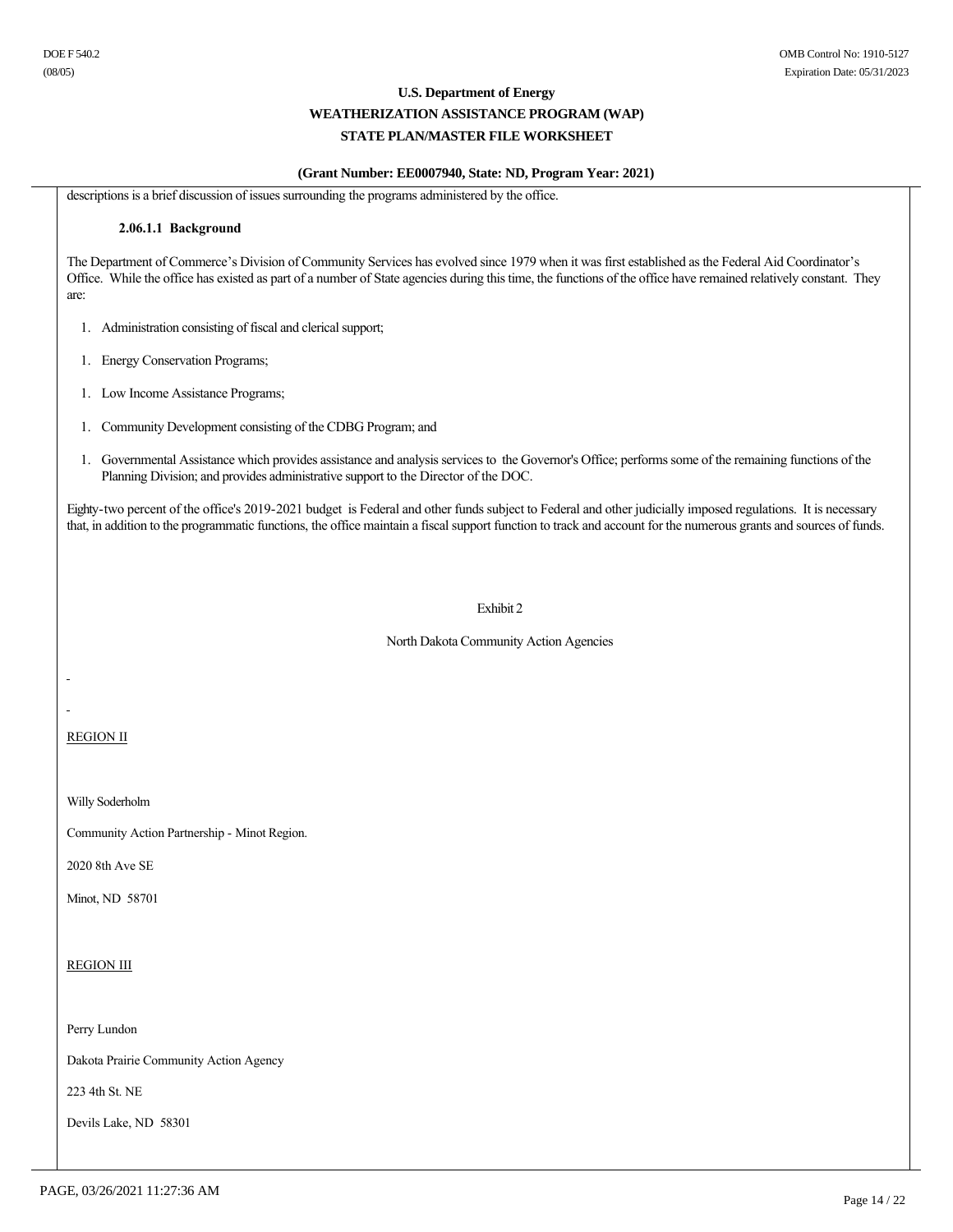### **(Grant Number: EE0007940, State: ND, Program Year: 2021)**

descriptions is a brief discussion of issues surrounding the programs administered by the office.

#### **2.06.1.1 Background**

The Department of Commerce's Division of Community Services has evolved since 1979 when it was first established as the Federal Aid Coordinator's Office. While the office has existed as part of a number of State agencies during this time, the functions of the office have remained relatively constant. They are:

- 1. Administration consisting of fiscal and clerical support;
- 1. Energy Conservation Programs;
- 1. Low Income Assistance Programs;
- 1. Community Development consisting of the CDBG Program; and
- 1. Governmental Assistance which provides assistance and analysis services to the Governor's Office; performs some of the remaining functions of the Planning Division; and provides administrative support to the Director of the DOC.

Eighty-two percent of the office's 2019-2021 budget is Federal and other funds subject to Federal and other judicially imposed regulations. It is necessary that, in addition to the programmatic functions, the office maintain a fiscal support function to track and account for the numerous grants and sources of funds.

#### Exhibit 2

North Dakota Community Action Agencies

REGION II

Willy Soderholm

Community Action Partnership - Minot Region.

2020 8th Ave SE

Minot, ND 58701

### REGION III

Perry Lundon

Dakota Prairie Community Action Agency

223 4th St. NE

Devils Lake, ND 58301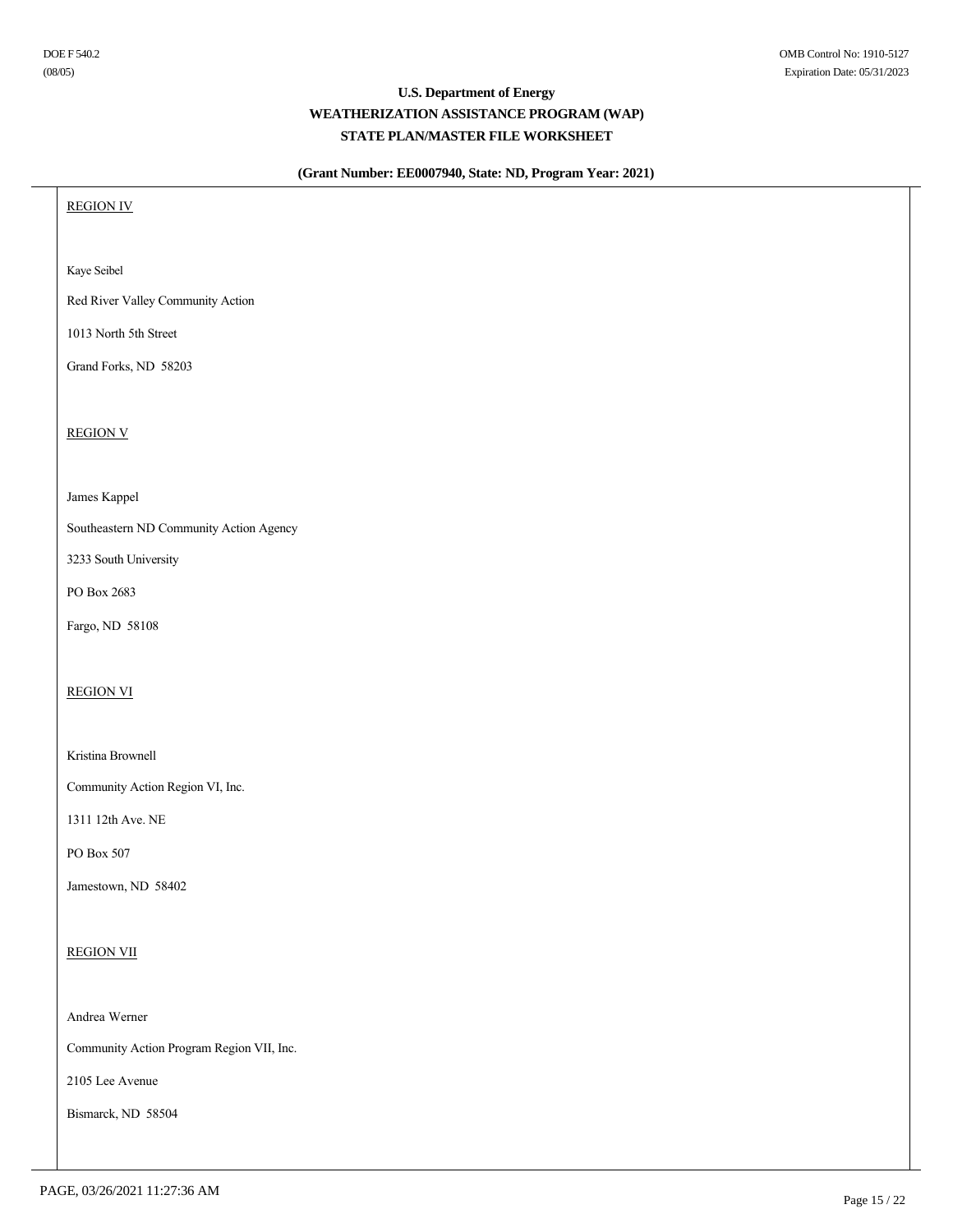### **(Grant Number: EE0007940, State: ND, Program Year: 2021)**

REGION IV

Kaye Seibel

Red River Valley Community Action

1013 North 5th Street

Grand Forks, ND 58203

REGION V

James Kappel

Southeastern ND Community Action Agency

3233 South University

PO Box 2683

Fargo, ND 58108

### REGION VI

Kristina Brownell

Community Action Region VI, Inc.

1311 12th Ave. NE

PO Box 507

Jamestown, ND 58402

### REGION VII

Andrea Werner

Community Action Program Region VII, Inc.

2105 Lee Avenue

Bismarck, ND 58504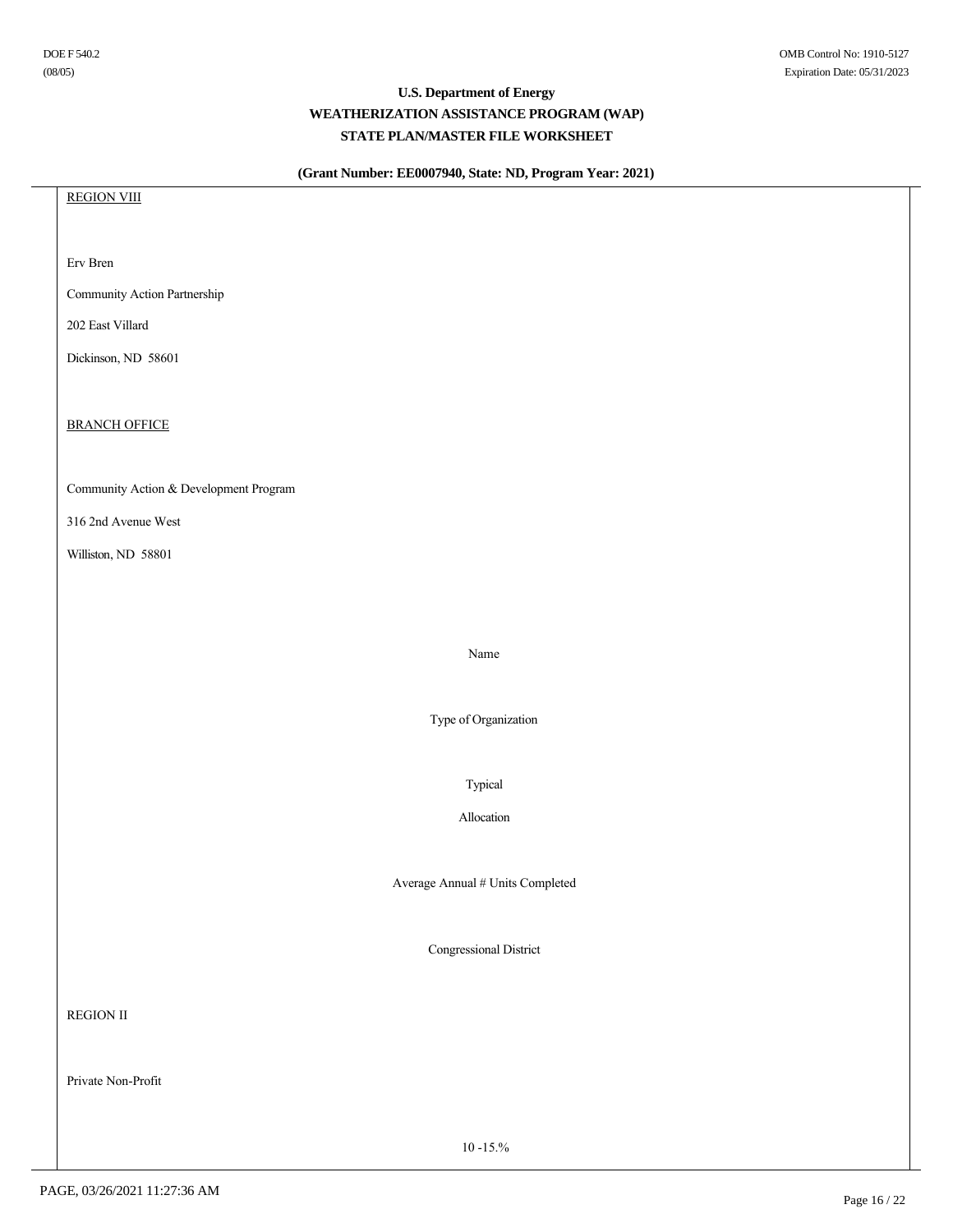### **(Grant Number: EE0007940, State: ND, Program Year: 2021)**

REGION VIII Erv Bren Community Action Partnership 202 East Villard Dickinson, ND 58601 BRANCH OFFICE Community Action & Development Program 316 2nd Avenue West Williston, ND 58801 Name Type of Organization Typical Allocation Average Annual # Units Completed Congressional District REGION II Private Non-Profit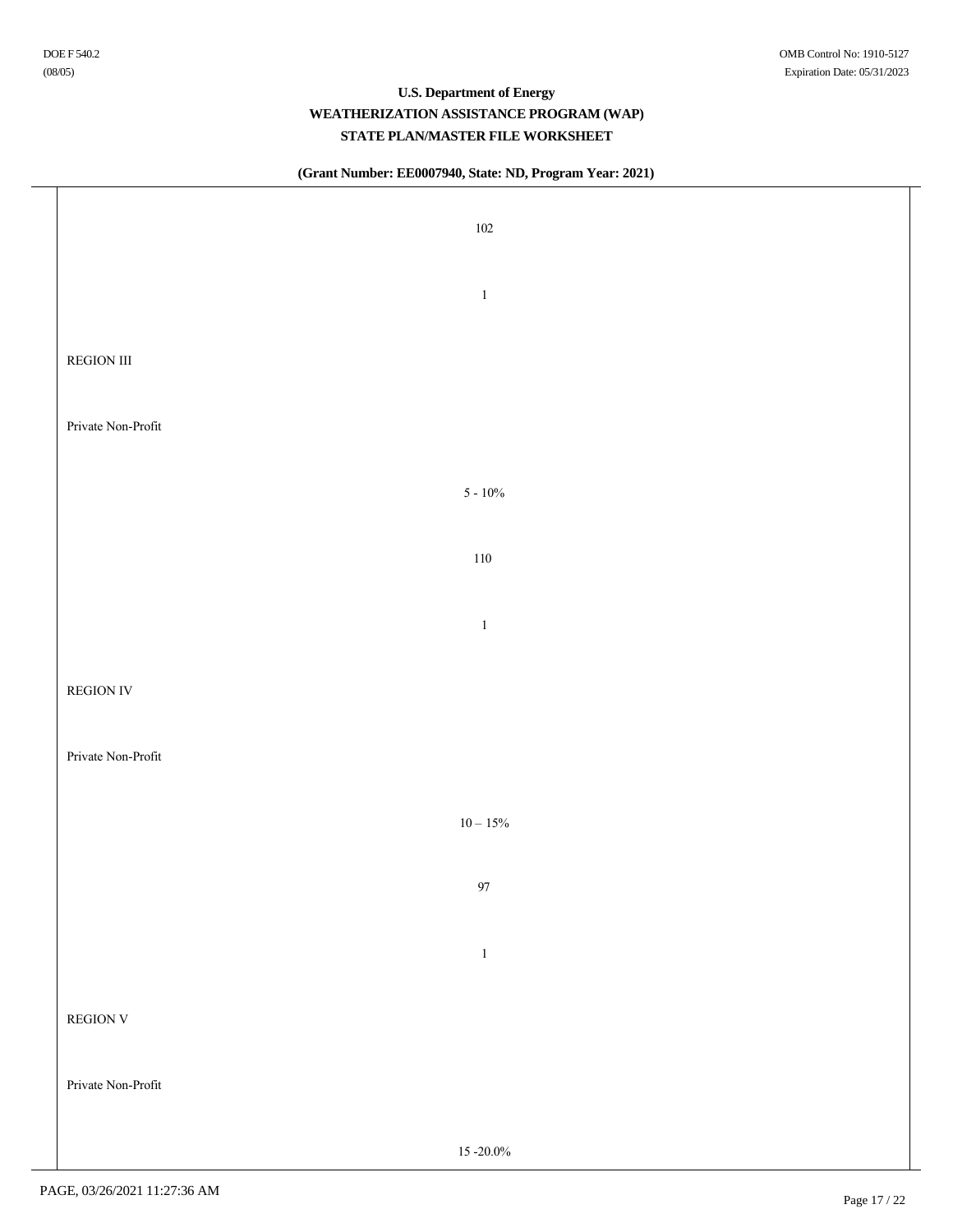### **(Grant Number: EE0007940, State: ND, Program Year: 2021)**

| 102                |  |
|--------------------|--|
| $\,1\,$            |  |
| REGION III         |  |
| Private Non-Profit |  |
| $5 - 10\%$         |  |
| $110\,$            |  |
| $\,1\,$            |  |
| <b>REGION IV</b>   |  |
| Private Non-Profit |  |
| $10-15\%$          |  |
| $97\,$             |  |
| $\,1\,$            |  |
| REGION ${\rm V}$   |  |
| Private Non-Profit |  |
| 15 - 20.0%         |  |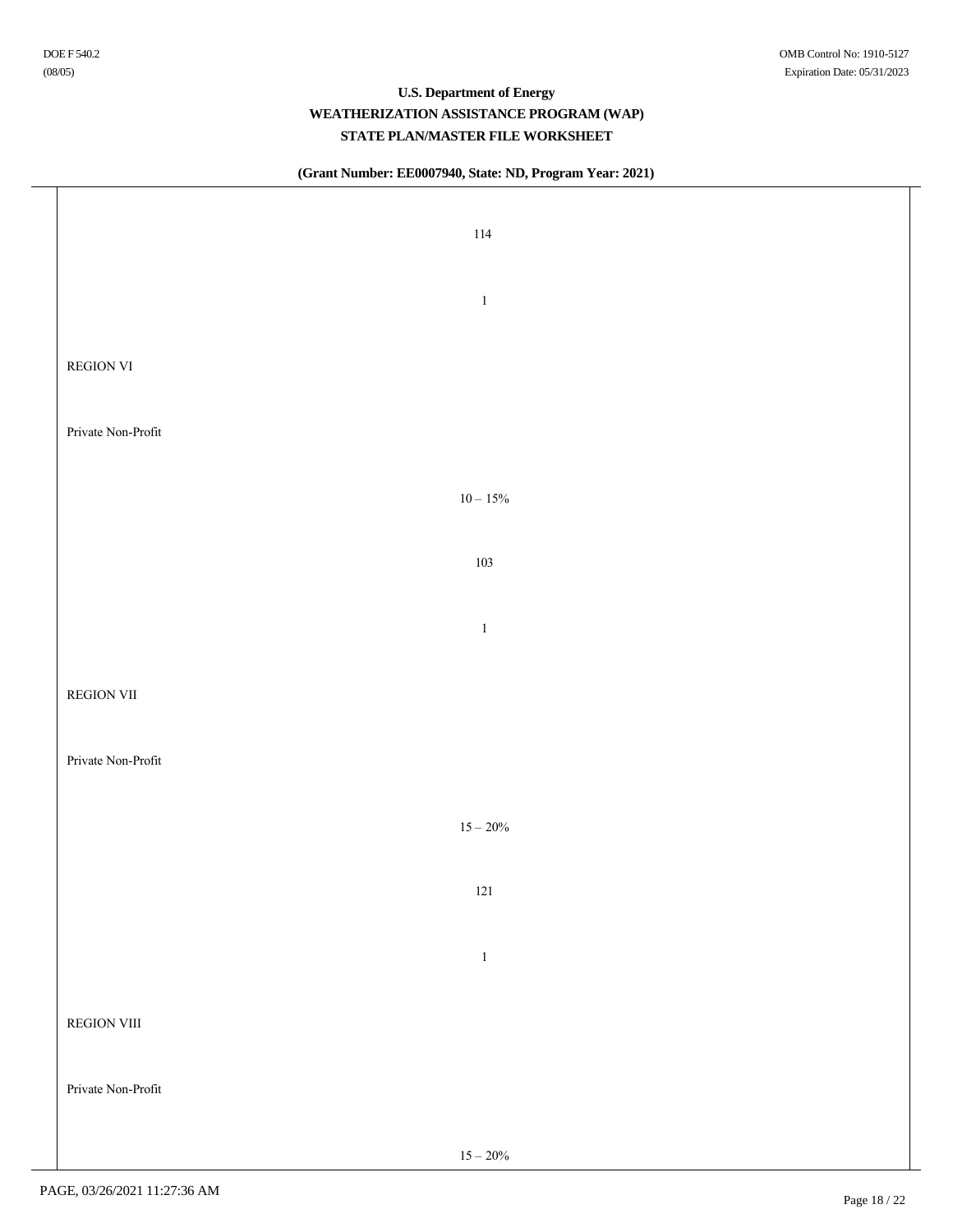$\top$ 

### **U.S. Department of Energy WEATHERIZATION ASSISTANCE PROGRAM (WAP) STATE PLAN/MASTER FILE WORKSHEET**

### **(Grant Number: EE0007940, State: ND, Program Year: 2021)**

| 114                |  |
|--------------------|--|
| $\,1\,$            |  |
| REGION VI          |  |
| Private Non-Profit |  |
| $10-15\%$          |  |
| 103                |  |
| $\,1\,$            |  |
| <b>REGION VII</b>  |  |
| Private Non-Profit |  |
| $15-20\%$          |  |
| 121                |  |
| $\,1\,$            |  |
| REGION VIII        |  |
| Private Non-Profit |  |
| $15 - 20\%$        |  |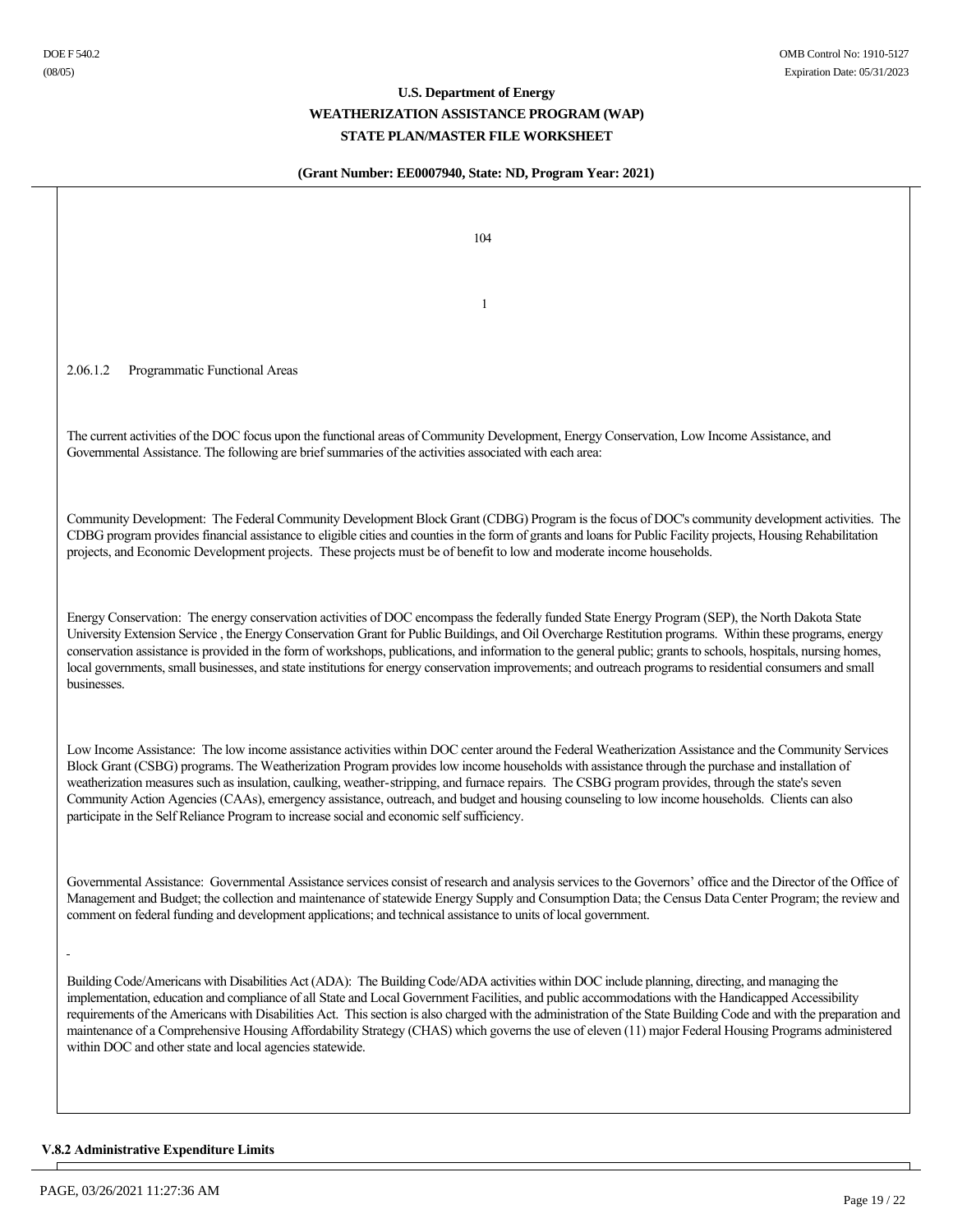### **(Grant Number: EE0007940, State: ND, Program Year: 2021)**

104 1 2.06.1.2 Programmatic Functional Areas The current activities of the DOC focus upon the functional areas of Community Development, Energy Conservation, Low Income Assistance, and Governmental Assistance. The following are brief summaries of the activities associated with each area: Community Development: The Federal Community Development Block Grant (CDBG) Program is the focus of DOC's community development activities. The CDBG program provides financial assistance to eligible cities and counties in the form of grants and loans for Public Facility projects, Housing Rehabilitation projects, and Economic Development projects. These projects must be of benefit to low and moderate income households. Energy Conservation: The energy conservation activities of DOC encompass the federally funded State Energy Program (SEP), the North Dakota State University Extension Service , the Energy Conservation Grant for Public Buildings, and Oil Overcharge Restitution programs. Within these programs, energy conservation assistance is provided in the form of workshops, publications, and information to the general public; grants to schools, hospitals, nursing homes, local governments, small businesses, and state institutions for energy conservation improvements; and outreach programs to residential consumers and small businesses. Low Income Assistance: The low income assistance activities within DOC center around the Federal Weatherization Assistance and the Community Services Block Grant (CSBG) programs. The Weatherization Program provides low income households with assistance through the purchase and installation of weatherization measures such as insulation, caulking, weather-stripping, and furnace repairs. The CSBG program provides, through the state's seven Community Action Agencies (CAAs), emergency assistance, outreach, and budget and housing counseling to low income households. Clients can also participate in the Self Reliance Program to increase social and economic self sufficiency. Governmental Assistance: Governmental Assistance services consist of research and analysis services to the Governors' office and the Director of the Office of Management and Budget; the collection and maintenance of statewide Energy Supply and Consumption Data; the Census Data Center Program; the review and comment on federal funding and development applications; and technical assistance to units of local government. Building Code/Americans with Disabilities Act (ADA): The Building Code/ADA activities within DOC include planning, directing, and managing the implementation, education and compliance of all State and Local Government Facilities, and public accommodations with the Handicapped Accessibility requirements of the Americans with Disabilities Act. This section is also charged with the administration of the State Building Code and with the preparation and maintenance of a Comprehensive Housing Affordability Strategy (CHAS) which governs the use of eleven (11) major Federal Housing Programs administered within DOC and other state and local agencies statewide.

### **V.8.2 Administrative Expenditure Limits**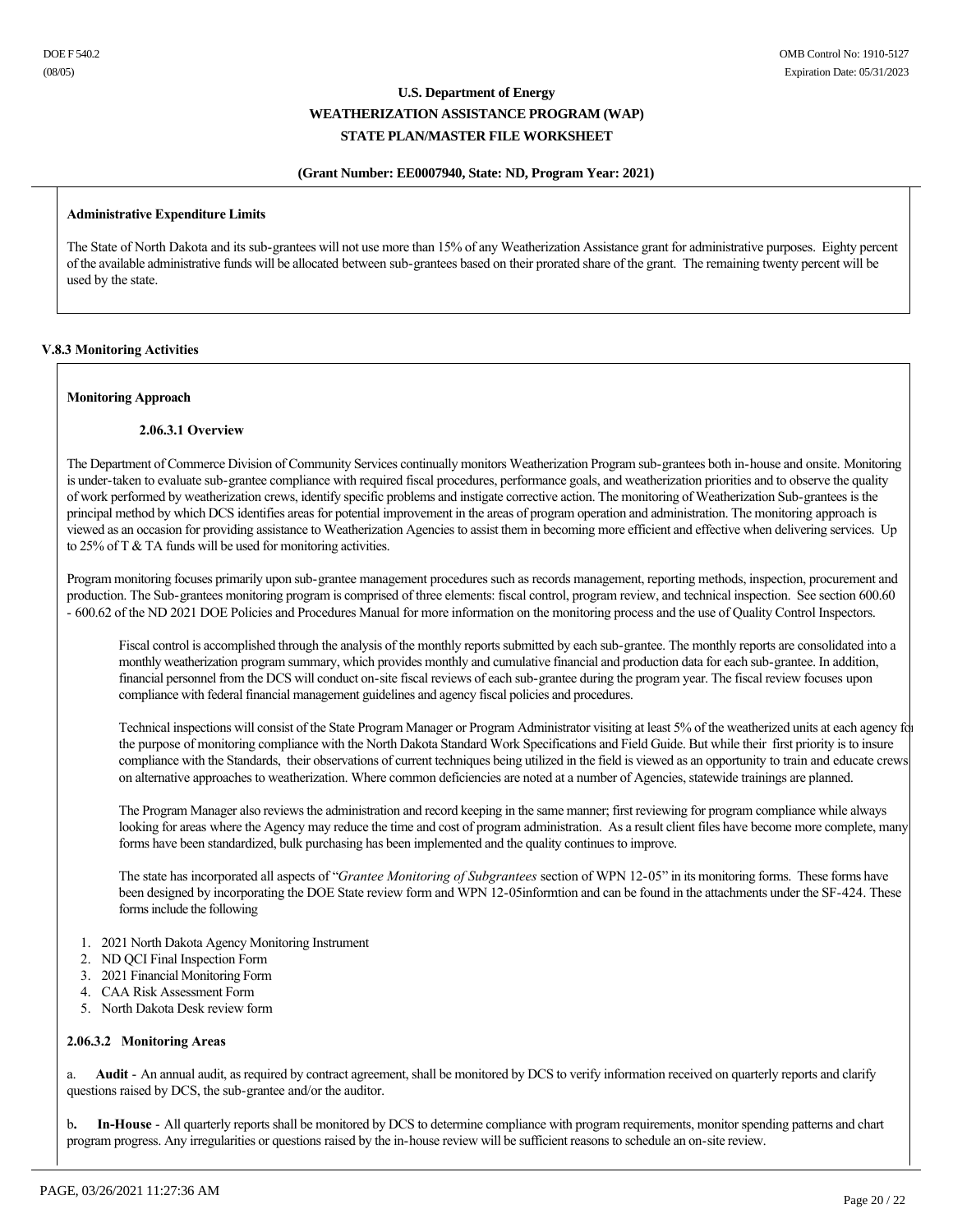### **(Grant Number: EE0007940, State: ND, Program Year: 2021)**

### **Administrative Expenditure Limits**

The State of North Dakota and its sub-grantees will not use more than 15% of any Weatherization Assistance grant for administrative purposes. Eighty percent of the available administrative funds will be allocated between sub-grantees based on their prorated share of the grant. The remaining twenty percent will be used by the state.

### **V.8.3 Monitoring Activities**

### **Monitoring Approach**

### **2.06.3.1 Overview**

The Department of Commerce Division of Community Services continually monitors Weatherization Program sub-grantees both in-house and onsite. Monitoring is under-taken to evaluate sub-grantee compliance with required fiscal procedures, performance goals, and weatherization priorities and to observe the quality of work performed by weatherization crews, identify specific problems and instigate corrective action. The monitoring of Weatherization Sub-grantees is the principal method by which DCS identifies areas for potential improvement in the areas of program operation and administration. The monitoring approach is viewed as an occasion for providing assistance to Weatherization Agencies to assist them in becoming more efficient and effective when delivering services. Up to 25% of T & TA funds will be used for monitoring activities.

Program monitoring focuses primarily upon sub-grantee management procedures such as records management, reporting methods, inspection, procurement and production. The Sub-grantees monitoring program is comprised of three elements: fiscal control, program review, and technical inspection. See section 600.60 600.62 of the ND 2021 DOE Policies and Procedures Manual for more information on the monitoring process and the use of Quality Control Inspectors.

Fiscal control is accomplished through the analysis of the monthly reports submitted by each sub-grantee. The monthly reports are consolidated into a monthly weatherization program summary, which provides monthly and cumulative financial and production data for each sub-grantee. In addition, financial personnel from the DCS will conduct on-site fiscal reviews of each sub-grantee during the program year. The fiscal review focuses upon compliance with federal financial management guidelines and agency fiscal policies and procedures.

Technical inspections will consist of the State Program Manager or Program Administrator visiting at least 5% of the weatherized units at each agency for the purpose of monitoring compliance with the North Dakota Standard Work Specifications and Field Guide. But while their first priority is to insure compliance with the Standards, their observations of current techniques being utilized in the field is viewed as an opportunity to train and educate crews on alternative approaches to weatherization. Where common deficiencies are noted at a number of Agencies, statewide trainings are planned.

The Program Manager also reviews the administration and record keeping in the same manner; first reviewing for program compliance while always looking for areas where the Agency may reduce the time and cost of program administration. As a result client files have become more complete, many forms have been standardized, bulk purchasing has been implemented and the quality continues to improve.

The state has incorporated all aspects of "*Grantee Monitoring of Subgrantees* section of WPN 12-05" in its monitoring forms. These forms have been designed by incorporating the DOE State review form and WPN 12-05informtion and can be found in the attachments under the SF-424. These forms include the following

- 1. 2021 North Dakota Agency Monitoring Instrument
- 2. ND QCI Final Inspection Form
- 3. 2021 Financial Monitoring Form
- 4. CAA Risk Assessment Form
- 5. North Dakota Desk review form

### **2.06.3.2 Monitoring Areas**

a. Audit - An annual audit, as required by contract agreement, shall be monitored by DCS to verify information received on quarterly reports and clarify questions raised by DCS, the sub-grantee and/or the auditor.

b. In-House - All quarterly reports shall be monitored by DCS to determine compliance with program requirements, monitor spending patterns and chart program progress. Any irregularities or questions raised by the in-house review will be sufficient reasons to schedule an on-site review.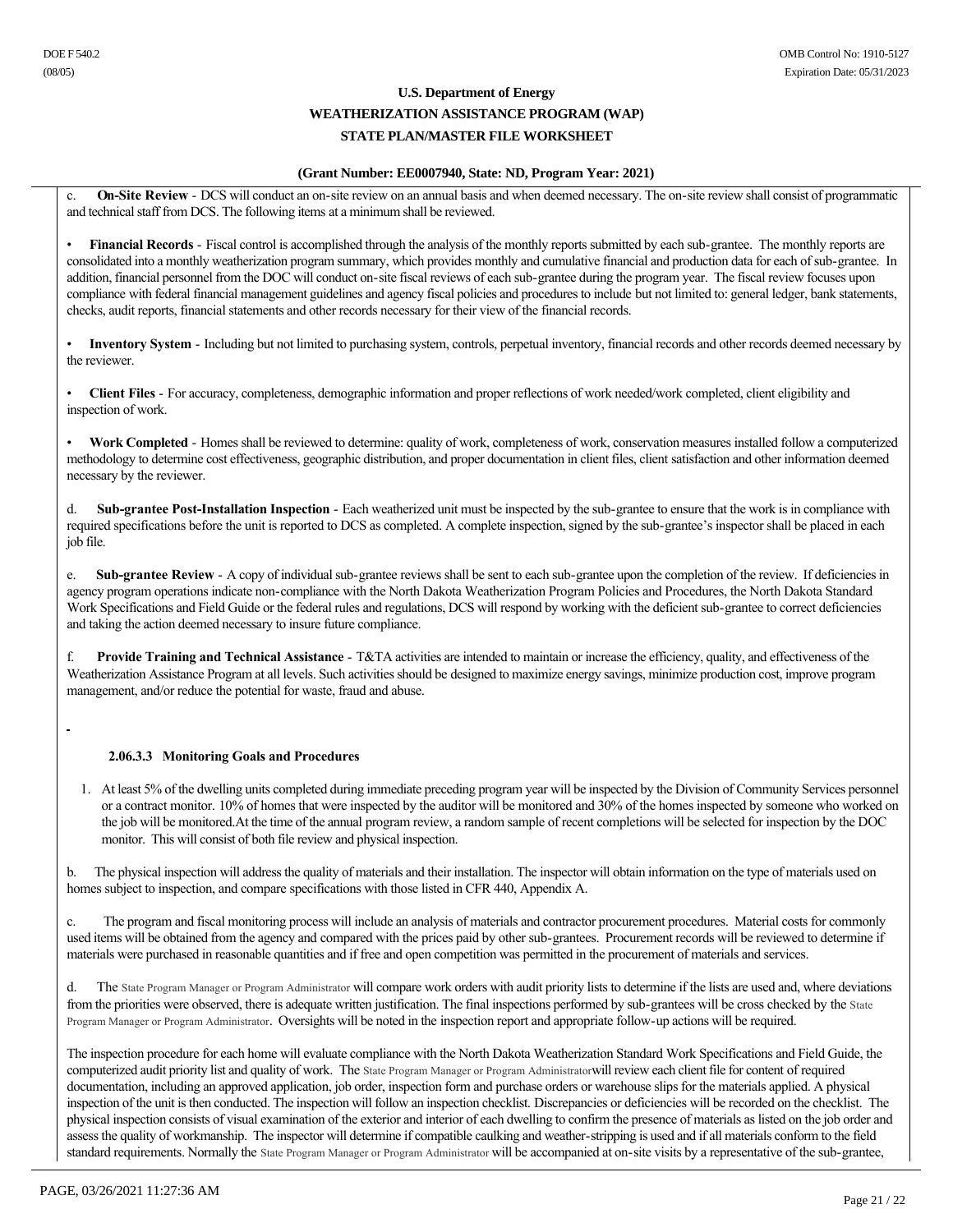### **(Grant Number: EE0007940, State: ND, Program Year: 2021)**

c. On-Site Review - DCS will conduct an on-site review on an annual basis and when deemed necessary. The on-site review shall consist of programmatic and technical staff from DCS. The following items at a minimum shall be reviewed.

Financial Records - Fiscal control is accomplished through the analysis of the monthly reports submitted by each sub-grantee. The monthly reports are consolidated into a monthly weatherization program summary, which provides monthly and cumulative financial and production data for each of sub-grantee. In addition, financial personnel from the DOC will conduct on-site fiscal reviews of each sub-grantee during the program year. The fiscal review focuses upon compliance with federal financial management guidelines and agency fiscal policies and procedures to include but not limited to: general ledger, bank statements, checks, audit reports, financial statements and other records necessary for their view of the financial records.

**Inventory System** - Including but not limited to purchasing system, controls, perpetual inventory, financial records and other records deemed necessary by the reviewer.

• **Client Files** For accuracy, completeness, demographic information and proper reflections of work needed/work completed, client eligibility and inspection of work.

Work Completed - Homes shall be reviewed to determine: quality of work, completeness of work, conservation measures installed follow a computerized methodology to determine cost effectiveness, geographic distribution, and proper documentation in client files, client satisfaction and other information deemed necessary by the reviewer.

**Sub-grantee Post-Installation Inspection** - Each weatherized unit must be inspected by the sub-grantee to ensure that the work is in compliance with required specifications before the unit is reported to DCS as completed. A complete inspection, signed by the sub-grantee's inspector shall be placed in each job file.

e. Sub-grantee Review - A copy of individual sub-grantee reviews shall be sent to each sub-grantee upon the completion of the review. If deficiencies in agency program operations indicate non-compliance with the North Dakota Weatherization Program Policies and Procedures, the North Dakota Standard Work Specifications and Field Guide or the federal rules and regulations, DCS will respond by working with the deficient sub-grantee to correct deficiencies and taking the action deemed necessary to insure future compliance.

f.  **Provide Training and Technical Assistance** T&TA activities are intended to maintain or increase the efficiency, quality, and effectiveness of the Weatherization Assistance Program at all levels. Such activities should be designed to maximize energy savings, minimize production cost, improve program management, and/or reduce the potential for waste, fraud and abuse.

### **2.06.3.3 Monitoring Goals and Procedures**

1. At least 5% of the dwelling units completed during immediate preceding program year will be inspected by the Division of Community Services personnel or a contract monitor. 10% of homes that were inspected by the auditor will be monitored and 30% of the homes inspected by someone who worked on the job will be monitored.At the time of the annual program review, a random sample of recent completions will be selected for inspection by the DOC monitor. This will consist of both file review and physical inspection.

b. The physical inspection will address the quality of materials and their installation. The inspector will obtain information on the type of materials used on homes subject to inspection, and compare specifications with those listed in CFR 440, Appendix A.

c. The program and fiscal monitoring process will include an analysis of materials and contractor procurement procedures. Material costs for commonly used items will be obtained from the agency and compared with the prices paid by other sub-grantees. Procurement records will be reviewed to determine if materials were purchased in reasonable quantities and if free and open competition was permitted in the procurement of materials and services.

d. The State Program Manager or Program Administrator will compare work orders with audit priority lists to determine if the lists are used and, where deviations from the priorities were observed, there is adequate written justification. The final inspections performed by sub-grantees will be cross checked by the State Program Manager or Program Administrator. Oversights will be noted in the inspection report and appropriate followup actions will be required.

The inspection procedure for each home will evaluate compliance with the North Dakota Weatherization Standard Work Specifications and Field Guide, the computerized audit priority list and quality of work. The State Program Manager or Program Administratorwill review each client file for content of required documentation, including an approved application, job order, inspection form and purchase orders or warehouse slips for the materials applied. A physical inspection of the unit is then conducted. The inspection will follow an inspection checklist. Discrepancies or deficiencies will be recorded on the checklist. The physical inspection consists of visual examination of the exterior and interior of each dwelling to confirm the presence of materials as listed on the job order and assess the quality of workmanship. The inspector will determine if compatible caulking and weather-stripping is used and if all materials conform to the field standard requirements. Normally the State Program Manager or Program Administrator will be accompanied at on-site visits by a representative of the sub-grantee,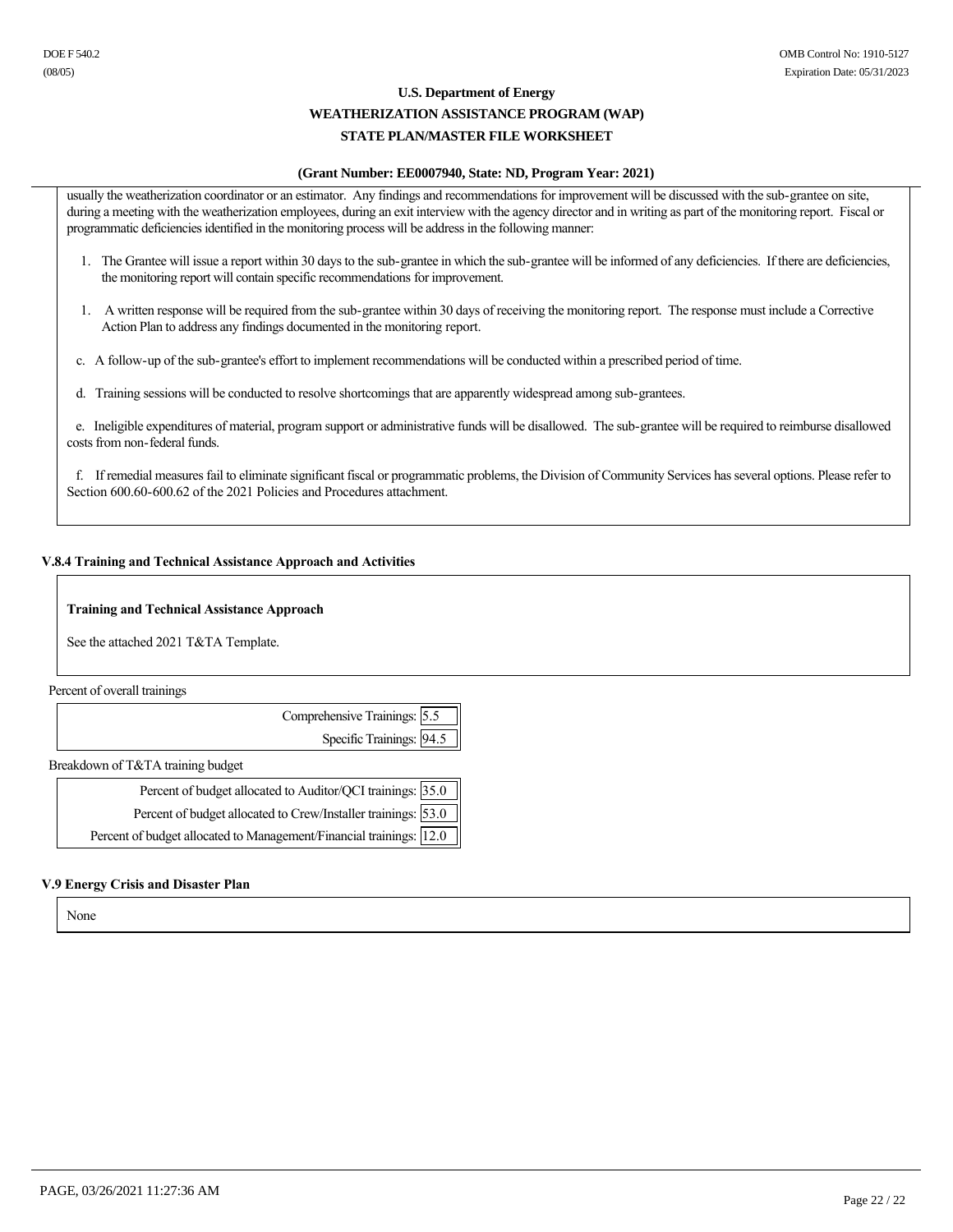### **U.S. Department of Energy WEATHERIZATION ASSISTANCE PROGRAM (WAP)**

### **STATE PLAN/MASTER FILE WORKSHEET**

### **(Grant Number: EE0007940, State: ND, Program Year: 2021)**

usually the weatherization coordinator or an estimator. Any findings and recommendations for improvement will be discussed with the sub-grantee on site, during a meeting with the weatherization employees, during an exit interview with the agency director and in writing as part of the monitoring report. Fiscal or programmatic deficiencies identified in the monitoring process will be address in the following manner:

- 1. The Grantee will issue a report within 30 days to the sub-grantee in which the sub-grantee will be informed of any deficiencies. If there are deficiencies, the monitoring report will contain specific recommendations for improvement.
- 1. A written response will be required from the sub-grantee within 30 days of receiving the monitoring report. The response must include a Corrective Action Plan to address any findings documented in the monitoring report.
- c. A follow-up of the sub-grantee's effort to implement recommendations will be conducted within a prescribed period of time.
- d. Training sessions will be conducted to resolve shortcomings that are apparently widespread among sub-grantees.

e. Ineligible expenditures of material, program support or administrative funds will be disallowed. The sub-grantee will be required to reimburse disallowed costs from non-federal funds.

 f. If remedial measures fail to eliminate significant fiscal or programmatic problems, the Division of Community Services has several options. Please refer to Section 600.60-600.62 of the 2021 Policies and Procedures attachment.

### **V.8.4 Training and Technical Assistance Approach and Activities**

### **Training and Technical Assistance Approach**

See the attached 2021 T&TA Template.

Percent of overall trainings

| Comprehensive Trainings: 5.5 |  |
|------------------------------|--|
| Specific Trainings: 94.5     |  |
|                              |  |

Breakdown of T&TA training budget

| Percent of budget allocated to Auditor/QCI trainings: 35.0          |  |
|---------------------------------------------------------------------|--|
| Percent of budget allocated to Crew/Installer trainings: 53.0       |  |
| Percent of budget allocated to Management/Financial trainings: 12.0 |  |

### **V.9 Energy Crisis and Disaster Plan**

None